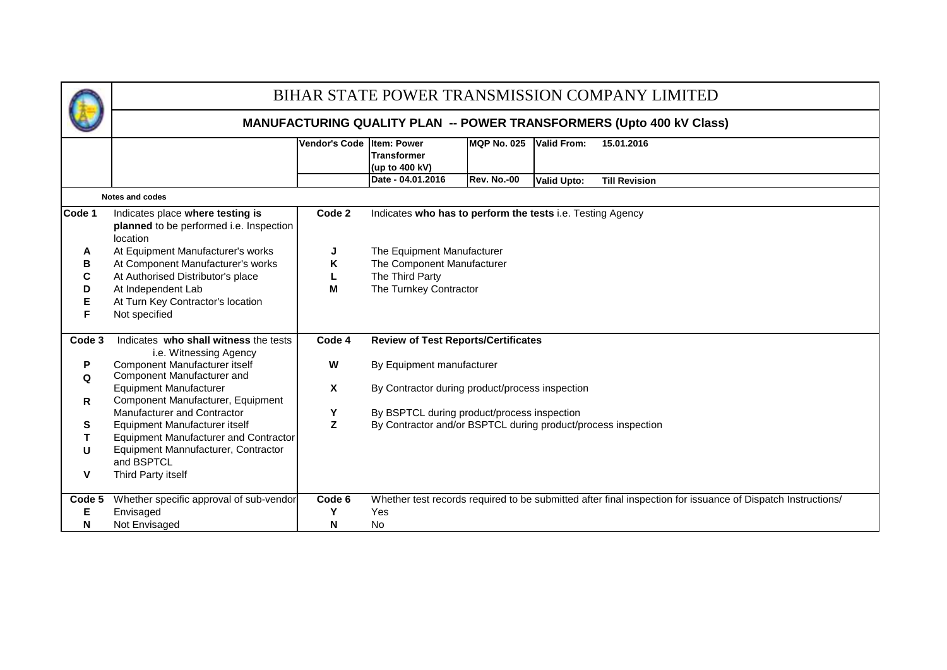|        | BIHAR STATE POWER TRANSMISSION COMPANY LIMITED                                          |                           |                                                                                                              |                    |                    |                                                                                                             |  |  |  |  |  |  |  |  |  |
|--------|-----------------------------------------------------------------------------------------|---------------------------|--------------------------------------------------------------------------------------------------------------|--------------------|--------------------|-------------------------------------------------------------------------------------------------------------|--|--|--|--|--|--|--|--|--|
|        |                                                                                         |                           |                                                                                                              |                    |                    | <b>MANUFACTURING QUALITY PLAN -- POWER TRANSFORMERS (Upto 400 kV Class)</b>                                 |  |  |  |  |  |  |  |  |  |
|        |                                                                                         | Vendor's Code Item: Power | <b>Transformer</b><br>(up to 400 kV)                                                                         | <b>MQP No. 025</b> | <b>Valid From:</b> | 15.01.2016                                                                                                  |  |  |  |  |  |  |  |  |  |
|        |                                                                                         |                           | Date - 04.01.2016                                                                                            | <b>Rev. No.-00</b> | <b>Valid Upto:</b> | <b>Till Revision</b>                                                                                        |  |  |  |  |  |  |  |  |  |
|        | <b>Notes and codes</b>                                                                  |                           |                                                                                                              |                    |                    |                                                                                                             |  |  |  |  |  |  |  |  |  |
| Code 1 | Indicates place where testing is<br>planned to be performed i.e. Inspection<br>location | Code 2                    | Indicates who has to perform the tests i.e. Testing Agency                                                   |                    |                    |                                                                                                             |  |  |  |  |  |  |  |  |  |
| A      | At Equipment Manufacturer's works                                                       | J                         | The Equipment Manufacturer                                                                                   |                    |                    |                                                                                                             |  |  |  |  |  |  |  |  |  |
| в      | At Component Manufacturer's works                                                       | Κ                         | The Component Manufacturer                                                                                   |                    |                    |                                                                                                             |  |  |  |  |  |  |  |  |  |
| С      | At Authorised Distributor's place                                                       | The Third Party<br>L      |                                                                                                              |                    |                    |                                                                                                             |  |  |  |  |  |  |  |  |  |
| D      | At Independent Lab                                                                      |                           | M<br>The Turnkey Contractor                                                                                  |                    |                    |                                                                                                             |  |  |  |  |  |  |  |  |  |
| Е<br>F | At Turn Key Contractor's location<br>Not specified                                      |                           |                                                                                                              |                    |                    |                                                                                                             |  |  |  |  |  |  |  |  |  |
|        |                                                                                         |                           |                                                                                                              |                    |                    |                                                                                                             |  |  |  |  |  |  |  |  |  |
| Code 3 | Indicates who shall witness the tests<br>i.e. Witnessing Agency                         | Code 4                    | <b>Review of Test Reports/Certificates</b>                                                                   |                    |                    |                                                                                                             |  |  |  |  |  |  |  |  |  |
| P      | Component Manufacturer itself                                                           | W                         | By Equipment manufacturer                                                                                    |                    |                    |                                                                                                             |  |  |  |  |  |  |  |  |  |
| Q      | Component Manufacturer and                                                              |                           |                                                                                                              |                    |                    |                                                                                                             |  |  |  |  |  |  |  |  |  |
|        | <b>Equipment Manufacturer</b>                                                           | X.                        | By Contractor during product/process inspection                                                              |                    |                    |                                                                                                             |  |  |  |  |  |  |  |  |  |
| R      | Component Manufacturer, Equipment<br>Manufacturer and Contractor                        |                           |                                                                                                              |                    |                    |                                                                                                             |  |  |  |  |  |  |  |  |  |
| s      | Equipment Manufacturer itself                                                           | Υ<br>Z                    | By BSPTCL during product/process inspection<br>By Contractor and/or BSPTCL during product/process inspection |                    |                    |                                                                                                             |  |  |  |  |  |  |  |  |  |
|        | Equipment Manufacturer and Contractor                                                   |                           |                                                                                                              |                    |                    |                                                                                                             |  |  |  |  |  |  |  |  |  |
| U      | Equipment Mannufacturer, Contractor                                                     |                           |                                                                                                              |                    |                    |                                                                                                             |  |  |  |  |  |  |  |  |  |
|        | and BSPTCL                                                                              |                           |                                                                                                              |                    |                    |                                                                                                             |  |  |  |  |  |  |  |  |  |
| v      | Third Party itself                                                                      |                           |                                                                                                              |                    |                    |                                                                                                             |  |  |  |  |  |  |  |  |  |
|        |                                                                                         |                           |                                                                                                              |                    |                    |                                                                                                             |  |  |  |  |  |  |  |  |  |
| Code 5 | Whether specific approval of sub-vendor                                                 | Code 6                    |                                                                                                              |                    |                    | Whether test records required to be submitted after final inspection for issuance of Dispatch Instructions/ |  |  |  |  |  |  |  |  |  |
| Е      | Envisaged                                                                               | Υ                         | Yes                                                                                                          |                    |                    |                                                                                                             |  |  |  |  |  |  |  |  |  |
| N      | Not Envisaged                                                                           | N                         | <b>No</b>                                                                                                    |                    |                    |                                                                                                             |  |  |  |  |  |  |  |  |  |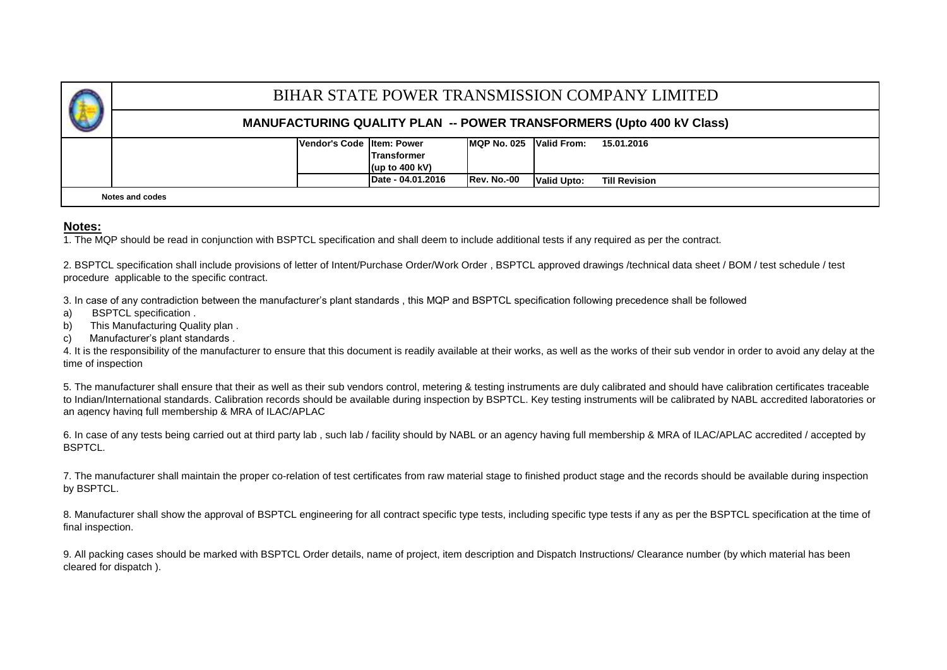|                                                                                |                                    |                  |                          |  | BIHAR STATE POWER TRANSMISSION COMPANY LIMITED                              |  |  |  |  |  |  |  |
|--------------------------------------------------------------------------------|------------------------------------|------------------|--------------------------|--|-----------------------------------------------------------------------------|--|--|--|--|--|--|--|
|                                                                                |                                    |                  |                          |  | <b>MANUFACTURING QUALITY PLAN -- POWER TRANSFORMERS (Upto 400 kV Class)</b> |  |  |  |  |  |  |  |
|                                                                                | <b>IVendor's Code Iltem: Power</b> |                  | IMQP No. 025 Valid From: |  | 15.01.2016                                                                  |  |  |  |  |  |  |  |
|                                                                                |                                    | Transformer      |                          |  |                                                                             |  |  |  |  |  |  |  |
|                                                                                |                                    | (up to $400$ kV) |                          |  |                                                                             |  |  |  |  |  |  |  |
| Date - 04.01.2016<br>Rev. No.-00<br><b>Valid Upto:</b><br><b>Till Revision</b> |                                    |                  |                          |  |                                                                             |  |  |  |  |  |  |  |
| Notes and codes                                                                |                                    |                  |                          |  |                                                                             |  |  |  |  |  |  |  |

#### **Notes:**

1. The MQP should be read in conjunction with BSPTCL specification and shall deem to include additional tests if any required as per the contract.

2. BSPTCL specification shall include provisions of letter of Intent/Purchase Order/Work Order , BSPTCL approved drawings /technical data sheet / BOM / test schedule / test procedure applicable to the specific contract.

3. In case of any contradiction between the manufacturer's plant standards , this MQP and BSPTCL specification following precedence shall be followed

- a) BSPTCL specification .
- b) This Manufacturing Quality plan .
- c) Manufacturer's plant standards .

4. It is the responsibility of the manufacturer to ensure that this document is readily available at their works, as well as the works of their sub vendor in order to avoid any delay at the time of inspection

5. The manufacturer shall ensure that their as well as their sub vendors control, metering & testing instruments are duly calibrated and should have calibration certificates traceable to Indian/International standards. Calibration records should be available during inspection by BSPTCL. Key testing instruments will be calibrated by NABL accredited laboratories or an agency having full membership & MRA of ILAC/APLAC

6. In case of any tests being carried out at third party lab , such lab / facility should by NABL or an agency having full membership & MRA of ILAC/APLAC accredited / accepted by BSPTCL.

7. The manufacturer shall maintain the proper co-relation of test certificates from raw material stage to finished product stage and the records should be available during inspection by BSPTCL.

8. Manufacturer shall show the approval of BSPTCL engineering for all contract specific type tests, including specific type tests if any as per the BSPTCL specification at the time of final inspection.

9. All packing cases should be marked with BSPTCL Order details, name of project, item description and Dispatch Instructions/ Clearance number (by which material has been cleared for dispatch ).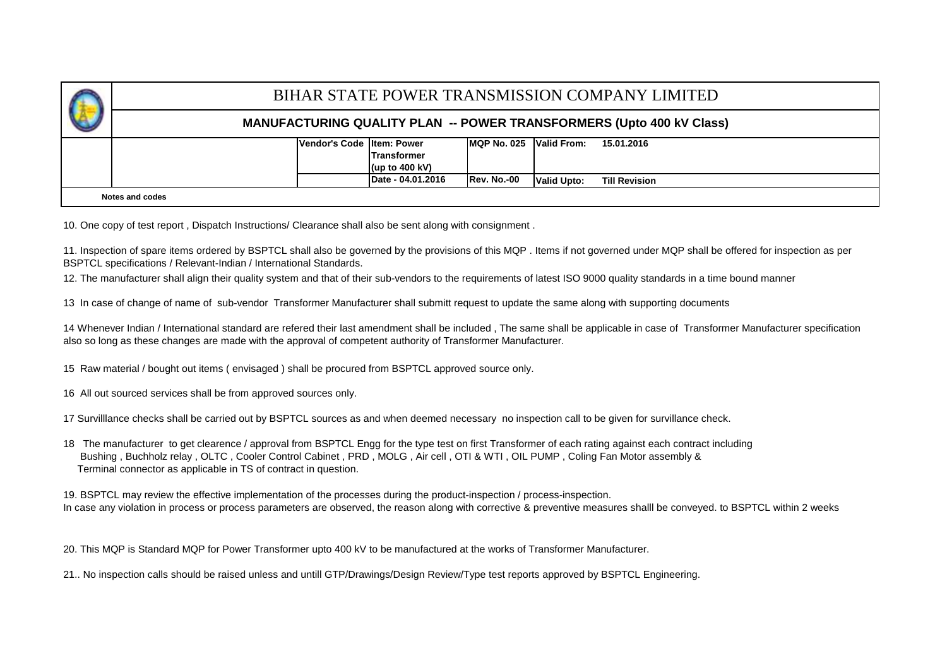|                                                                                        |                          |            |  |  | BIHAR STATE POWER TRANSMISSION COMPANY LIMITED                              |  |  |  |  |  |  |  |
|----------------------------------------------------------------------------------------|--------------------------|------------|--|--|-----------------------------------------------------------------------------|--|--|--|--|--|--|--|
|                                                                                        |                          |            |  |  | <b>MANUFACTURING QUALITY PLAN -- POWER TRANSFORMERS (Upto 400 kV Class)</b> |  |  |  |  |  |  |  |
| <b>IVendor's Code Iltem: Power</b>                                                     | IMQP No. 025 Valid From: | 15.01.2016 |  |  |                                                                             |  |  |  |  |  |  |  |
| Date - 04.01.2016<br><b>IRev. No.-00</b><br><b>Valid Upto:</b><br><b>Till Revision</b> |                          |            |  |  |                                                                             |  |  |  |  |  |  |  |
| Notes and codes                                                                        |                          |            |  |  |                                                                             |  |  |  |  |  |  |  |

10. One copy of test report , Dispatch Instructions/ Clearance shall also be sent along with consignment .

11. Inspection of spare items ordered by BSPTCL shall also be governed by the provisions of this MQP . Items if not governed under MQP shall be offered for inspection as per BSPTCL specifications / Relevant-Indian / International Standards.

12. The manufacturer shall align their quality system and that of their sub-vendors to the requirements of latest ISO 9000 quality standards in a time bound manner

13 In case of change of name of sub-vendor Transformer Manufacturer shall submitt request to update the same along with supporting documents

14 Whenever Indian / International standard are refered their last amendment shall be included , The same shall be applicable in case of Transformer Manufacturer specification also so long as these changes are made with the approval of competent authority of Transformer Manufacturer.

15 Raw material / bought out items ( envisaged ) shall be procured from BSPTCL approved source only.

16 All out sourced services shall be from approved sources only.

17 Survilllance checks shall be carried out by BSPTCL sources as and when deemed necessary no inspection call to be given for survillance check.

18 The manufacturer to get clearence / approval from BSPTCL Engg for the type test on first Transformer of each rating against each contract including Bushing , Buchholz relay , OLTC , Cooler Control Cabinet , PRD , MOLG , Air cell , OTI & WTI , OIL PUMP , Coling Fan Motor assembly & Terminal connector as applicable in TS of contract in question.

In case any violation in process or process parameters are observed, the reason along with corrective & preventive measures shalll be conveyed. to BSPTCL within 2 weeks 19. BSPTCL may review the effective implementation of the processes during the product-inspection / process-inspection.

20. This MQP is Standard MQP for Power Transformer upto 400 kV to be manufactured at the works of Transformer Manufacturer.

21.. No inspection calls should be raised unless and untill GTP/Drawings/Design Review/Type test reports approved by BSPTCL Engineering.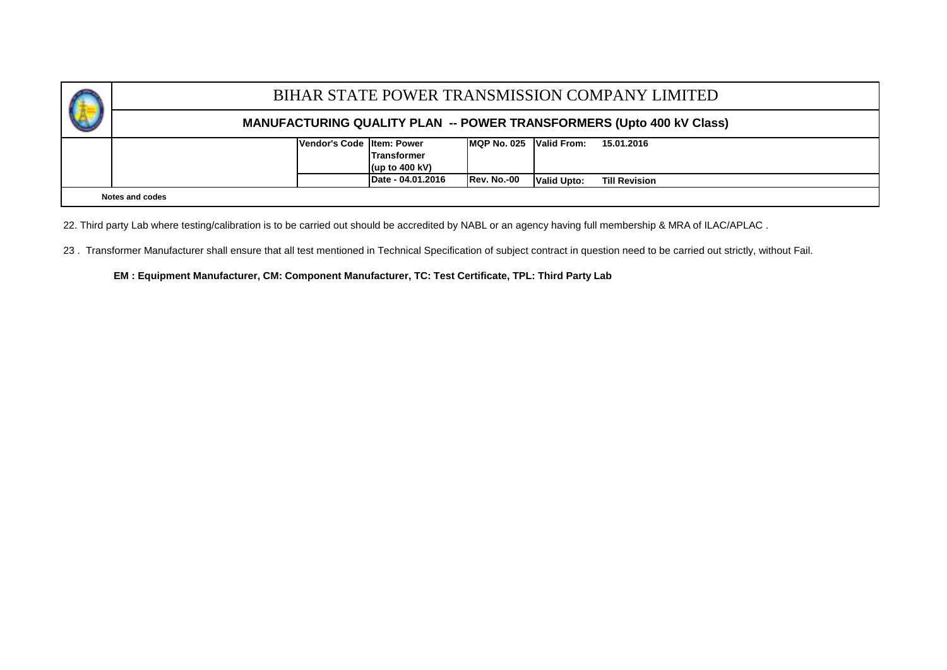|                                                                                |            |  |  |  | BIHAR STATE POWER TRANSMISSION COMPANY LIMITED                              |  |  |  |  |  |  |  |
|--------------------------------------------------------------------------------|------------|--|--|--|-----------------------------------------------------------------------------|--|--|--|--|--|--|--|
|                                                                                |            |  |  |  | <b>MANUFACTURING QUALITY PLAN -- POWER TRANSFORMERS (Upto 400 kV Class)</b> |  |  |  |  |  |  |  |
| Vendor's Code Iltem: Power                                                     | 15.01.2016 |  |  |  |                                                                             |  |  |  |  |  |  |  |
| Date - 04.01.2016<br>Rev. No.-00<br><b>Valid Upto:</b><br><b>Till Revision</b> |            |  |  |  |                                                                             |  |  |  |  |  |  |  |
| Notes and codes                                                                |            |  |  |  |                                                                             |  |  |  |  |  |  |  |

22. Third party Lab where testing/calibration is to be carried out should be accredited by NABL or an agency having full membership & MRA of ILAC/APLAC .

23. Transformer Manufacturer shall ensure that all test mentioned in Technical Specification of subject contract in question need to be carried out strictly, without Fail.

**EM : Equipment Manufacturer, CM: Component Manufacturer, TC: Test Certificate, TPL: Third Party Lab**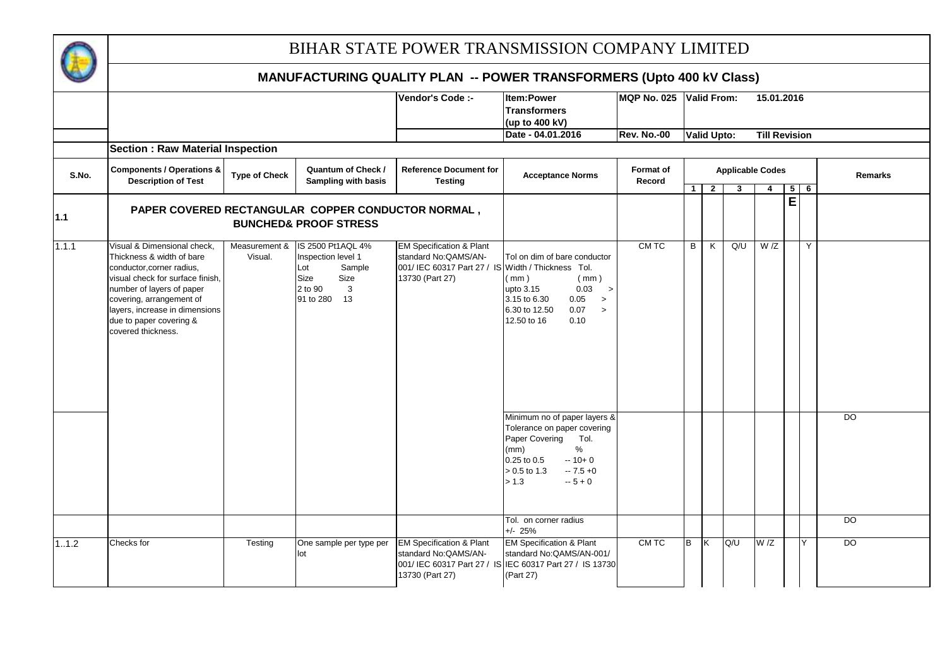

|       |                                                                                                                                                                                                                                                                       |                          |                                                                                                             | Vendor's Code :-                                                                                                                      | <b>Item:Power</b><br><b>Transformers</b><br>(up to 400 kV)                                                                                                                             | <b>MQP No. 025</b>         |          | <b>Valid From:</b> |                         | 15.01.2016           |   |            |                |
|-------|-----------------------------------------------------------------------------------------------------------------------------------------------------------------------------------------------------------------------------------------------------------------------|--------------------------|-------------------------------------------------------------------------------------------------------------|---------------------------------------------------------------------------------------------------------------------------------------|----------------------------------------------------------------------------------------------------------------------------------------------------------------------------------------|----------------------------|----------|--------------------|-------------------------|----------------------|---|------------|----------------|
|       |                                                                                                                                                                                                                                                                       |                          |                                                                                                             |                                                                                                                                       | Date - 04.01.2016                                                                                                                                                                      | <b>Rev. No.-00</b>         |          | <b>Valid Upto:</b> |                         | <b>Till Revision</b> |   |            |                |
| S.No. | <b>Section: Raw Material Inspection</b><br><b>Components / Operations &amp;</b><br><b>Description of Test</b>                                                                                                                                                         | <b>Type of Check</b>     | <b>Quantum of Check /</b><br>Sampling with basis                                                            | <b>Reference Document for</b><br><b>Testing</b>                                                                                       | <b>Acceptance Norms</b>                                                                                                                                                                | <b>Format of</b><br>Record |          |                    | <b>Applicable Codes</b> |                      |   |            | Remarks        |
|       |                                                                                                                                                                                                                                                                       |                          |                                                                                                             |                                                                                                                                       |                                                                                                                                                                                        |                            | $1\vert$ | $\overline{2}$     | 3                       | 4                    |   | $5 \mid 6$ |                |
| 1.1   |                                                                                                                                                                                                                                                                       |                          | PAPER COVERED RECTANGULAR COPPER CONDUCTOR NORMAL,<br><b>BUNCHED&amp; PROOF STRESS</b>                      |                                                                                                                                       |                                                                                                                                                                                        |                            |          |                    |                         |                      | E |            |                |
| 1.1.1 | Visual & Dimensional check,<br>Thickness & width of bare<br>conductor, corner radius,<br>visual check for surface finish,<br>number of layers of paper<br>covering, arrangement of<br>layers, increase in dimensions<br>due to paper covering &<br>covered thickness. | Measurement &<br>Visual. | IS 2500 Pt1AQL 4%<br>Inspection level 1<br>Lot<br>Sample<br>Size<br>Size<br>2 to 90<br>3<br>91 to 280<br>13 | <b>EM Specification &amp; Plant</b><br>standard No: QAMS/AN-<br>001/ IEC 60317 Part 27 / IS Width / Thickness Tol.<br>13730 (Part 27) | Tol on dim of bare conductor<br>(mm)<br>(mm)<br>upto 3.15<br>0.03<br>$\rightarrow$<br>3.15 to 6.30<br>0.05<br>$\rightarrow$<br>6.30 to 12.50<br>0.07<br>$\,>\,$<br>12.50 to 16<br>0.10 | CM TC                      | B        | K                  | Q/U                     | W/Z                  |   | Y          |                |
|       |                                                                                                                                                                                                                                                                       |                          |                                                                                                             |                                                                                                                                       | Minimum no of paper layers &<br>Tolerance on paper covering<br>Paper Covering<br>Tol.<br>$\%$<br>(mm)<br>0.25 to 0.5<br>$-10+0$<br>0.5 to 1.3<br>$-7.5 + 0$<br>$-5 + 0$<br>> 1.3       |                            |          |                    |                         |                      |   |            | $\overline{D}$ |
|       |                                                                                                                                                                                                                                                                       |                          |                                                                                                             |                                                                                                                                       | Tol. on corner radius<br>$+/- 25%$                                                                                                                                                     |                            |          |                    |                         |                      |   |            | $\overline{D}$ |
| 11.2  | Checks for                                                                                                                                                                                                                                                            | Testing                  | One sample per type per<br>lot                                                                              | <b>EM Specification &amp; Plant</b><br>standard No: QAMS/AN-<br>13730 (Part 27)                                                       | <b>EM Specification &amp; Plant</b><br>standard No: QAMS/AN-001/<br>001/ IEC 60317 Part 27 / IS IEC 60317 Part 27 / IS 13730<br>(Part 27)                                              | CM TC                      | B        | Ιĸ                 | Q/U                     | W/Z                  |   | Y          | $\overline{D}$ |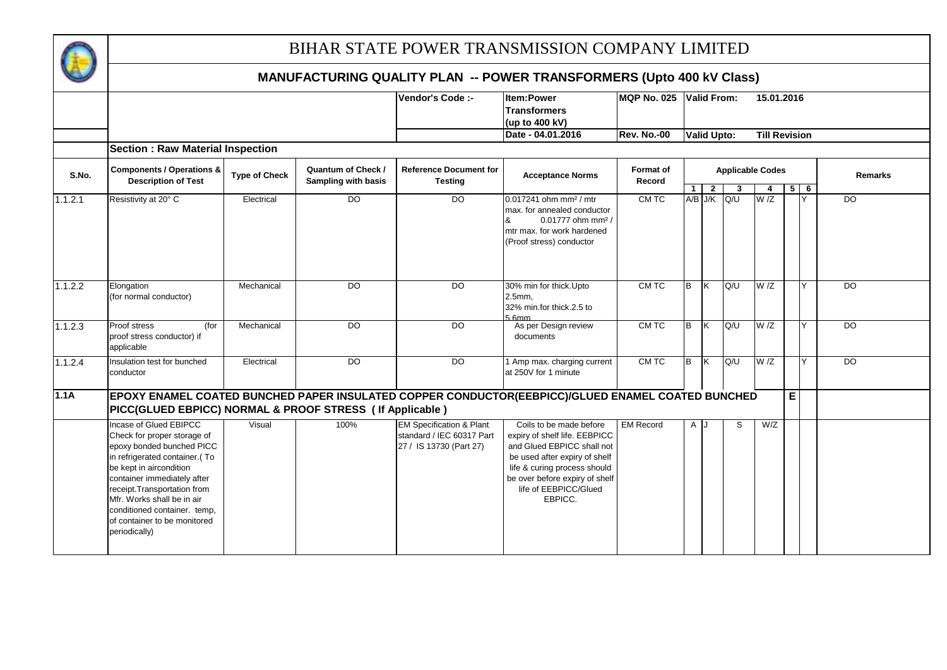

|         |                                                                                                                                                                                                                                                                                                                              |                      |                                                  | Vendor's Code :-                                                                            | <b>Item:Power</b>                                                                                                                                                                                                             | <b>MQP No. 025</b>         |              | <b>Valid From:</b> |             | 15.01.2016                   |   |        |                |
|---------|------------------------------------------------------------------------------------------------------------------------------------------------------------------------------------------------------------------------------------------------------------------------------------------------------------------------------|----------------------|--------------------------------------------------|---------------------------------------------------------------------------------------------|-------------------------------------------------------------------------------------------------------------------------------------------------------------------------------------------------------------------------------|----------------------------|--------------|--------------------|-------------|------------------------------|---|--------|----------------|
|         |                                                                                                                                                                                                                                                                                                                              |                      |                                                  |                                                                                             | <b>Transformers</b><br>(up to 400 kV)                                                                                                                                                                                         |                            |              |                    |             |                              |   |        |                |
|         |                                                                                                                                                                                                                                                                                                                              |                      |                                                  |                                                                                             | Date - 04.01.2016                                                                                                                                                                                                             | <b>Rev. No.-00</b>         |              | Valid Upto:        |             | <b>Till Revision</b>         |   |        |                |
|         | <b>Section: Raw Material Inspection</b>                                                                                                                                                                                                                                                                                      |                      |                                                  |                                                                                             |                                                                                                                                                                                                                               |                            |              |                    |             |                              |   |        |                |
| S.No.   | <b>Components / Operations &amp;</b><br><b>Description of Test</b>                                                                                                                                                                                                                                                           | <b>Type of Check</b> | <b>Quantum of Check /</b><br>Sampling with basis | <b>Reference Document for</b><br><b>Testing</b>                                             | <b>Acceptance Norms</b>                                                                                                                                                                                                       | <b>Format of</b><br>Record | $\mathbf{1}$ | $\overline{2}$     | -3          | <b>Applicable Codes</b><br>4 |   | $5$ 6  | <b>Remarks</b> |
| 1.1.2.1 | Resistivity at 20° C                                                                                                                                                                                                                                                                                                         | Electrical           | D <sub>O</sub>                                   | $\overline{D}$                                                                              | $0.017241$ ohm mm <sup>2</sup> / mtr<br>max. for annealed conductor<br>0.01777 ohm mm <sup>2</sup> /<br>mtr max. for work hardened<br>(Proof stress) conductor                                                                | CM TC                      |              |                    | A/B J/K Q/U | W/Z                          |   |        | $\overline{D}$ |
| 1.1.2.2 | Elongation<br>(for normal conductor)                                                                                                                                                                                                                                                                                         | Mechanical           | D <sub>O</sub>                                   | $\overline{D}$                                                                              | 30% min for thick. Upto<br>$2.5$ mm,<br>32% min.for thick.2.5 to<br>5 Rmm                                                                                                                                                     | CM TC                      | <b>B</b>     | K                  | Q/U         | W/Z                          |   | $\vee$ | $\overline{D}$ |
| 1.1.2.3 | Proof stress<br>(for<br>proof stress conductor) if<br>applicable                                                                                                                                                                                                                                                             | Mechanical           | $\overline{D}$                                   | DO.                                                                                         | As per Design review<br>documents                                                                                                                                                                                             | CM TC                      | B            | ΙK                 | Q/U         | W/Z                          |   | $\vee$ | <b>DO</b>      |
| 1.1.2.4 | Insulation test for bunched<br>conductor                                                                                                                                                                                                                                                                                     | Electrical           | D <sub>O</sub>                                   | $\overline{D}$                                                                              | 1 Amp max. charging current<br>at 250V for 1 minute                                                                                                                                                                           | CM TC                      | <b>B</b>     | IK.                | Q/U         | W/Z                          |   | Y      | $\overline{D}$ |
| 1.1A    | PICC(GLUED EBPICC) NORMAL & PROOF STRESS ( If Applicable )                                                                                                                                                                                                                                                                   |                      |                                                  |                                                                                             | EPOXY ENAMEL COATED BUNCHED PAPER INSULATED COPPER CONDUCTOR(EEBPICC)/GLUED ENAMEL COATED BUNCHED                                                                                                                             |                            |              |                    |             |                              | E |        |                |
|         | Incase of Glued EBIPCC<br>Check for proper storage of<br>epoxy bonded bunched PICC<br>in refrigerated container.(To<br>be kept in aircondition<br>container immediately after<br>receipt. Transportation from<br>Mfr. Works shall be in air<br>conditioned container. temp,<br>of container to be monitored<br>periodically) | Visual               | 100%                                             | <b>EM Specification &amp; Plant</b><br>standard / IEC 60317 Part<br>27 / IS 13730 (Part 27) | Coils to be made before<br>expiry of shelf life. EEBPICC<br>and Glued EBPICC shall not<br>be used after expiry of shelf<br>life & curing process should<br>be over before expiry of shelf<br>life of EEBPICC/Glued<br>EBPICC. | <b>EM Record</b>           | A J          |                    | S           | W/Z                          |   |        |                |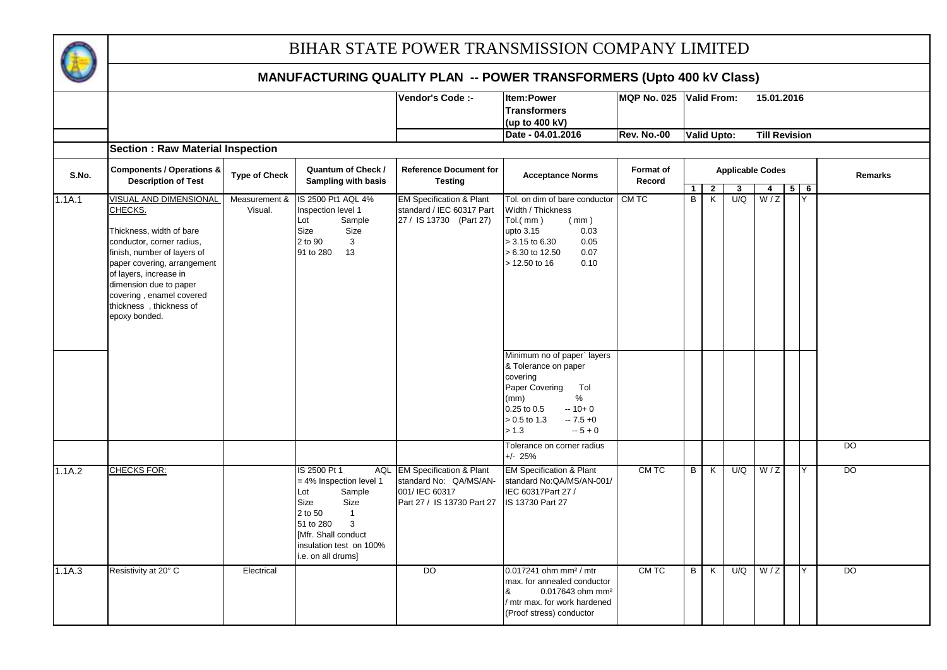

|        |                                                                                                                                                                                                                                                            |                      |                                                                                                                                                                                                               | Vendor's Code :-                                                                                              | Item:Power                                                                                                                                                                                   | <b>MQP No. 025</b>  |                   | <b>Valid From:</b>           |                         | 15.01.2016            |                 |                |
|--------|------------------------------------------------------------------------------------------------------------------------------------------------------------------------------------------------------------------------------------------------------------|----------------------|---------------------------------------------------------------------------------------------------------------------------------------------------------------------------------------------------------------|---------------------------------------------------------------------------------------------------------------|----------------------------------------------------------------------------------------------------------------------------------------------------------------------------------------------|---------------------|-------------------|------------------------------|-------------------------|-----------------------|-----------------|----------------|
|        |                                                                                                                                                                                                                                                            |                      |                                                                                                                                                                                                               |                                                                                                               | <b>Transformers</b>                                                                                                                                                                          |                     |                   |                              |                         |                       |                 |                |
|        |                                                                                                                                                                                                                                                            |                      |                                                                                                                                                                                                               |                                                                                                               | (up to 400 kV)                                                                                                                                                                               |                     |                   |                              |                         |                       |                 |                |
|        |                                                                                                                                                                                                                                                            |                      |                                                                                                                                                                                                               |                                                                                                               | Date - 04.01.2016                                                                                                                                                                            | <b>Rev. No.-00</b>  |                   | Valid Upto:                  |                         | <b>Till Revision</b>  |                 |                |
|        | <b>Section: Raw Material Inspection</b>                                                                                                                                                                                                                    |                      |                                                                                                                                                                                                               |                                                                                                               |                                                                                                                                                                                              |                     |                   |                              |                         |                       |                 |                |
| S.No.  | <b>Components / Operations &amp;</b><br><b>Description of Test</b>                                                                                                                                                                                         | <b>Type of Check</b> | Quantum of Check /<br><b>Sampling with basis</b>                                                                                                                                                              | <b>Reference Document for</b><br><b>Testing</b>                                                               | <b>Acceptance Norms</b>                                                                                                                                                                      | Format of<br>Record |                   |                              | <b>Applicable Codes</b> |                       |                 | Remarks        |
|        | VISUAL AND DIMENSIONAL                                                                                                                                                                                                                                     | Measurement &        | IS 2500 Pt1 AQL 4%                                                                                                                                                                                            | <b>EM Specification &amp; Plant</b>                                                                           | Tol. on dim of bare conductor                                                                                                                                                                | CM TC               | $\mathbf{1}$<br>B | $\overline{\mathbf{r}}$<br>K | 3<br>U/Q                | $\overline{4}$<br>W/Z | $5 \mid 6$<br>Y |                |
| 1.1A.1 | CHECKS.<br>Thickness, width of bare<br>conductor, corner radius,<br>finish, number of layers of<br>paper covering, arrangement<br>of layers, increase in<br>dimension due to paper<br>covering, enamel covered<br>thickness, thickness of<br>epoxy bonded. | Visual.              | Inspection level 1<br>Lot<br>Sample<br>Size<br>Size<br>2 to 90<br>$\mathbf{3}$<br>91 to 280<br>13                                                                                                             | standard / IEC 60317 Part<br>27 / IS 13730 (Part 27)                                                          | Width / Thickness<br>Tol.(mm)<br>(mm)<br>0.03<br>upto 3.15<br>> 3.15 to 6.30<br>0.05<br>6.30 to 12.50<br>0.07<br>> 12.50 to 16<br>0.10                                                       |                     |                   |                              |                         |                       |                 |                |
|        |                                                                                                                                                                                                                                                            |                      |                                                                                                                                                                                                               |                                                                                                               | Minimum no of paper` layers<br>& Tolerance on paper<br>covering<br>Paper Covering<br>Tol<br>%<br>(mm)<br>0.25 to 0.5<br>$-10+0$<br>$-7.5 +0$<br>$> 0.5$ to 1.3<br>> 1.3<br>$-5 + 0$          |                     |                   |                              |                         |                       |                 |                |
|        |                                                                                                                                                                                                                                                            |                      |                                                                                                                                                                                                               |                                                                                                               | Tolerance on corner radius<br>$+/- 25%$                                                                                                                                                      |                     |                   |                              |                         |                       |                 | <b>DO</b>      |
| 1.1A.2 | <b>CHECKS FOR:</b>                                                                                                                                                                                                                                         |                      | IS 2500 Pt 1<br>AQL<br>= 4% Inspection level 1<br>Lot<br>Sample<br>Size<br>Size<br>2 to 50<br>$\overline{1}$<br>51 to 280<br>3<br><b>IMfr. Shall conduct</b><br>insulation test on 100%<br>i.e. on all drums] | <b>EM Specification &amp; Plant</b><br>standard No: QA/MS/AN-<br>001/ IEC 60317<br>Part 27 / IS 13730 Part 27 | <b>EM Specification &amp; Plant</b><br>standard No:QA/MS/AN-001/<br>IEC 60317Part 27 /<br>IS 13730 Part 27                                                                                   | CM TC               | $\overline{B}$    | K                            | U/Q                     | W/Z                   | Y               | $\overline{D}$ |
| 1.1A.3 | Resistivity at 20° C                                                                                                                                                                                                                                       | Electrical           |                                                                                                                                                                                                               | DO                                                                                                            | $0.017241$ ohm mm <sup>2</sup> / mtr<br>max. for annealed conductor<br>$\boldsymbol{\mathsf{g}}$<br>0.017643 ohm mm <sup>2</sup><br>' mtr max. for work hardened<br>(Proof stress) conductor | CM TC               | B                 | K                            | U/Q                     | W/Z                   | Y               | $\overline{D}$ |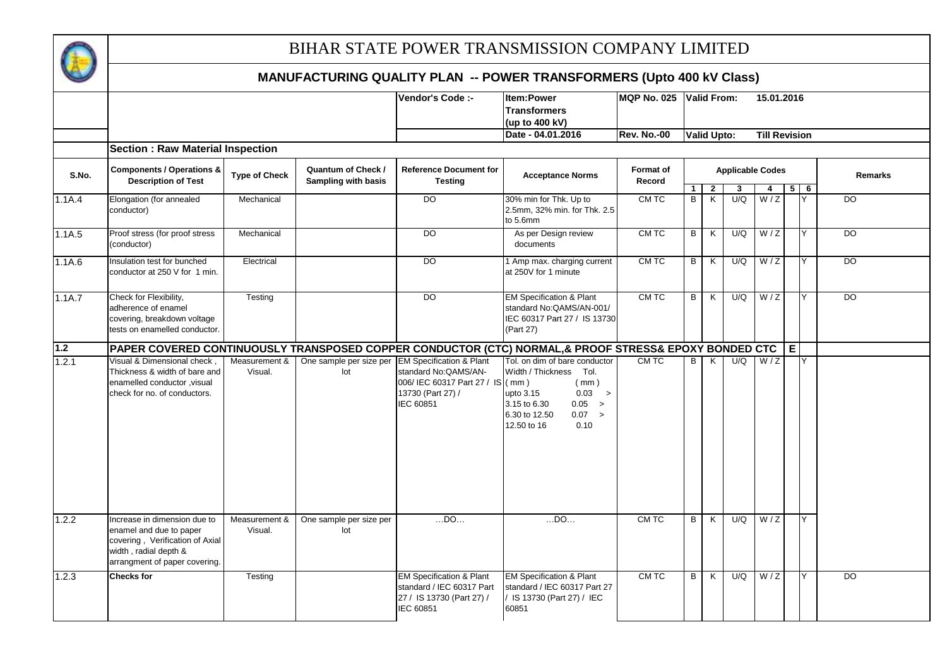

|        |                                                                                                                                                             |                                           |                                                           | Vendor's Code :-                                                                                                                       | Item:Power<br><b>Transformers</b><br>(up to 400 kV)                                                                                                                                 | MQP No. 025 Valid From:    |                   |                     |                         |                      | 15.01.2016 |                       |                 |
|--------|-------------------------------------------------------------------------------------------------------------------------------------------------------------|-------------------------------------------|-----------------------------------------------------------|----------------------------------------------------------------------------------------------------------------------------------------|-------------------------------------------------------------------------------------------------------------------------------------------------------------------------------------|----------------------------|-------------------|---------------------|-------------------------|----------------------|------------|-----------------------|-----------------|
|        |                                                                                                                                                             |                                           |                                                           |                                                                                                                                        | Date - 04.01.2016                                                                                                                                                                   | <b>Rev. No.-00</b>         |                   | <b>Valid Upto:</b>  |                         | <b>Till Revision</b> |            |                       |                 |
|        | <b>Section: Raw Material Inspection</b>                                                                                                                     |                                           |                                                           |                                                                                                                                        |                                                                                                                                                                                     |                            |                   |                     |                         |                      |            |                       |                 |
| S.No.  | <b>Components / Operations &amp;</b><br><b>Description of Test</b>                                                                                          | <b>Type of Check</b>                      | Quantum of Check /<br><b>Sampling with basis</b>          | <b>Reference Document for</b><br><b>Testing</b>                                                                                        | <b>Acceptance Norms</b>                                                                                                                                                             | <b>Format of</b><br>Record |                   |                     | <b>Applicable Codes</b> |                      |            |                       | Remarks         |
| 1.1A.4 | Elongation (for annealed<br>conductor)                                                                                                                      | Mechanical                                |                                                           | DO                                                                                                                                     | 30% min for Thk. Up to<br>2.5mm, 32% min. for Thk. 2.5<br>to 5.6mm                                                                                                                  | CM TC                      | $\mathbf{1}$<br>B | $\overline{2}$<br>Κ | 3<br>U/Q                | 4<br>W/Z             |            | $5 \overline{6}$<br>Y | DO              |
| 1.1A.5 | Proof stress (for proof stress<br>(conductor)                                                                                                               | Mechanical                                |                                                           | $\overline{D}$                                                                                                                         | As per Design review<br>documents                                                                                                                                                   | CM TC                      | $\overline{B}$    | K                   | U/Q                     | W/Z                  |            | Y                     | $\overline{DO}$ |
| 1.1A.6 | Insulation test for bunched<br>conductor at 250 V for 1 min.                                                                                                | Electrical                                |                                                           | $\overline{D}$                                                                                                                         | 1 Amp max. charging current<br>at 250V for 1 minute                                                                                                                                 | CM TC                      | $\overline{B}$    | K                   | U/Q                     | W/Z                  |            | Y                     | D <sub>O</sub>  |
| 1.1A.7 | Check for Flexibility,<br>adherence of enamel<br>covering, breakdown voltage<br>tests on enamelled conductor.                                               | Testing                                   |                                                           | $\overline{D}$                                                                                                                         | <b>EM Specification &amp; Plant</b><br>standard No: QAMS/AN-001/<br>IEC 60317 Part 27 / IS 13730<br>(Part 27)                                                                       | CM TC                      | B                 | K                   | U/Q                     | W/Z                  |            | Y                     | <b>DO</b>       |
| 1.2    | PAPER COVERED CONTINUOUSLY TRANSPOSED COPPER CONDUCTOR (CTC) NORMAL,& PROOF STRESS& EPOXY BONDED CTC                                                        |                                           |                                                           |                                                                                                                                        |                                                                                                                                                                                     |                            |                   |                     |                         |                      | E.         |                       |                 |
| 1.2.1  | Visual & Dimensional check<br>Thickness & width of bare and<br>enamelled conductor , visual<br>check for no. of conductors.<br>Increase in dimension due to | Measurement &<br>Visual.<br>Measurement & | One sample per size per<br>lot<br>One sample per size per | <b>EM Specification &amp; Plant</b><br>standard No: QAMS/AN-<br>006/ IEC 60317 Part 27 / IS<br>13730 (Part 27) /<br>IEC 60851<br>$$ DO | Tol. on dim of bare conductor<br>Width / Thickness Tol.<br>(mm)<br>(mm)<br>upto 3.15<br>0.03 ><br>3.15 to 6.30<br>0.05 ><br>6.30 to 12.50<br>0.07 ><br>12.50 to 16<br>0.10<br>$$ DO | CM TC<br>CM TC             | B<br>B            | K<br>K              | U/Q<br>U/Q              | W/Z<br>W/Z           |            | Y<br><b>Y</b>         |                 |
| 1.2.2  | enamel and due to paper<br>covering, Verification of Axial<br>width, radial depth &<br>arrangment of paper covering.                                        | Visual.                                   | lot                                                       |                                                                                                                                        |                                                                                                                                                                                     |                            |                   |                     |                         |                      |            |                       |                 |
| 1.2.3  | <b>Checks for</b>                                                                                                                                           | Testing                                   |                                                           | <b>EM Specification &amp; Plant</b><br>standard / IEC 60317 Part<br>27 / IS 13730 (Part 27) /<br>IEC 60851                             | <b>EM Specification &amp; Plant</b><br>standard / IEC 60317 Part 27<br>/ IS 13730 (Part 27) / IEC<br>60851                                                                          | CM TC                      | B                 | K                   | U/Q                     | W/Z                  |            | Y                     | <b>DO</b>       |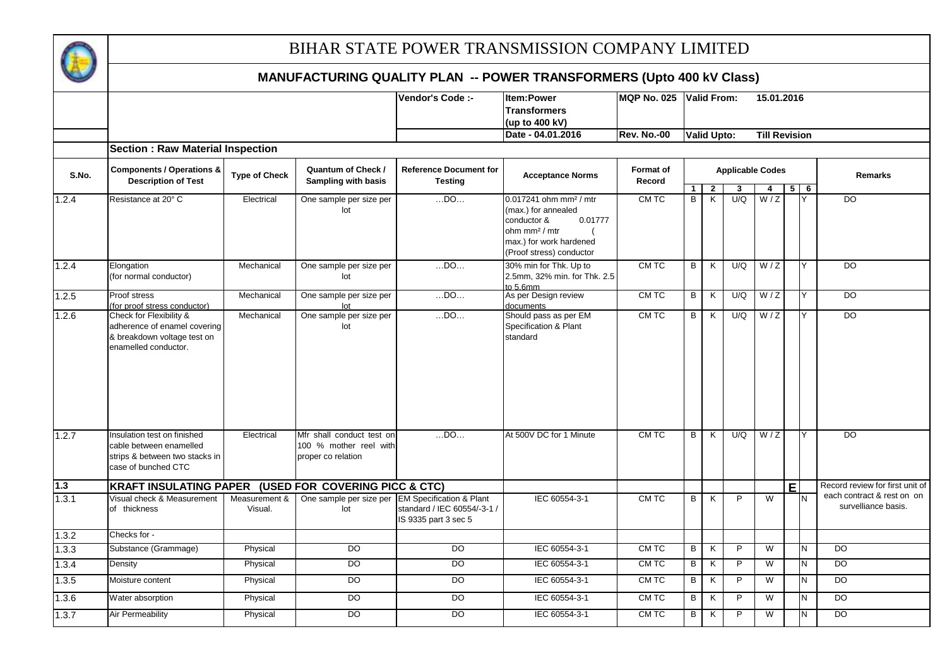

|       |                                                                                                                 |                          |                                                                           | Vendor's Code :-                                    | Item:Power                                                                                                                        | <b>MQP No. 025</b>  |                     | Valid From:                               |                         |                | 15.01.2016           |                 |                                                   |
|-------|-----------------------------------------------------------------------------------------------------------------|--------------------------|---------------------------------------------------------------------------|-----------------------------------------------------|-----------------------------------------------------------------------------------------------------------------------------------|---------------------|---------------------|-------------------------------------------|-------------------------|----------------|----------------------|-----------------|---------------------------------------------------|
|       |                                                                                                                 |                          |                                                                           |                                                     | <b>Transformers</b>                                                                                                               |                     |                     |                                           |                         |                |                      |                 |                                                   |
|       |                                                                                                                 |                          |                                                                           |                                                     | (up to 400 kV)                                                                                                                    |                     |                     |                                           |                         |                |                      |                 |                                                   |
|       |                                                                                                                 |                          |                                                                           |                                                     | Date - 04.01.2016                                                                                                                 | <b>Rev. No.-00</b>  |                     | <b>Valid Upto:</b>                        |                         |                | <b>Till Revision</b> |                 |                                                   |
|       | <b>Section: Raw Material Inspection</b>                                                                         |                          |                                                                           |                                                     |                                                                                                                                   |                     |                     |                                           |                         |                |                      |                 |                                                   |
| S.No. | <b>Components / Operations &amp;</b><br><b>Description of Test</b>                                              | <b>Type of Check</b>     | Quantum of Check /<br>Sampling with basis                                 | <b>Reference Document for</b><br><b>Testing</b>     | <b>Acceptance Norms</b>                                                                                                           | Format of<br>Record |                     |                                           | <b>Applicable Codes</b> |                |                      |                 | Remarks                                           |
| 1.2.4 | Resistance at 20° C                                                                                             | Electrical               | One sample per size per                                                   | $$ DO                                               | $0.017241$ ohm mm <sup>2</sup> / mtr                                                                                              | CM TC               | 1<br>$\overline{B}$ | $\overline{2}$<br>$\overline{\mathsf{K}}$ | 3<br>U/Q                | 4<br>W/Z       |                      | $5 \mid 6$<br>Y | $\overline{D}$                                    |
|       |                                                                                                                 |                          | lot                                                                       |                                                     | (max.) for annealed<br>conductor &<br>0.01777<br>ohm mm <sup>2</sup> / mtr<br>max.) for work hardened<br>(Proof stress) conductor |                     |                     |                                           |                         |                |                      |                 |                                                   |
| 1.2.4 | Elongation<br>(for normal conductor)                                                                            | Mechanical               | One sample per size per<br>lot                                            | $$ DO $$                                            | 30% min for Thk. Up to<br>2.5mm. 32% min. for Thk. 2.5<br>to $5.6$ mm                                                             | CM TC               | B                   | K                                         | U/Q                     | W/Z            |                      | Y               | DO                                                |
| 1.2.5 | Proof stress<br>(for proof stress conductor)                                                                    | Mechanical               | One sample per size per<br>lot                                            | $$ DO                                               | As per Design review<br>documents                                                                                                 | CM TC               | B                   | K                                         | U/Q                     | W/Z            |                      | Y               | DO                                                |
| 1.2.6 | Check for Flexibility &<br>adherence of enamel covering<br>& breakdown voltage test on<br>enamelled conductor.  | Mechanical               | One sample per size per<br>lot                                            | $$ DO                                               | Should pass as per EM<br>Specification & Plant<br>standard                                                                        | CM TC               | B                   | K                                         | U/Q                     | W/Z            |                      | Y               | $\overline{D}$                                    |
| 1.2.7 | Insulation test on finished<br>cable between enamelled<br>strips & between two stacks in<br>case of bunched CTC | Electrical               | Mfr shall conduct test on<br>100 % mother reel with<br>proper co relation | $$ DO                                               | At 500V DC for 1 Minute                                                                                                           | CM TC               | B                   | K                                         | U/Q                     | W/Z            |                      | Y               | DO                                                |
| $1.3$ | <b>KRAFT INSULATING PAPER</b>                                                                                   |                          | (USED FOR COVERING PICC & CTC)                                            |                                                     |                                                                                                                                   |                     |                     |                                           |                         |                | E                    |                 | Record review for first unit of                   |
| 1.3.1 | Visual check & Measurement<br>of thickness                                                                      | Measurement &<br>Visual. | One sample per size per EM Specification & Plant<br>lot                   | standard / IEC 60554/-3-1 /<br>IS 9335 part 3 sec 5 | IEC 60554-3-1                                                                                                                     | CM TC               | B                   | K                                         | P                       | W              |                      | N               | each contract & rest on on<br>survelliance basis. |
| 1.3.2 | Checks for -                                                                                                    |                          |                                                                           |                                                     |                                                                                                                                   |                     |                     |                                           |                         |                |                      |                 |                                                   |
| 1.3.3 | Substance (Grammage)                                                                                            | Physical                 | DO <sub>1</sub>                                                           | $\overline{D}$                                      | IEC 60554-3-1                                                                                                                     | CM TC               | B                   | $\overline{\mathsf{x}}$                   | $\overline{P}$          | $\overline{W}$ |                      | N               | $\overline{D}$                                    |
| 1.3.4 | Density                                                                                                         | Physical                 | $\overline{D}$                                                            | $\overline{DO}$                                     | IEC 60554-3-1                                                                                                                     | CM TC               | B                   | K                                         | $\mathsf{P}$            | $\overline{W}$ |                      | Z               | $\overline{D}$                                    |
| 1.3.5 | Moisture content                                                                                                | Physical                 | $\overline{D}$                                                            | $\overline{D}$                                      | IEC 60554-3-1                                                                                                                     | CM TC               | В                   | K                                         | P                       | W              |                      | N               | $\overline{D}$                                    |
| 1.3.6 | Water absorption                                                                                                | Physical                 | D <sub>O</sub>                                                            | $\overline{D}$                                      | IEC 60554-3-1                                                                                                                     | CM TC               | B                   | K                                         | P                       | W              |                      | N               | $\overline{D}$                                    |
| 1.3.7 | Air Permeability                                                                                                | Physical                 | $\overline{D}$                                                            | DO                                                  | IEC 60554-3-1                                                                                                                     | CM TC               | B                   | K                                         | $\mathsf{P}$            | W              |                      | N               | $\overline{D}$                                    |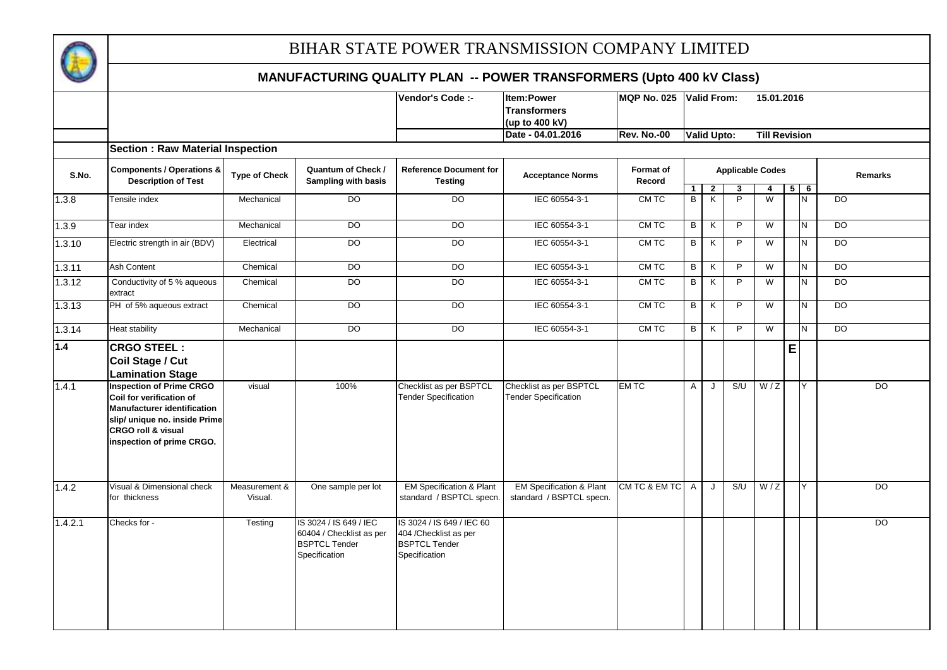

|         |                                                                                                                                                                                                  |                          |                                                                                             | Vendor's Code :-                                                                             | <b>Item:Power</b><br><b>Transformers</b>                        | MQP No. 025 Valid From: |                     |                                           |                     | 15.01.2016              |   |            |                |
|---------|--------------------------------------------------------------------------------------------------------------------------------------------------------------------------------------------------|--------------------------|---------------------------------------------------------------------------------------------|----------------------------------------------------------------------------------------------|-----------------------------------------------------------------|-------------------------|---------------------|-------------------------------------------|---------------------|-------------------------|---|------------|----------------|
|         |                                                                                                                                                                                                  |                          |                                                                                             |                                                                                              | (up to 400 kV)                                                  |                         |                     |                                           |                     |                         |   |            |                |
|         |                                                                                                                                                                                                  |                          |                                                                                             |                                                                                              | Date - 04.01.2016                                               | <b>Rev. No.-00</b>      |                     | <b>Valid Upto:</b>                        |                     | <b>Till Revision</b>    |   |            |                |
|         | <b>Section : Raw Material Inspection</b>                                                                                                                                                         |                          |                                                                                             |                                                                                              |                                                                 |                         |                     |                                           |                     |                         |   |            |                |
| S.No.   | <b>Components / Operations &amp;</b><br><b>Description of Test</b>                                                                                                                               | <b>Type of Check</b>     | Quantum of Check /<br><b>Sampling with basis</b>                                            | <b>Reference Document for</b><br><b>Testing</b>                                              | <b>Acceptance Norms</b>                                         | Format of<br>Record     |                     |                                           |                     | <b>Applicable Codes</b> |   |            | Remarks        |
|         |                                                                                                                                                                                                  | Mechanical               | <b>DO</b>                                                                                   | $\overline{D}$                                                                               | IEC 60554-3-1                                                   | CM TC                   | 1 <sup>1</sup><br>В | $\overline{2}$<br>$\overline{\mathsf{K}}$ | 3<br>$\overline{P}$ | $\overline{4}$<br>W     |   | $5 \mid 6$ | $\overline{D}$ |
| 1.3.8   | Tensile index                                                                                                                                                                                    |                          |                                                                                             |                                                                                              |                                                                 |                         |                     |                                           |                     |                         |   | N.         |                |
| 1.3.9   | Tear index                                                                                                                                                                                       | Mechanical               | <b>DO</b>                                                                                   | DO                                                                                           | IEC 60554-3-1                                                   | CM TC                   | $\overline{B}$      | K                                         | $\overline{P}$      | $\overline{W}$          |   | N          | $\overline{D}$ |
| 1.3.10  | Electric strength in air (BDV)                                                                                                                                                                   | Electrical               | $\overline{D}$                                                                              | <b>DO</b>                                                                                    | IEC 60554-3-1                                                   | CM TC                   | B                   | K                                         | P                   | $\overline{W}$          |   | N.         | DO             |
| 1.3.11  | <b>Ash Content</b>                                                                                                                                                                               | Chemical                 | DO                                                                                          | DO                                                                                           | IEC 60554-3-1                                                   | CM TC                   | $\overline{B}$      | K                                         | P                   | W                       |   | N.         | <b>DO</b>      |
| 1.3.12  | Conductivity of 5 % aqueous<br>extract                                                                                                                                                           | Chemical                 | DO                                                                                          | DO                                                                                           | IEC 60554-3-1                                                   | CM TC                   | B                   | K                                         | P                   | W                       |   | N          | <b>DO</b>      |
| 1.3.13  | PH of 5% aqueous extract                                                                                                                                                                         | Chemical                 | DO                                                                                          | D <sub>O</sub>                                                                               | IEC 60554-3-1                                                   | CM TC                   | $\overline{B}$      | K                                         | $\mathsf{P}$        | W                       |   | N          | <b>DO</b>      |
| 1.3.14  | Heat stability                                                                                                                                                                                   | Mechanical               | DO                                                                                          | D <sub>O</sub>                                                                               | IEC 60554-3-1                                                   | CM TC                   | B                   | K                                         | $\overline{P}$      | W                       |   | N.         | D <sub>O</sub> |
| 1.4     | <b>CRGO STEEL:</b><br>Coil Stage / Cut<br><b>Lamination Stage</b>                                                                                                                                |                          |                                                                                             |                                                                                              |                                                                 |                         |                     |                                           |                     |                         | E |            |                |
| 1.4.1   | <b>Inspection of Prime CRGO</b><br>Coil for verification of<br><b>Manufacturer identification</b><br>slip/ unique no. inside Prime<br><b>CRGO roll &amp; visual</b><br>inspection of prime CRGO. | visual                   | 100%                                                                                        | Checklist as per BSPTCL<br><b>Tender Specification</b>                                       | Checklist as per BSPTCL<br><b>Tender Specification</b>          | <b>EMTC</b>             | $\mathsf{A}$        | J                                         | S/U                 | W/Z                     |   | Y          | $\overline{D}$ |
| 1.4.2   | Visual & Dimensional check<br>for thickness                                                                                                                                                      | Measurement &<br>Visual. | One sample per lot                                                                          | <b>EM Specification &amp; Plant</b><br>standard / BSPTCL specn.                              | <b>EM Specification &amp; Plant</b><br>standard / BSPTCL specn. | CM TC & EM TC A         |                     | J                                         | S/U                 | W/Z                     |   | Y          | DO             |
| 1.4.2.1 | Checks for -                                                                                                                                                                                     | Testing                  | IS 3024 / IS 649 / IEC<br>60404 / Checklist as per<br><b>BSPTCL Tender</b><br>Specification | IS 3024 / IS 649 / IEC 60<br>404 / Checklist as per<br><b>BSPTCL Tender</b><br>Specification |                                                                 |                         |                     |                                           |                     |                         |   |            | DO             |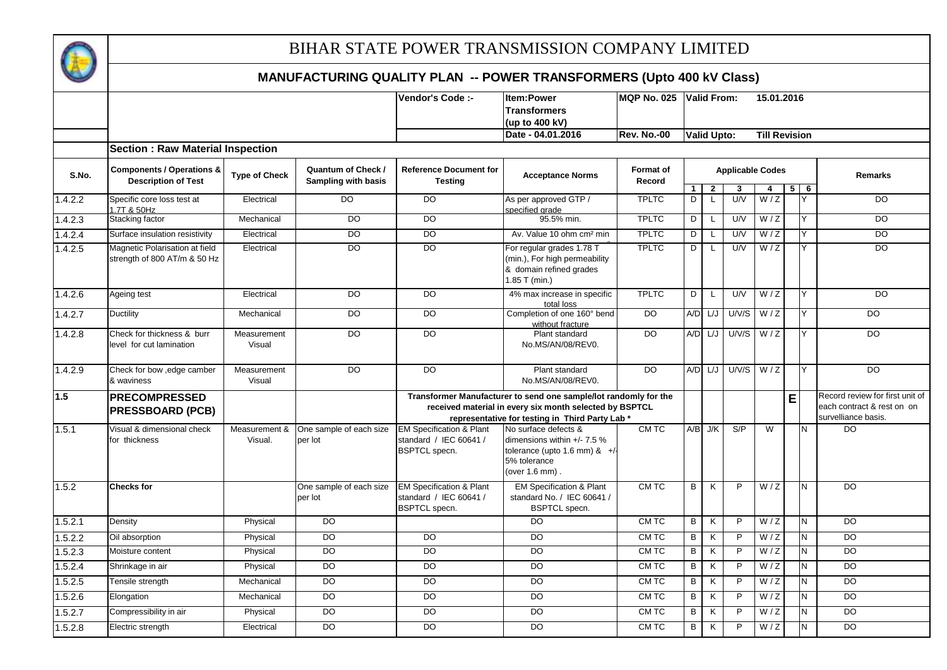

|         |                                                                |                          |                                                  | Vendor's Code :-                                                                      | <b>Item:Power</b><br><b>Transformers</b><br>(up to 400 kV)                                                                                                                     | MQP No. 025 Valid From:    |                            |                                |                         | 15.01.2016           |   |        |                                                                                      |
|---------|----------------------------------------------------------------|--------------------------|--------------------------------------------------|---------------------------------------------------------------------------------------|--------------------------------------------------------------------------------------------------------------------------------------------------------------------------------|----------------------------|----------------------------|--------------------------------|-------------------------|----------------------|---|--------|--------------------------------------------------------------------------------------|
|         |                                                                |                          |                                                  |                                                                                       | Date - 04.01.2016                                                                                                                                                              | <b>Rev. No.-00</b>         |                            | <b>Valid Upto:</b>             |                         | <b>Till Revision</b> |   |        |                                                                                      |
|         | <b>Section: Raw Material Inspection</b>                        |                          |                                                  |                                                                                       |                                                                                                                                                                                |                            |                            |                                |                         |                      |   |        |                                                                                      |
| S.No.   | <b>Components / Operations &amp;</b><br>Description of Test    | <b>Type of Check</b>     | <b>Quantum of Check /</b><br>Sampling with basis | <b>Reference Document for</b><br><b>Testing</b>                                       | <b>Acceptance Norms</b>                                                                                                                                                        | <b>Format of</b><br>Record |                            |                                | <b>Applicable Codes</b> |                      |   |        | <b>Remarks</b>                                                                       |
| 1.4.2.2 | Specific core loss test at                                     | Electrical               | DO                                               | DO                                                                                    | As per approved GTP /                                                                                                                                                          | <b>TPLTC</b>               | $1 \mid$<br>$\overline{D}$ | $\overline{2}$<br>$\mathsf{L}$ | 3<br>UV                 | 4<br>W/Z             | 5 | 6<br>Y | <b>DO</b>                                                                            |
|         | .7T & 50Hz                                                     |                          |                                                  |                                                                                       | specified grade                                                                                                                                                                |                            |                            |                                |                         |                      |   |        |                                                                                      |
| 1.4.2.3 | Stacking factor                                                | Mechanical               | $\overline{D}$                                   | $\overline{D}$                                                                        | 95.5% min.                                                                                                                                                                     | <b>TPLTC</b>               | D                          | L                              | U/V                     | W/Z                  |   |        | <b>DO</b>                                                                            |
| 1.4.2.4 | Surface insulation resistivity                                 | Electrical               | $\overline{D}$                                   | $\overline{D}$                                                                        | Av. Value 10 ohm cm <sup>2</sup> min                                                                                                                                           | <b>TPLTC</b>               | D                          | L                              | U/V                     | $\overline{W/Z}$     |   | Y      | DO                                                                                   |
| 1.4.2.5 | Magnetic Polarisation at field<br>strength of 800 AT/m & 50 Hz | Electrical               | $\overline{D}$                                   | $\overline{D}$                                                                        | For regular grades 1.78 T<br>(min.), For high permeability<br>& domain refined grades<br>1.85 T (min.)                                                                         | <b>TPLTC</b>               | D                          | L                              | U/V                     | W/Z                  |   | Y      | DO                                                                                   |
| 1.4.2.6 | Ageing test                                                    | Electrical               | $\overline{D}$                                   | DO                                                                                    | 4% max increase in specific<br>total loss                                                                                                                                      | <b>TPLTC</b>               | D                          | $\mathsf{L}$                   | U/V                     | W/Z                  |   | Y      | DO                                                                                   |
| 1.4.2.7 | Ductility                                                      | Mechanical               | $\overline{D}$                                   | $\overline{D}$                                                                        | Completion of one 160° bend<br>without fracture                                                                                                                                | D <sub>O</sub>             |                            | $A/D$ $L/J$                    |                         | $UN/S$ $W/Z$         |   | Y      | $\overline{D}$                                                                       |
| 1.4.2.8 | Check for thickness & burr<br>level for cut lamination         | Measurement<br>Visual    | <b>DO</b>                                        | DO                                                                                    | Plant standard<br>No.MS/AN/08/REV0.                                                                                                                                            | <b>DO</b>                  |                            | $A/D$ $L/J$                    |                         | $UN/S$ $W/Z$         |   | Y      | DO                                                                                   |
| 1.4.2.9 | Check for bow , edge camber<br>& waviness                      | Measurement<br>Visual    | $\overline{D}$                                   | $\overline{DO}$                                                                       | Plant standard<br>No.MS/AN/08/REV0.                                                                                                                                            | $\overline{DO}$            |                            | $A/D$ $L/J$                    | $UN/S$ $W/Z$            |                      |   | Y      | $\overline{DO}$                                                                      |
| 1.5     | <b>PRECOMPRESSED</b><br><b>PRESSBOARD (PCB)</b>                |                          |                                                  |                                                                                       | Transformer Manufacturer to send one sample/lot randomly for the<br>received material in every six month selected by BSPTCL<br>representative for testing in Third Party Lab * |                            |                            |                                |                         |                      | E |        | Record review for first unit of<br>each contract & rest on on<br>survelliance basis. |
| 1.5.1   | Visual & dimensional check<br>for thickness                    | Measurement &<br>Visual. | One sample of each size<br>per lot               | <b>EM Specification &amp; Plant</b><br>standard / IEC 60641 /<br><b>BSPTCL</b> specn. | No surface defects &<br>dimensions within $+/- 7.5 \%$<br>tolerance (upto 1.6 mm) & +/<br>5% tolerance<br>(over $1.6$ mm)                                                      | CM TC                      |                            | $A/B$ J/K                      | S/P                     | W                    |   | IN.    | <b>DO</b>                                                                            |
| 1.5.2   | <b>Checks for</b>                                              |                          | One sample of each size<br>per lot               | <b>EM Specification &amp; Plant</b><br>standard / IEC 60641 /<br><b>BSPTCL</b> specn. | <b>EM Specification &amp; Plant</b><br>standard No. / IEC 60641 /<br><b>BSPTCL</b> specn.                                                                                      | CM TC                      | B                          | K                              | P                       | W/Z                  |   | N      | <b>DO</b>                                                                            |
| 1.5.2.1 | Density                                                        | Physical                 | $\overline{D}$                                   |                                                                                       | DO                                                                                                                                                                             | CM TC                      | B                          | K                              | $\overline{P}$          | W/Z                  |   | N      | $\overline{D}$                                                                       |
| 1.5.2.2 | Oil absorption                                                 | Physical                 | <b>DO</b>                                        | DO                                                                                    | DO                                                                                                                                                                             | CM TC                      | B                          | К                              | P                       | W/Z                  |   | N      | DO                                                                                   |
| 1.5.2.3 | Moisture content                                               | Physical                 | <b>DO</b>                                        | DO                                                                                    | D <sub>O</sub>                                                                                                                                                                 | CM TC                      | B                          | K                              | P                       | W/Z                  |   | N      | D <sub>O</sub>                                                                       |
| 1.5.2.4 | Shrinkage in air                                               | Physical                 | DO                                               | $\overline{D}$                                                                        | $\overline{D}$                                                                                                                                                                 | CM TC                      | B                          | K                              | P                       | W/Z                  |   | Ñ      | $\overline{D}$                                                                       |
| 1.5.2.5 | Tensile strength                                               | Mechanical               | $\overline{D}$                                   | DO                                                                                    | $\overline{D}$                                                                                                                                                                 | CM TC                      | В                          | K                              | $\mathsf{P}$            | W/Z                  |   | N      | $\overline{D}$                                                                       |
| 1.5.2.6 | Elongation                                                     | Mechanical               | <b>DO</b>                                        | DO                                                                                    | <b>DO</b>                                                                                                                                                                      | CM TC                      | B                          | K                              | P                       | W/Z                  |   | N      | <b>DO</b>                                                                            |
| 1.5.2.7 | Compressibility in air                                         | Physical                 | <b>DO</b>                                        | DO                                                                                    | DO                                                                                                                                                                             | CM TC                      | B                          | K                              | P                       | W/Z                  |   | N      | DO                                                                                   |
| 1.5.2.8 | Electric strength                                              | Electrical               | $\overline{D}$                                   | DO.                                                                                   | $\overline{D}$                                                                                                                                                                 | CM TC                      | B                          | K                              | P                       | W/Z                  |   | N      | $\overline{D}$                                                                       |
|         |                                                                |                          |                                                  |                                                                                       |                                                                                                                                                                                |                            |                            |                                |                         |                      |   |        |                                                                                      |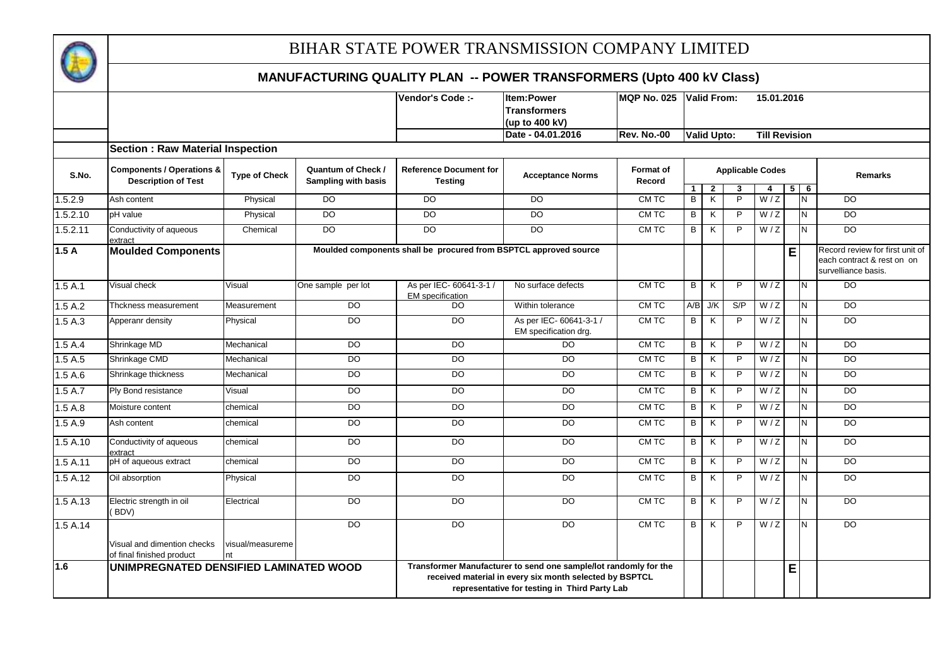

|          |                                                                    |                        | Item:Power<br>Vendor's Code :-                   |                                                                  |                                                                                                                                                                              |                                 |                                |                                           |                     |                         |   |                         |                                                                                      |
|----------|--------------------------------------------------------------------|------------------------|--------------------------------------------------|------------------------------------------------------------------|------------------------------------------------------------------------------------------------------------------------------------------------------------------------------|---------------------------------|--------------------------------|-------------------------------------------|---------------------|-------------------------|---|-------------------------|--------------------------------------------------------------------------------------|
|          |                                                                    |                        |                                                  |                                                                  | <b>Transformers</b>                                                                                                                                                          | <b>IMQP No. 025 Valid From:</b> |                                |                                           |                     | 15.01.2016              |   |                         |                                                                                      |
|          |                                                                    |                        |                                                  |                                                                  | (up to 400 kV)                                                                                                                                                               |                                 |                                |                                           |                     |                         |   |                         |                                                                                      |
|          |                                                                    |                        |                                                  |                                                                  | Date - 04.01.2016                                                                                                                                                            | <b>Rev. No.-00</b>              |                                | <b>Valid Upto:</b>                        |                     | <b>Till Revision</b>    |   |                         |                                                                                      |
|          | <b>Section: Raw Material Inspection</b>                            |                        |                                                  |                                                                  |                                                                                                                                                                              |                                 |                                |                                           |                     |                         |   |                         |                                                                                      |
| S.No.    | <b>Components / Operations &amp;</b><br><b>Description of Test</b> | <b>Type of Check</b>   | <b>Quantum of Check /</b><br>Sampling with basis | <b>Reference Document for</b><br><b>Testing</b>                  | <b>Acceptance Norms</b>                                                                                                                                                      | <b>Format of</b><br>Record      |                                |                                           |                     | <b>Applicable Codes</b> |   |                         | Remarks                                                                              |
|          | Ash content                                                        |                        | D <sub>O</sub>                                   | D <sub>O</sub>                                                   | D <sub>O</sub>                                                                                                                                                               | CM TC                           | $\mathbf{1}$<br>$\overline{B}$ | $\overline{2}$<br>$\overline{\mathsf{K}}$ | 3<br>$\overline{P}$ | 4<br>W/Z                |   | $5 \mid 6$<br>IN.       | <b>DO</b>                                                                            |
| 1.5.2.9  |                                                                    | Physical               |                                                  |                                                                  |                                                                                                                                                                              |                                 |                                |                                           |                     |                         |   |                         |                                                                                      |
| 1.5.2.10 | pH value                                                           | Physical               | <sub>DO</sub>                                    | <b>DO</b>                                                        | DO                                                                                                                                                                           | CM TC                           | В                              | Κ                                         | P                   | W/Z                     |   | N                       | $\overline{D}$                                                                       |
| 1.5.2.11 | Conductivity of aqueous<br>extract                                 | Chemical               | $\overline{D}$                                   | $\overline{DO}$                                                  | $\overline{D}$                                                                                                                                                               | CM TC                           | B                              | K                                         | P                   | W/Z                     |   | $\overline{\mathsf{N}}$ | $\overline{D}$                                                                       |
| 1.5A     | <b>Moulded Components</b>                                          |                        |                                                  | Moulded components shall be procured from BSPTCL approved source |                                                                                                                                                                              |                                 |                                |                                           |                     |                         | E |                         | Record review for first unit of<br>each contract & rest on on<br>survelliance basis. |
| 1.5A.1   | Visual check                                                       | Visual                 | One sample per lot                               | As per IEC- 60641-3-1 /<br><b>EM</b> specification               | No surface defects                                                                                                                                                           | CM TC                           | B                              | K                                         | $\overline{P}$      | W/Z                     |   | <b>N</b>                | DO                                                                                   |
| 1.5A.2   | Thckness measurement                                               | Measurement            | <b>DO</b>                                        | DO                                                               | Within tolerance                                                                                                                                                             | CM TC                           | A/B                            | J/K                                       | S/P                 | W/Z                     |   | N                       | $\overline{D}$                                                                       |
| 1.5A.3   | Apperanr density                                                   | Physical               | D <sub>O</sub>                                   | D <sub>O</sub>                                                   | As per IEC- 60641-3-1 /<br>EM specification drg.                                                                                                                             | CM TC                           | B                              | $\overline{\mathsf{K}}$                   | $\overline{P}$      | W/Z                     |   | <b>N</b>                | D <sub>O</sub>                                                                       |
| 1.5A.4   | Shrinkage MD                                                       | Mechanical             | D <sub>O</sub>                                   | DO                                                               | $\overline{D}$                                                                                                                                                               | CM TC                           | В                              | K                                         | $\overline{P}$      | W/Z                     |   | N                       | D <sub>O</sub>                                                                       |
| 1.5A.5   | Shrinkage CMD                                                      | Mechanical             | <b>DO</b>                                        | DO                                                               | <b>DO</b>                                                                                                                                                                    | CM TC                           | B                              | K                                         | P                   | W/Z                     |   | Z                       | <b>DO</b>                                                                            |
| 1.5A.6   | Shrinkage thickness                                                | Mechanical             | <b>DO</b>                                        | $\overline{50}$                                                  | <b>DO</b>                                                                                                                                                                    | <b>CMTC</b>                     | В                              | K                                         | P                   | W/Z                     |   | N                       | DO                                                                                   |
| 1.5A.7   | Ply Bond resistance                                                | Visual                 | $\overline{D}$                                   | $\overline{50}$                                                  | $\overline{D}$                                                                                                                                                               | CMTC                            | B                              | K                                         | P                   | W/Z                     |   | N                       | $\overline{D}$                                                                       |
| 1.5A.8   | Moisture content                                                   | chemical               | $\overline{D}$                                   | DO                                                               | <b>DO</b>                                                                                                                                                                    | <b>CMTC</b>                     | В                              | K                                         | P                   | W/Z                     |   | N                       | D <sub>O</sub>                                                                       |
| 1.5A.9   | Ash content                                                        | chemical               | $\overline{D}$                                   | $\overline{50}$                                                  | $\overline{D}$                                                                                                                                                               | CMTC                            | В                              | Κ                                         | P                   | W/Z                     |   | N                       | $\overline{D}$                                                                       |
| 1.5A.10  | Conductivity of aqueous<br>extract                                 | chemical               | D <sub>O</sub>                                   | <b>DO</b>                                                        | D <sub>O</sub>                                                                                                                                                               | CM TC                           | B                              | K                                         | P                   | W/Z                     |   | IN.                     | D <sub>O</sub>                                                                       |
| 1.5A.11  | pH of aqueous extract                                              | chemical               | <b>DO</b>                                        | DO                                                               | <b>DO</b>                                                                                                                                                                    | CMTC                            | В                              | K                                         | P                   | W/Z                     |   | N                       | DO                                                                                   |
| 1.5A.12  | Oil absorption                                                     | Physical               | <b>DO</b>                                        | <b>DO</b>                                                        | <b>DO</b>                                                                                                                                                                    | CM TC                           | B                              | K                                         | P                   | W/Z                     |   | Z                       | DO                                                                                   |
| 1.5A.13  | Electric strength in oil<br>(BDV)                                  | Electrical             | <b>DO</b>                                        | $\overline{D}$                                                   | <b>DO</b>                                                                                                                                                                    | CM TC                           | B                              | K                                         | P                   | W/Z                     |   | <b>N</b>                | $\overline{D}$                                                                       |
| 1.5 A.14 |                                                                    |                        | <b>DO</b>                                        | <b>DO</b>                                                        | D <sub>O</sub>                                                                                                                                                               | <b>CMTC</b>                     | B                              | K                                         | P                   | W/Z                     |   | IN.                     | DO                                                                                   |
|          | Visual and dimention checks<br>of final finished product           | visual/measureme<br>nt |                                                  |                                                                  |                                                                                                                                                                              |                                 |                                |                                           |                     |                         |   |                         |                                                                                      |
| 1.6      | UNIMPREGNATED DENSIFIED LAMINATED WOOD                             |                        |                                                  |                                                                  | Transformer Manufacturer to send one sample/lot randomly for the<br>received material in every six month selected by BSPTCL<br>representative for testing in Third Party Lab |                                 |                                |                                           |                     |                         | E |                         |                                                                                      |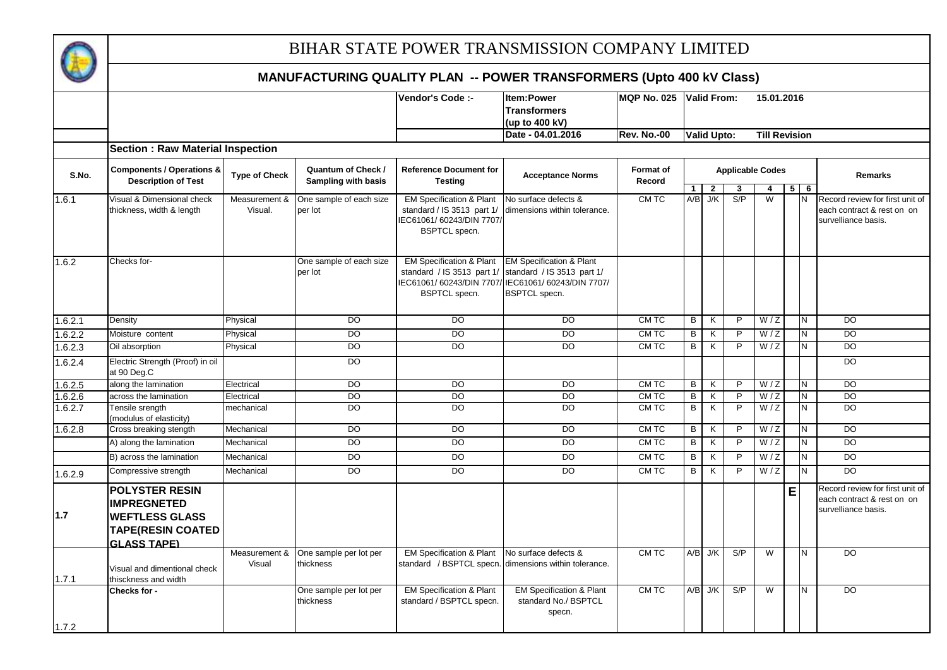

|         |                                                                                                                        |                         |                                                         |                                                                                | Item:Power                                                                                                                                    | <b>MQP No. 025</b>  |              |                             |                         |                      |                |                |                                                                                      |
|---------|------------------------------------------------------------------------------------------------------------------------|-------------------------|---------------------------------------------------------|--------------------------------------------------------------------------------|-----------------------------------------------------------------------------------------------------------------------------------------------|---------------------|--------------|-----------------------------|-------------------------|----------------------|----------------|----------------|--------------------------------------------------------------------------------------|
|         |                                                                                                                        |                         |                                                         | Vendor's Code :-                                                               | <b>Transformers</b>                                                                                                                           |                     |              | <b>Valid From:</b>          |                         | 15.01.2016           |                |                |                                                                                      |
|         |                                                                                                                        |                         |                                                         |                                                                                | (up to 400 kV)                                                                                                                                |                     |              |                             |                         |                      |                |                |                                                                                      |
|         |                                                                                                                        |                         |                                                         |                                                                                | Date - 04.01.2016                                                                                                                             | <b>Rev. No.-00</b>  |              | Valid Upto:                 |                         | <b>Till Revision</b> |                |                |                                                                                      |
|         | <b>Section: Raw Material Inspection</b>                                                                                |                         |                                                         |                                                                                |                                                                                                                                               |                     |              |                             |                         |                      |                |                |                                                                                      |
|         |                                                                                                                        |                         |                                                         |                                                                                |                                                                                                                                               |                     |              |                             |                         |                      |                |                |                                                                                      |
| S.No.   | <b>Components / Operations &amp;</b><br><b>Description of Test</b>                                                     | <b>Type of Check</b>    | <b>Quantum of Check /</b><br><b>Sampling with basis</b> | Reference Document for<br><b>Testing</b>                                       | <b>Acceptance Norms</b>                                                                                                                       | Format of<br>Record |              |                             | <b>Applicable Codes</b> |                      |                |                | Remarks                                                                              |
| 1.6.1   | Visual & Dimensional check                                                                                             | Measurement &           | One sample of each size                                 | <b>EM Specification &amp; Plant</b>                                            | No surface defects &                                                                                                                          | CM TC               | $\mathbf{1}$ | $\overline{2}$<br>$A/B$ J/K | 3<br>S/P                | 4<br>W               | 5 <sup>1</sup> | 6<br>N         | Record review for first unit of                                                      |
|         | thickness, width & length                                                                                              | Visual.                 | per lot                                                 | standard / IS 3513 part 1/<br>IEC61061/60243/DIN 7707/<br><b>BSPTCL</b> specn. | dimensions within tolerance.                                                                                                                  |                     |              |                             |                         |                      |                |                | each contract & rest on on<br>survelliance basis.                                    |
| 1.6.2   | Checks for-                                                                                                            |                         | One sample of each size<br>per lot                      | EM Specification & Plant<br>standard / IS 3513 part 1/<br><b>BSPTCL</b> specn. | <b>EM Specification &amp; Plant</b><br>standard / IS 3513 part 1/<br>IEC61061/60243/DIN 7707/IEC61061/60243/DIN 7707/<br><b>BSPTCL</b> specn. |                     |              |                             |                         |                      |                |                |                                                                                      |
| 1.6.2.1 | Density                                                                                                                | Physical                | $\overline{D}$                                          | $\overline{D}$                                                                 | $\overline{D}$                                                                                                                                | CMTC                | B            | K                           | $\overline{P}$          | W/Z                  |                | $\overline{N}$ | $\overline{D}$                                                                       |
| 1.6.2.2 | Moisture content                                                                                                       | Physical                | D <sub>O</sub>                                          | <b>DO</b>                                                                      | DO                                                                                                                                            | CM TC               | В            | K                           | P                       | W/Z                  |                | N              | <b>DO</b>                                                                            |
| 1.6.2.3 | Oil absorption                                                                                                         | Physical                | $\overline{D}$                                          | <b>DO</b>                                                                      | $\overline{DO}$                                                                                                                               | CM TC               | B            | K                           | P                       | W/Z                  |                | N              | $\overline{D}$                                                                       |
| 1.6.2.4 | Electric Strength (Proof) in oil<br>at 90 Deg.C                                                                        |                         | $\overline{D}$                                          |                                                                                |                                                                                                                                               |                     |              |                             |                         |                      |                |                | $\overline{D}$                                                                       |
| 1.6.2.5 | along the lamination                                                                                                   | Electrical              | $\overline{D}$                                          | <b>DO</b>                                                                      | DO                                                                                                                                            | CM TC               | B            | K                           | $\overline{P}$          | W/Z                  |                | N.             | $\overline{D}$                                                                       |
| 1.6.2.6 | across the lamination                                                                                                  | Electrical              | $\overline{D}$                                          | $\overline{D}$                                                                 | DO                                                                                                                                            | CM TC               | B            | K                           | $\overline{P}$          | W/Z                  |                | N              | <b>DO</b>                                                                            |
| 1.6.2.7 | Tensile srength<br>(modulus of elasticity)                                                                             | mechanical              | D <sub>O</sub>                                          | $\overline{D}$                                                                 | $\overline{D}$                                                                                                                                | CMTC                | В            | $\overline{\mathsf{K}}$     | P                       | W/Z                  |                | $\overline{N}$ | $\overline{D}$                                                                       |
| 1.6.2.8 | Cross breaking stength                                                                                                 | Mechanical              | $\overline{D}$                                          | <b>DO</b>                                                                      | $\overline{D}$                                                                                                                                | CMTC                | B            | K                           | $\overline{P}$          | W/Z                  |                | N.             | $\overline{D}$                                                                       |
|         | A) along the lamination                                                                                                | Mechanical              | $\overline{D}$                                          | DO                                                                             | <b>DO</b>                                                                                                                                     | CM TC               | B            | K                           | P                       | W/Z                  |                | N.             | <b>DO</b>                                                                            |
|         | B) across the lamination                                                                                               | Mechanical              | <b>DO</b>                                               | DO                                                                             | <b>DO</b>                                                                                                                                     | CM TC               | B            | K                           | P                       | W/Z                  |                | N              | DO                                                                                   |
| 1.6.2.9 | Compressive strength                                                                                                   | Mechanical              | $\overline{D}$                                          | <b>DO</b>                                                                      | DO                                                                                                                                            | CM TC               | B            | K                           | P                       | W/Z                  |                | N.             | $\overline{D}$                                                                       |
| 1.7     | <b>POLYSTER RESIN</b><br><b>IMPREGNETED</b><br><b>WEFTLESS GLASS</b><br><b>TAPE(RESIN COATED</b><br><b>GLASS TAPE)</b> |                         |                                                         |                                                                                |                                                                                                                                               |                     |              |                             |                         |                      | E              |                | Record review for first unit of<br>each contract & rest on on<br>survelliance basis. |
| 1.7.1   | Visual and dimentional check<br>thisckness and width                                                                   | Measurement &<br>Visual | One sample per lot per<br>thickness                     | <b>EM Specification &amp; Plant</b><br>standard / BSPTCL specn.                | No surface defects &<br>dimensions within tolerance.                                                                                          | CM TC               |              | $A/B$ J/K                   | S/P                     | W                    |                | N              | <b>DO</b>                                                                            |
| 1.7.2   | Checks for -                                                                                                           |                         | One sample per lot per<br>thickness                     | <b>EM Specification &amp; Plant</b><br>standard / BSPTCL specn.                | <b>EM Specification &amp; Plant</b><br>standard No./ BSPTCL<br>specn.                                                                         | CM TC               |              | $A/B$ J/K                   | S/P                     | W                    |                | $\overline{N}$ | $\overline{D}$                                                                       |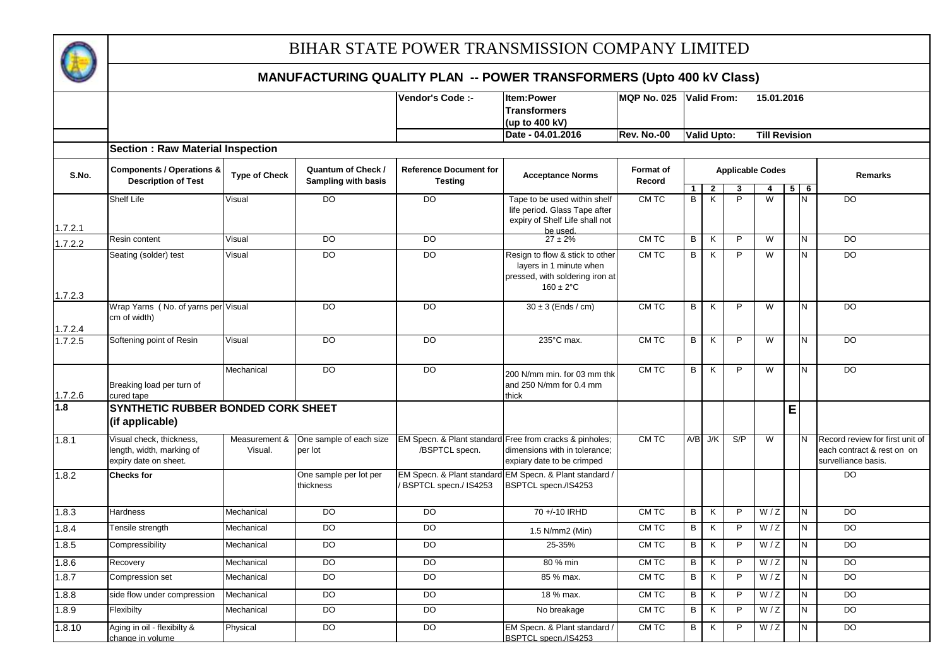

|         |                                                                                |                          |                                           | Vendor's Code :-                                | Item:Power<br><b>Transformers</b>                                                                                      | MQP No. 025                |                | <b>Valid From:</b> |                         | 15.01.2016              |          |                |                                                                                      |
|---------|--------------------------------------------------------------------------------|--------------------------|-------------------------------------------|-------------------------------------------------|------------------------------------------------------------------------------------------------------------------------|----------------------------|----------------|--------------------|-------------------------|-------------------------|----------|----------------|--------------------------------------------------------------------------------------|
|         |                                                                                |                          |                                           |                                                 | (up to 400 kV)                                                                                                         |                            |                |                    |                         |                         |          |                |                                                                                      |
|         |                                                                                |                          |                                           |                                                 | Date - 04.01.2016                                                                                                      | <b>Rev. No.-00</b>         |                | <b>Valid Upto:</b> |                         | <b>Till Revision</b>    |          |                |                                                                                      |
|         |                                                                                |                          |                                           |                                                 |                                                                                                                        |                            |                |                    |                         |                         |          |                |                                                                                      |
|         | <b>Section: Raw Material Inspection</b>                                        |                          |                                           |                                                 |                                                                                                                        |                            |                |                    |                         |                         |          |                |                                                                                      |
| S.No.   | <b>Components / Operations &amp;</b><br><b>Description of Test</b>             | <b>Type of Check</b>     | Quantum of Check /<br>Sampling with basis | <b>Reference Document for</b><br><b>Testing</b> | <b>Acceptance Norms</b>                                                                                                | <b>Format of</b><br>Record | 1              |                    | <b>Applicable Codes</b> | 4                       | $5 \mid$ | $\overline{6}$ | <b>Remarks</b>                                                                       |
|         | Shelf Life                                                                     | Visual                   | DO                                        | $\overline{D}$                                  | Tape to be used within shelf                                                                                           | CM TC                      | B              | $\mathbf{2}$<br>K  | 3<br>P                  | W                       |          | N              | <b>DO</b>                                                                            |
| 1.7.2.1 |                                                                                |                          |                                           |                                                 | life period. Glass Tape after<br>expiry of Shelf Life shall not                                                        |                            |                |                    |                         |                         |          |                |                                                                                      |
| 1.7.2.2 | Resin content                                                                  | Visual                   | $\overline{D}$                            | $\overline{D}$                                  | be used<br>$27 \pm 2\%$                                                                                                | CM TC                      | В              | K                  | $\mathsf{P}$            | $\overline{\mathsf{w}}$ |          | N              | $\overline{D}$                                                                       |
| 1.7.2.3 | Seating (solder) test                                                          | Visual                   | $\overline{D}$                            | $\overline{D}$                                  | Resign to flow & stick to other<br>layers in 1 minute when<br>pressed, with soldering iron at<br>$160 \pm 2^{\circ}$ C | CM TC                      | В              | K                  | $\overline{P}$          | W                       |          | N              | D <sub>O</sub>                                                                       |
| 1.7.2.4 | Wrap Yarns (No. of yarns per Visual<br>cm of width)                            |                          | $\overline{D}$                            | $\overline{D}$                                  | $30 \pm 3$ (Ends / cm)                                                                                                 | CM TC                      | B              | K                  | P                       | $\overline{W}$          |          | N              | $\overline{D}$                                                                       |
| 1.7.2.5 | Softening point of Resin                                                       | Visual                   | $\overline{D}$                            | $\overline{D}$                                  | 235°C max.                                                                                                             | CMTC                       | В              | K                  | P                       | W                       |          | N              | $\overline{D}$                                                                       |
| 1.7.2.6 | Breaking load per turn of<br>cured tape                                        | Mechanical               | DO                                        | DO                                              | 200 N/mm min. for 03 mm thk<br>and 250 N/mm for 0.4 mm<br>thick                                                        | CM TC                      | B              | K                  | P                       | W                       |          | N              | <b>DO</b>                                                                            |
| 1.8     | SYNTHETIC RUBBER BONDED CORK SHEET<br>(if applicable)                          |                          |                                           |                                                 |                                                                                                                        |                            |                |                    |                         |                         | E        |                |                                                                                      |
| 1.8.1   | Visual check, thickness,<br>length, width, marking of<br>expiry date on sheet. | Measurement &<br>Visual. | One sample of each size<br>per lot        | /BSPTCL specn.                                  | EM Specn. & Plant standard Free from cracks & pinholes;<br>dimensions with in tolerance;<br>expiary date to be crimped | CM TC                      |                | $A/B$ J/K          | S/P                     | W                       |          | N              | Record review for first unit of<br>each contract & rest on on<br>survelliance basis. |
| 1.8.2   | <b>Checks for</b>                                                              |                          | One sample per lot per<br>thickness       | BSPTCL specn./ IS4253                           | EM Specn. & Plant standard EM Specn. & Plant standard /<br>BSPTCL specn./IS4253                                        |                            |                |                    |                         |                         |          |                | D <sub>O</sub>                                                                       |
| 1.8.3   | Hardness                                                                       | Mechanical               | $\overline{DO}$                           | $\overline{D}$                                  | 70 +/-10 IRHD                                                                                                          | CM TC                      | B              | K                  | $\overline{P}$          | W/Z                     |          | $\overline{N}$ | $\overline{D}$                                                                       |
| 1.8.4   | Tensile strength                                                               | Mechanical               | DO                                        | <b>DO</b>                                       | 1.5 N/mm2 (Min)                                                                                                        | CM TC                      | B              | K                  | P                       | W/Z                     |          | N.             | <b>DO</b>                                                                            |
| 1.8.5   | Compressibility                                                                | Mechanical               | <b>DO</b>                                 | DO                                              | 25-35%                                                                                                                 | CM TC                      | B              | K                  | $\mathsf{P}$            | W/Z                     |          | N.             | <b>DO</b>                                                                            |
| 1.8.6   | Recovery                                                                       | Mechanical               | $\overline{D}$                            | DO                                              | 80 % min                                                                                                               | CM TC                      | В              | K                  | P                       | W/Z                     |          | N              | $\overline{D}$                                                                       |
| 1.8.7   | Compression set                                                                | Mechanical               | <b>DO</b>                                 | DO                                              | 85 % max.                                                                                                              | CM TC                      | B              | K                  | P                       | W/Z                     |          | N.             | <b>DO</b>                                                                            |
| 1.8.8   | side flow under compression                                                    | Mechanical               | $\overline{D}$                            | $\overline{D}$                                  | 18 % max.                                                                                                              | CM TC                      | $\overline{B}$ | K                  | $\overline{P}$          | W/Z                     |          | N              | $\overline{D}$                                                                       |
| 1.8.9   | Flexibilty                                                                     | Mechanical               | DO                                        | DO                                              | No breakage                                                                                                            | CM TC                      | B              | K                  | $\mathsf{P}$            | W/Z                     |          | N.             | DO                                                                                   |
| 1.8.10  | Aging in oil - flexibilty &<br>change in volume                                | Physical                 | DO                                        | <b>DO</b>                                       | EM Specn. & Plant standard /<br>BSPTCL specn./IS4253                                                                   | CM TC                      | B              | K                  | P                       | W/Z                     |          | N.             | <b>DO</b>                                                                            |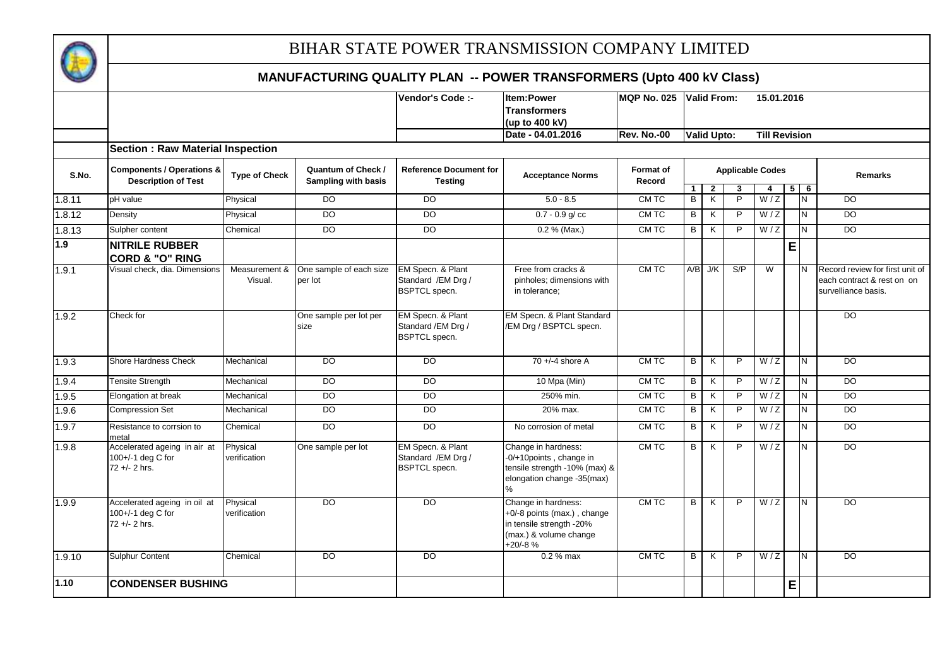

|        |                                                                    |                          |                                                        | Vendor's Code :-                                                 | <b>Item:Power</b><br>Transformers<br>(up to 400 kV)                                                                     | <b>MQP No. 025</b>  |                     | Valid From:                               |                         | 15.01.2016           |   |                 |                                                                                      |
|--------|--------------------------------------------------------------------|--------------------------|--------------------------------------------------------|------------------------------------------------------------------|-------------------------------------------------------------------------------------------------------------------------|---------------------|---------------------|-------------------------------------------|-------------------------|----------------------|---|-----------------|--------------------------------------------------------------------------------------|
|        |                                                                    |                          |                                                        |                                                                  | Date - 04.01.2016                                                                                                       | <b>Rev. No.-00</b>  |                     | <b>Valid Upto:</b>                        |                         | <b>Till Revision</b> |   |                 |                                                                                      |
|        | <b>Section: Raw Material Inspection</b>                            |                          |                                                        |                                                                  |                                                                                                                         |                     |                     |                                           |                         |                      |   |                 |                                                                                      |
| S.No.  | <b>Components / Operations &amp;</b><br><b>Description of Test</b> | <b>Type of Check</b>     | <b>Quantum of Check/</b><br><b>Sampling with basis</b> | <b>Reference Document for</b><br><b>Testing</b>                  | <b>Acceptance Norms</b>                                                                                                 | Format of<br>Record |                     |                                           | <b>Applicable Codes</b> |                      |   |                 | <b>Remarks</b>                                                                       |
| 1.8.11 | pH value                                                           | Physical                 | $\overline{D}$                                         | D <sub>O</sub>                                                   | $5.0 - 8.5$                                                                                                             | CM TC               | $\overline{1}$<br>B | $\overline{2}$<br>$\overline{\mathsf{K}}$ | 3<br>$\overline{P}$     | 4<br>W/Z             |   | $5 \mid 6$<br>N | <b>DO</b>                                                                            |
| 1.8.12 | Density                                                            | Physical                 | DO                                                     | <b>DO</b>                                                        | $0.7 - 0.9$ g/cc                                                                                                        | CM TC               | B                   | K                                         | $\mathsf{P}$            | W/Z                  |   | <b>N</b>        | DO.                                                                                  |
|        |                                                                    |                          |                                                        |                                                                  |                                                                                                                         |                     |                     |                                           |                         |                      |   |                 |                                                                                      |
| 1.8.13 | Sulpher content                                                    | Chemical                 | DO                                                     | <b>DO</b>                                                        | 0.2 % (Max.)                                                                                                            | CM TC               | B                   | K                                         | $\overline{P}$          | W/Z                  |   | N               | D <sub>O</sub>                                                                       |
| 1.9    | <b>NITRILE RUBBER</b><br><b>CORD &amp; "O" RING</b>                |                          |                                                        |                                                                  |                                                                                                                         |                     |                     |                                           |                         |                      | E |                 |                                                                                      |
| 1.9.1  | Visual check, dia. Dimensions                                      | Measurement &<br>Visual. | One sample of each size<br>per lot                     | EM Specn. & Plant<br>Standard / EM Drg /<br><b>BSPTCL</b> specn. | Free from cracks &<br>pinholes; dimensions with<br>in tolerance;                                                        | CM TC               |                     | $A/B$ J/K                                 | S/P                     | W                    |   | IΝ              | Record review for first unit of<br>each contract & rest on on<br>survelliance basis. |
| 1.9.2  | Check for                                                          |                          | One sample per lot per<br>size                         | EM Specn. & Plant<br>Standard / EM Drg /<br><b>BSPTCL</b> specn. | EM Specn. & Plant Standard<br>/EM Drg / BSPTCL specn.                                                                   |                     |                     |                                           |                         |                      |   |                 | DO                                                                                   |
| 1.9.3  | <b>Shore Hardness Check</b>                                        | Mechanical               | DO                                                     | D <sub>O</sub>                                                   | $70 + (-4)$ shore A                                                                                                     | CM TC               | B                   | K                                         | $\mathsf{P}$            | W/Z                  |   | IN.             | D <sub>O</sub>                                                                       |
| 1.9.4  | <b>Tensite Strength</b>                                            | Mechanical               | $\overline{D}$                                         | $\overline{D}$                                                   | 10 Mpa (Min)                                                                                                            | CM TC               | B                   | K                                         | $\mathsf{P}$            | W/Z                  |   | N               | $\overline{D}$                                                                       |
| 1.9.5  | Elongation at break                                                | Mechanical               | DO                                                     | <b>DO</b>                                                        | 250% min.                                                                                                               | CM TC               | B                   | K                                         | $\mathsf{P}$            | W/Z                  |   | N               | D <sub>O</sub>                                                                       |
| 1.9.6  | <b>Compression Set</b>                                             | Mechanical               | DO                                                     | <b>DO</b>                                                        | 20% max.                                                                                                                | CM TC               | $\overline{B}$      | $\overline{\mathsf{x}}$                   | $\overline{P}$          | W/Z                  |   | N               | <b>DO</b>                                                                            |
| 1.9.7  | Resistance to corrsion to<br>metal                                 | Chemical                 | $\overline{D}$                                         | <b>DO</b>                                                        | No corrosion of metal                                                                                                   | CM TC               | B                   | K                                         | $\mathsf{P}$            | W/Z                  |   | N               | $\overline{50}$                                                                      |
| 1.9.8  | Accelerated ageing in air at<br>100+/-1 deg C for<br>72 +/- 2 hrs. | Physical<br>verification | One sample per lot                                     | EM Specn. & Plant<br>Standard / EM Drg /<br><b>BSPTCL</b> specn. | Change in hardness:<br>-0/+10points, change in<br>tensile strength -10% (max) &<br>elongation change -35(max)<br>℅      | CM TC               | B                   | K                                         | $\mathsf{P}$            | W/Z                  |   | Z               | DO                                                                                   |
| 1.9.9  | Accelerated ageing in oil at<br>100+/-1 deg C for<br>72 +/- 2 hrs. | Physical<br>verification | $\overline{D}$                                         | <b>DO</b>                                                        | Change in hardness:<br>+0/-8 points (max.), change<br>in tensile strength -20%<br>(max.) & volume change<br>$+20/ -8$ % | CM TC               | B                   | K                                         | P                       | W/Z                  |   | IN.             | DO                                                                                   |
| 1.9.10 | <b>Sulphur Content</b>                                             | Chemical                 | DO                                                     | DO                                                               | 0.2 % max                                                                                                               | CM TC               | B                   | K                                         | $\mathsf{P}$            | W/Z                  |   | IN.             | $\overline{D}$                                                                       |
| 1.10   | <b>CONDENSER BUSHING</b>                                           |                          |                                                        |                                                                  |                                                                                                                         |                     |                     |                                           |                         |                      | E |                 |                                                                                      |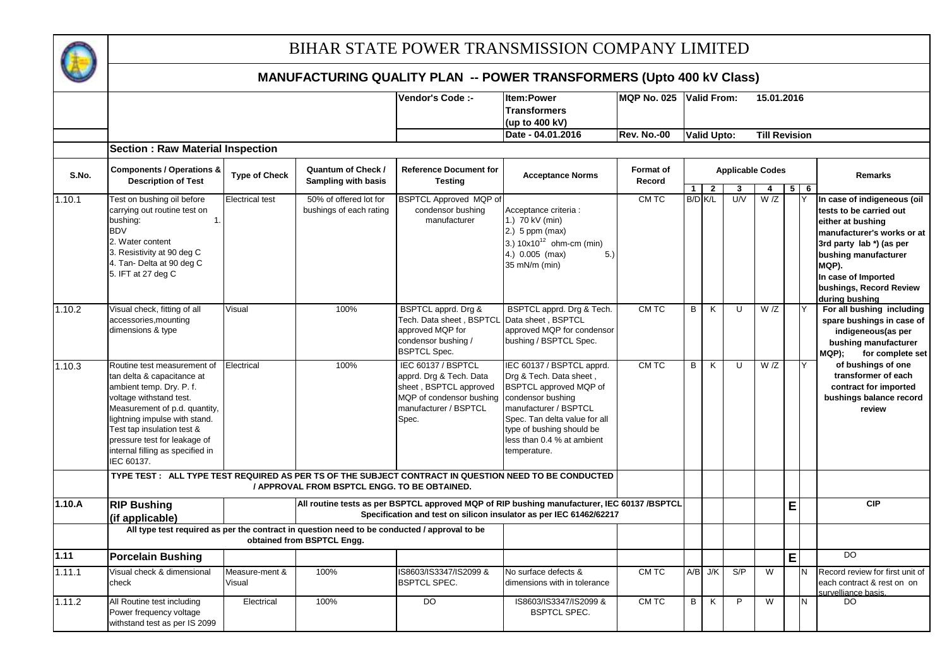

|        |                                                                                                                                                                                                                                                                                                    |                          |                                                                                                                            | Vendor's Code :-                                                                                                                      | <b>Item:Power</b>                                                                                                                                                                                                                        | <b>MQP No. 025</b>  |                |                    |                         | 15.01.2016           |   |   |                                                                                                                                                                                                                                            |
|--------|----------------------------------------------------------------------------------------------------------------------------------------------------------------------------------------------------------------------------------------------------------------------------------------------------|--------------------------|----------------------------------------------------------------------------------------------------------------------------|---------------------------------------------------------------------------------------------------------------------------------------|------------------------------------------------------------------------------------------------------------------------------------------------------------------------------------------------------------------------------------------|---------------------|----------------|--------------------|-------------------------|----------------------|---|---|--------------------------------------------------------------------------------------------------------------------------------------------------------------------------------------------------------------------------------------------|
|        |                                                                                                                                                                                                                                                                                                    |                          |                                                                                                                            |                                                                                                                                       | <b>Transformers</b>                                                                                                                                                                                                                      |                     |                | Valid From:        |                         |                      |   |   |                                                                                                                                                                                                                                            |
|        |                                                                                                                                                                                                                                                                                                    |                          |                                                                                                                            |                                                                                                                                       | (up to 400 kV)                                                                                                                                                                                                                           |                     |                |                    |                         |                      |   |   |                                                                                                                                                                                                                                            |
|        |                                                                                                                                                                                                                                                                                                    |                          |                                                                                                                            |                                                                                                                                       | Date - 04.01.2016                                                                                                                                                                                                                        | <b>Rev. No.-00</b>  |                | <b>Valid Upto:</b> |                         | <b>Till Revision</b> |   |   |                                                                                                                                                                                                                                            |
|        | <b>Section: Raw Material Inspection</b>                                                                                                                                                                                                                                                            |                          |                                                                                                                            |                                                                                                                                       |                                                                                                                                                                                                                                          |                     |                |                    |                         |                      |   |   |                                                                                                                                                                                                                                            |
| S.No.  | <b>Components / Operations &amp;</b><br><b>Description of Test</b>                                                                                                                                                                                                                                 | <b>Type of Check</b>     | Quantum of Check /<br>Sampling with basis                                                                                  | <b>Reference Document for</b><br><b>Testing</b>                                                                                       | <b>Acceptance Norms</b>                                                                                                                                                                                                                  | Format of<br>Record |                |                    | <b>Applicable Codes</b> |                      |   |   | Remarks                                                                                                                                                                                                                                    |
|        |                                                                                                                                                                                                                                                                                                    |                          |                                                                                                                            |                                                                                                                                       |                                                                                                                                                                                                                                          |                     | 1 <sup>1</sup> | $\overline{2}$     | 3                       | $\overline{4}$       | 5 | 6 |                                                                                                                                                                                                                                            |
| 1.10.1 | Test on bushing oil before<br>carrying out routine test on<br>bushing:<br>$\mathbf{1}$<br><b>BDV</b><br>2. Water content<br>3. Resistivity at 90 deg C<br>4. Tan- Delta at 90 deg C<br>5. IFT at 27 deg C                                                                                          | <b>Electrical test</b>   | 50% of offered lot for<br>bushings of each rating                                                                          | <b>BSPTCL Approved MQP of</b><br>condensor bushing<br>manufacturer                                                                    | Acceptance criteria :<br>1.) 70 kV (min)<br>$2.)$ 5 ppm (max)<br>3.) $10x10^{12}$ ohm-cm (min)<br>4.) 0.005 (max)<br>5.)<br>35 mN/m (min)                                                                                                | CMTC                | B/D K/L        |                    | U/V                     | W/Z                  |   |   | In case of indigeneous (oil<br>tests to be carried out<br>either at bushing<br>manufacturer's works or at<br>3rd party lab *) (as per<br>bushing manufacturer<br>MQP).<br>In case of Imported<br>bushings, Record Review<br>during bushing |
| 1.10.2 | Visual check, fitting of all<br>accessories, mounting<br>dimensions & type                                                                                                                                                                                                                         | Visual                   | 100%                                                                                                                       | BSPTCL apprd. Drg &<br>Tech. Data sheet, BSPTCL<br>approved MQP for<br>condensor bushing /<br><b>BSPTCL Spec.</b>                     | BSPTCL apprd. Drg & Tech.<br>Data sheet, BSPTCL<br>approved MQP for condensor<br>bushing / BSPTCL Spec.                                                                                                                                  | CM TC               | B              | K                  | $\overline{U}$          | $\overline{W}/Z$     |   | Y | For all bushing including<br>spare bushings in case of<br>indigeneous(as per<br>bushing manufacturer<br>MQP);<br>for complete set                                                                                                          |
| 1.10.3 | Routine test measurement of<br>tan delta & capacitance at<br>ambient temp. Dry. P. f.<br>voltage withstand test.<br>Measurement of p.d. quantity,<br>lightning impulse with stand.<br>Test tap insulation test &<br>pressure test for leakage of<br>internal filling as specified in<br>IEC 60137. | Electrical               | 100%                                                                                                                       | IEC 60137 / BSPTCL<br>apprd. Drg & Tech. Data<br>sheet, BSPTCL approved<br>MQP of condensor bushing<br>manufacturer / BSPTCL<br>Spec. | IEC 60137 / BSPTCL apprd.<br>Drg & Tech. Data sheet,<br>BSPTCL approved MQP of<br>condensor bushing<br>manufacturer / BSPTCL<br>Spec. Tan delta value for all<br>type of bushing should be<br>less than 0.4 % at ambient<br>temperature. | CM TC               | B              | K                  | U                       | W/Z                  |   | Y | of bushings of one<br>transformer of each<br>contract for imported<br>bushings balance record<br>review                                                                                                                                    |
|        |                                                                                                                                                                                                                                                                                                    |                          | / APPROVAL FROM BSPTCL ENGG. TO BE OBTAINED.                                                                               |                                                                                                                                       | TYPE TEST : ALL TYPE TEST REQUIRED AS PER TS OF THE SUBJECT CONTRACT IN QUESTION NEED TO BE CONDUCTED                                                                                                                                    |                     |                |                    |                         |                      |   |   |                                                                                                                                                                                                                                            |
| 1.10.A | <b>RIP Bushing</b><br>(if applicable)                                                                                                                                                                                                                                                              |                          |                                                                                                                            |                                                                                                                                       | All routine tests as per BSPTCL approved MQP of RIP bushing manufacturer, IEC 60137 /BSPTCL<br>Specification and test on silicon insulator as per IEC 61462/62217                                                                        |                     |                |                    |                         |                      | E |   | <b>CIP</b>                                                                                                                                                                                                                                 |
|        |                                                                                                                                                                                                                                                                                                    |                          | All type test required as per the contract in question need to be conducted / approval to be<br>obtained from BSPTCL Engg. |                                                                                                                                       |                                                                                                                                                                                                                                          |                     |                |                    |                         |                      |   |   |                                                                                                                                                                                                                                            |
| 1.11   | <b>Porcelain Bushing</b>                                                                                                                                                                                                                                                                           |                          |                                                                                                                            |                                                                                                                                       |                                                                                                                                                                                                                                          |                     |                |                    |                         |                      | E |   | DO.                                                                                                                                                                                                                                        |
| 1.11.1 | Visual check & dimensional<br>check                                                                                                                                                                                                                                                                | Measure-ment &<br>Visual | 100%                                                                                                                       | IS8603/IS3347/IS2099 &<br><b>BSPTCL SPEC.</b>                                                                                         | No surface defects &<br>dimensions with in tolerance                                                                                                                                                                                     | CM TC               |                | $A/B$ J/K          | S/P                     | W                    |   | N | Record review for first unit of<br>each contract & rest on on<br>survelliance basis.                                                                                                                                                       |
| 1.11.2 | All Routine test including<br>Power frequency voltage<br>withstand test as per IS 2099                                                                                                                                                                                                             | Electrical               | 100%                                                                                                                       | DO                                                                                                                                    | IS8603/IS3347/IS2099 &<br><b>BSPTCL SPEC.</b>                                                                                                                                                                                            | <b>CMTC</b>         | B              | K                  | $\overline{P}$          | $\overline{W}$       |   | N | $\overline{D}$                                                                                                                                                                                                                             |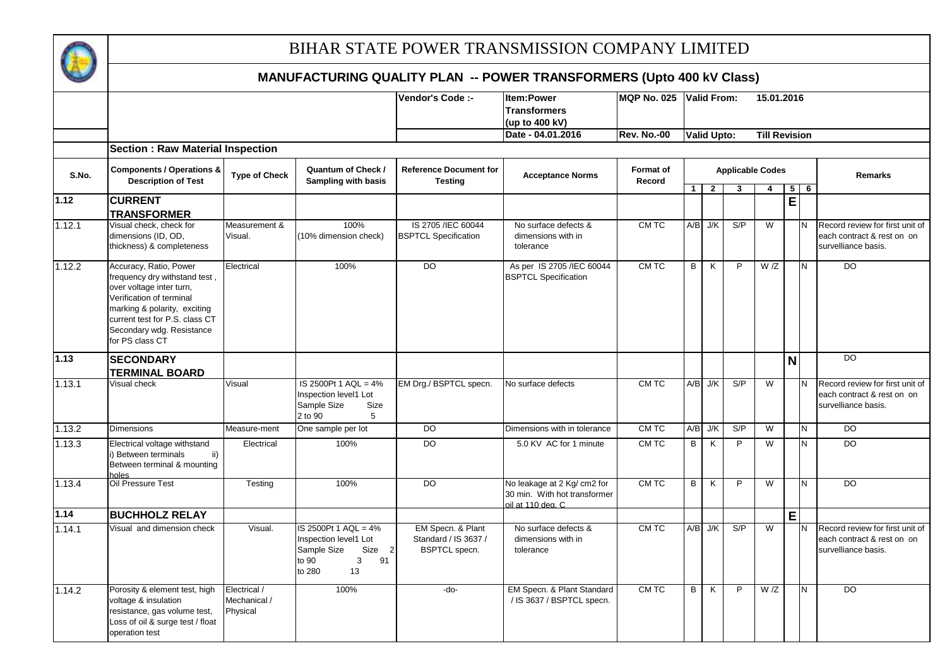

|        |                                                                                                                                                                                                                                   |                                          |                                                                                                            | <b>Vendor's Code :-</b>                                           | <b>Item:Power</b>                                                                | <b>MQP No. 025</b>  |                | <b>IValid From:</b> |                              | 15.01.2016              |                |            |                                                                                      |
|--------|-----------------------------------------------------------------------------------------------------------------------------------------------------------------------------------------------------------------------------------|------------------------------------------|------------------------------------------------------------------------------------------------------------|-------------------------------------------------------------------|----------------------------------------------------------------------------------|---------------------|----------------|---------------------|------------------------------|-------------------------|----------------|------------|--------------------------------------------------------------------------------------|
|        |                                                                                                                                                                                                                                   |                                          |                                                                                                            |                                                                   | <b>Transformers</b>                                                              |                     |                |                     |                              |                         |                |            |                                                                                      |
|        |                                                                                                                                                                                                                                   |                                          |                                                                                                            |                                                                   | (up to 400 kV)                                                                   |                     |                |                     |                              |                         |                |            |                                                                                      |
|        |                                                                                                                                                                                                                                   |                                          |                                                                                                            |                                                                   | Date - 04.01.2016                                                                | <b>Rev. No.-00</b>  |                | <b>Valid Upto:</b>  |                              | <b>Till Revision</b>    |                |            |                                                                                      |
|        | <b>Section: Raw Material Inspection</b>                                                                                                                                                                                           |                                          |                                                                                                            |                                                                   |                                                                                  |                     |                |                     |                              |                         |                |            |                                                                                      |
| S.No.  | <b>Components / Operations &amp;</b><br><b>Description of Test</b>                                                                                                                                                                | <b>Type of Check</b>                     | Quantum of Check /<br>Sampling with basis                                                                  | <b>Reference Document for</b><br><b>Testing</b>                   | <b>Acceptance Norms</b>                                                          | Format of<br>Record | $\overline{1}$ | $\overline{2}$      | <b>Applicable Codes</b><br>3 | $\overline{4}$          |                | $5 \mid 6$ | <b>Remarks</b>                                                                       |
| 1.12   | <b>CURRENT</b><br><b>TRANSFORMER</b>                                                                                                                                                                                              |                                          |                                                                                                            |                                                                   |                                                                                  |                     |                |                     |                              |                         | $\overline{E}$ |            |                                                                                      |
| 1.12.1 | Visual check, check for<br>dimensions (ID, OD,<br>thickness) & completeness                                                                                                                                                       | Measurement &<br>Visual.                 | 100%<br>(10% dimension check)                                                                              | IS 2705 / IEC 60044<br><b>BSPTCL Specification</b>                | No surface defects &<br>dimensions with in<br>tolerance                          | CM TC               | A/B            | J/K                 | S/P                          | W                       |                |            | Record review for first unit of<br>each contract & rest on on<br>survelliance basis. |
| 1.12.2 | Accuracy, Ratio, Power<br>frequency dry withstand test,<br>over voltage inter turn,<br>Verification of terminal<br>marking & polarity, exciting<br>current test for P.S. class CT<br>Secondary wdg. Resistance<br>for PS class CT | Electrical                               | 100%                                                                                                       | $\overline{D}$                                                    | As per IS 2705 / IEC 60044<br><b>BSPTCL Specification</b>                        | CM TC               | B              | K                   | P                            | W/Z                     |                | N          | $\overline{D}$                                                                       |
| 1.13   | <b>SECONDARY</b><br><b>TERMINAL BOARD</b>                                                                                                                                                                                         |                                          |                                                                                                            |                                                                   |                                                                                  |                     |                |                     |                              |                         | N              |            | DO                                                                                   |
| 1.13.1 | Visual check                                                                                                                                                                                                                      | Visual                                   | IS 2500Pt 1 AQL = 4%<br>Inspection level1 Lot<br>Sample Size<br>Size<br>2 to 90<br>5                       | EM Drg./ BSPTCL specn.                                            | No surface defects                                                               | CM TC               |                | $A/B$ J/K           | S/P                          | W                       |                |            | Record review for first unit of<br>each contract & rest on on<br>survelliance basis. |
| 1.13.2 | <b>Dimensions</b>                                                                                                                                                                                                                 | Measure-ment                             | One sample per lot                                                                                         | <b>DO</b>                                                         | Dimensions with in tolerance                                                     | CM TC               | A/B            | J/K                 | S/P                          | W                       |                | N          | <b>DO</b>                                                                            |
| 1.13.3 | Electrical voltage withstand<br>i) Between terminals<br>ii)<br>Between terminal & mounting<br>holes                                                                                                                               | Electrical                               | 100%                                                                                                       | DO                                                                | 5.0 KV AC for 1 minute                                                           | CM TC               | B              | K                   | P                            | W                       |                | N          | DO                                                                                   |
| 1.13.4 | Oil Pressure Test                                                                                                                                                                                                                 | Testing                                  | 100%                                                                                                       | <b>DO</b>                                                         | No leakage at 2 Kg/ cm2 for<br>30 min. With hot transformer<br>oil at 110 deg. C | CM TC               | B              | K                   | P                            | W                       |                | N          | <b>DO</b>                                                                            |
| 1.14   | <b>BUCHHOLZ RELAY</b>                                                                                                                                                                                                             |                                          |                                                                                                            |                                                                   |                                                                                  |                     |                |                     |                              |                         | E              |            |                                                                                      |
| 1.14.1 | Visual and dimension check                                                                                                                                                                                                        | Visual.                                  | IS 2500Pt 1 AQL = 4%<br>Inspection level1 Lot<br>Sample Size<br>Size 2<br>91<br>to 90<br>3<br>13<br>to 280 | EM Specn. & Plant<br>Standard / IS 3637 /<br><b>BSPTCL</b> specn. | No surface defects &<br>dimensions with in<br>tolerance                          | CM TC               |                | $A/B$ J/K           | S/P                          | $\overline{\mathsf{w}}$ |                | N          | Record review for first unit of<br>each contract & rest on on<br>survelliance basis. |
| 1.14.2 | Porosity & element test, high<br>voltage & insulation<br>resistance, gas volume test,<br>Loss of oil & surge test / float<br>operation test                                                                                       | Electrical /<br>Mechanical /<br>Physical | 100%                                                                                                       | -do-                                                              | EM Specn. & Plant Standard<br>/ IS 3637 / BSPTCL specn.                          | CM TC               | B              | K                   | P                            | W/Z                     |                | N          | <b>DO</b>                                                                            |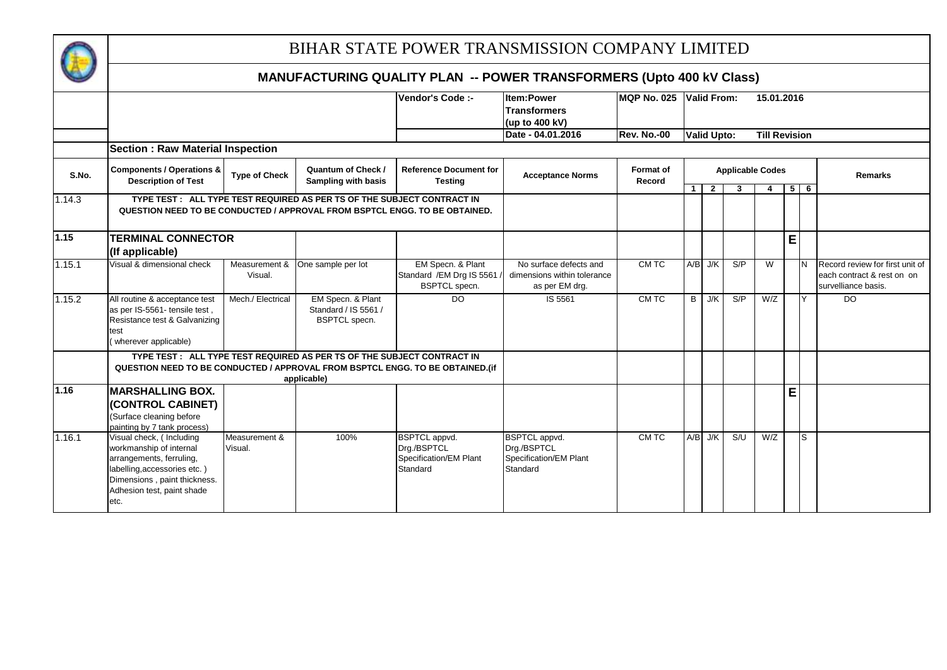

|        |                                                                                                                                                                                       |                          |                                                                         | Vendor's Code :-                                                          | <b>Item:Power</b>                                                         | <b>MQP No. 025</b>         |                | <b>Valid From:</b> |                              | 15.01.2016           |   |       |                                                                                      |
|--------|---------------------------------------------------------------------------------------------------------------------------------------------------------------------------------------|--------------------------|-------------------------------------------------------------------------|---------------------------------------------------------------------------|---------------------------------------------------------------------------|----------------------------|----------------|--------------------|------------------------------|----------------------|---|-------|--------------------------------------------------------------------------------------|
|        |                                                                                                                                                                                       |                          |                                                                         |                                                                           | <b>Transformers</b>                                                       |                            |                |                    |                              |                      |   |       |                                                                                      |
|        |                                                                                                                                                                                       |                          |                                                                         |                                                                           | (up to 400 kV)                                                            |                            |                |                    |                              |                      |   |       |                                                                                      |
|        |                                                                                                                                                                                       |                          |                                                                         |                                                                           | Date - 04.01.2016                                                         | <b>Rev. No.-00</b>         |                | <b>Valid Upto:</b> |                              | <b>Till Revision</b> |   |       |                                                                                      |
|        | <b>Section: Raw Material Inspection</b>                                                                                                                                               |                          |                                                                         |                                                                           |                                                                           |                            |                |                    |                              |                      |   |       |                                                                                      |
| S.No.  | <b>Components / Operations &amp;</b><br><b>Description of Test</b>                                                                                                                    | <b>Type of Check</b>     | <b>Quantum of Check /</b><br><b>Sampling with basis</b>                 | <b>Reference Document for</b><br><b>Testing</b>                           | <b>Acceptance Norms</b>                                                   | <b>Format of</b><br>Record |                | $1 \mid 2 \mid$    | <b>Applicable Codes</b><br>3 | 4                    |   | $5$ 6 | <b>Remarks</b>                                                                       |
| 1.14.3 |                                                                                                                                                                                       |                          | TYPE TEST : ALL TYPE TEST REQUIRED AS PER TS OF THE SUBJECT CONTRACT IN |                                                                           |                                                                           |                            |                |                    |                              |                      |   |       |                                                                                      |
|        | QUESTION NEED TO BE CONDUCTED / APPROVAL FROM BSPTCL ENGG. TO BE OBTAINED.                                                                                                            |                          |                                                                         |                                                                           |                                                                           |                            |                |                    |                              |                      |   |       |                                                                                      |
| 1.15   | <b>TERMINAL CONNECTOR</b><br>(If applicable)                                                                                                                                          |                          |                                                                         |                                                                           |                                                                           |                            |                |                    |                              |                      | E |       |                                                                                      |
| 1.15.1 | Visual & dimensional check                                                                                                                                                            | Measurement &<br>Visual. | One sample per lot                                                      | EM Specn. & Plant<br>Standard / EM Drg IS 5561<br>BSPTCL specn.           | No surface defects and<br>dimensions within tolerance<br>as per EM drg.   | CM TC                      |                | $A/B$ J/K          | S/P                          | W                    |   |       | Record review for first unit of<br>each contract & rest on on<br>survelliance basis. |
| 1.15.2 | All routine & acceptance test<br>as per IS-5561- tensile test,<br>Resistance test & Galvanizing<br>test<br>wherever applicable)                                                       | Mech./ Electrical        | EM Specn. & Plant<br>Standard / IS 5561 /<br><b>BSPTCL</b> specn.       | $\overline{D}$                                                            | IS 5561                                                                   | CM TC                      | $\overline{B}$ | J/K                | S/P                          | W/Z                  |   |       | $\overline{D}$                                                                       |
|        |                                                                                                                                                                                       |                          | TYPE TEST: ALL TYPE TEST REQUIRED AS PER TS OF THE SUBJECT CONTRACT IN  |                                                                           |                                                                           |                            |                |                    |                              |                      |   |       |                                                                                      |
|        | QUESTION NEED TO BE CONDUCTED / APPROVAL FROM BSPTCL ENGG. TO BE OBTAINED.(if                                                                                                         |                          |                                                                         |                                                                           |                                                                           |                            |                |                    |                              |                      |   |       |                                                                                      |
|        |                                                                                                                                                                                       |                          | applicable)                                                             |                                                                           |                                                                           |                            |                |                    |                              |                      |   |       |                                                                                      |
| 1.16   | <b>MARSHALLING BOX.</b><br>(CONTROL CABINET)<br>(Surface cleaning before<br>painting by 7 tank process)                                                                               |                          |                                                                         |                                                                           |                                                                           |                            |                |                    |                              |                      | E |       |                                                                                      |
| 1.16.1 | Visual check, (Including<br>workmanship of internal<br>arrangements, ferruling,<br>labelling, accessories etc.)<br>Dimensions, paint thickness.<br>Adhesion test, paint shade<br>etc. | Measurement &<br>Visual. | 100%                                                                    | <b>BSPTCL</b> appvd.<br>Drg./BSPTCL<br>Specification/EM Plant<br>Standard | <b>BSPTCL</b> appvd.<br>Drg./BSPTCL<br>Specification/EM Plant<br>Standard | CM TC                      |                | $A/B$ J/K          | S/U                          | W/Z                  |   | ls    |                                                                                      |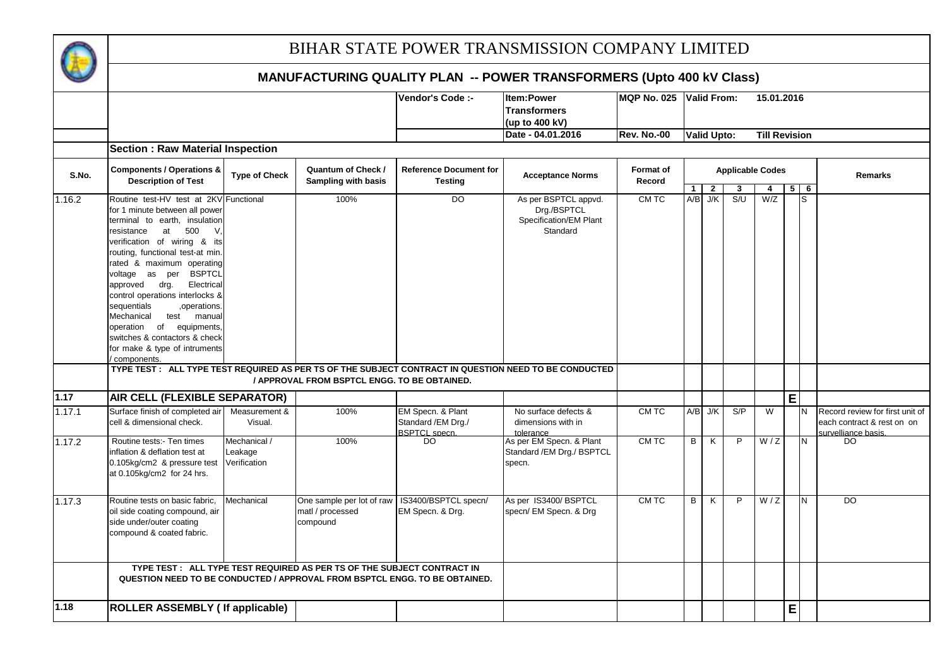

|        |                                                                            |                      |                                                                        | Vendor's Code :-              | <b>Item:Power</b>                                                                                     | <b>MQP No. 025</b> |                | <b>Valid From:</b> |                         | 15.01.2016           |   |            |                                 |
|--------|----------------------------------------------------------------------------|----------------------|------------------------------------------------------------------------|-------------------------------|-------------------------------------------------------------------------------------------------------|--------------------|----------------|--------------------|-------------------------|----------------------|---|------------|---------------------------------|
|        |                                                                            |                      |                                                                        |                               | <b>Transformers</b>                                                                                   |                    |                |                    |                         |                      |   |            |                                 |
|        |                                                                            |                      |                                                                        |                               | (up to 400 kV)                                                                                        |                    |                |                    |                         |                      |   |            |                                 |
|        |                                                                            |                      |                                                                        |                               | Date - 04.01.2016                                                                                     | <b>Rev. No.-00</b> |                | <b>Valid Upto:</b> |                         | <b>Till Revision</b> |   |            |                                 |
|        | <b>Section: Raw Material Inspection</b>                                    |                      |                                                                        |                               |                                                                                                       |                    |                |                    |                         |                      |   |            |                                 |
|        |                                                                            |                      |                                                                        |                               |                                                                                                       |                    |                |                    |                         |                      |   |            |                                 |
|        | <b>Components / Operations &amp;</b>                                       |                      | <b>Quantum of Check /</b>                                              | <b>Reference Document for</b> |                                                                                                       | <b>Format of</b>   |                |                    | <b>Applicable Codes</b> |                      |   |            |                                 |
| S.No.  | <b>Description of Test</b>                                                 | <b>Type of Check</b> | Sampling with basis                                                    | <b>Testing</b>                | <b>Acceptance Norms</b>                                                                               | Record             |                |                    |                         |                      |   |            | <b>Remarks</b>                  |
|        |                                                                            |                      |                                                                        |                               |                                                                                                       |                    | $\overline{1}$ | $\overline{2}$     | 3                       | 4                    |   | $5 \mid 6$ |                                 |
| 1.16.2 | Routine test-HV test at 2KV Functional                                     |                      | 100%                                                                   | $\overline{D}$                | As per BSPTCL appvd.                                                                                  | CM TC              | A/B            | J/K                | S/U                     | W/Z                  |   | S          |                                 |
|        | for 1 minute between all power                                             |                      |                                                                        |                               | Drg./BSPTCL                                                                                           |                    |                |                    |                         |                      |   |            |                                 |
|        | terminal to earth, insulation                                              |                      |                                                                        |                               | Specification/EM Plant                                                                                |                    |                |                    |                         |                      |   |            |                                 |
|        | at<br>500<br>resistance<br>V,                                              |                      |                                                                        |                               | Standard                                                                                              |                    |                |                    |                         |                      |   |            |                                 |
|        | verification of wiring & its                                               |                      |                                                                        |                               |                                                                                                       |                    |                |                    |                         |                      |   |            |                                 |
|        | routing, functional test-at min.                                           |                      |                                                                        |                               |                                                                                                       |                    |                |                    |                         |                      |   |            |                                 |
|        | rated & maximum operating                                                  |                      |                                                                        |                               |                                                                                                       |                    |                |                    |                         |                      |   |            |                                 |
|        | voltage as per BSPTCL                                                      |                      |                                                                        |                               |                                                                                                       |                    |                |                    |                         |                      |   |            |                                 |
|        | drg.<br>Electrical<br>approved                                             |                      |                                                                        |                               |                                                                                                       |                    |                |                    |                         |                      |   |            |                                 |
|        | control operations interlocks &                                            |                      |                                                                        |                               |                                                                                                       |                    |                |                    |                         |                      |   |            |                                 |
|        | sequentials<br>,operations.                                                |                      |                                                                        |                               |                                                                                                       |                    |                |                    |                         |                      |   |            |                                 |
|        | Mechanical<br>test manual                                                  |                      |                                                                        |                               |                                                                                                       |                    |                |                    |                         |                      |   |            |                                 |
|        | operation of equipments,                                                   |                      |                                                                        |                               |                                                                                                       |                    |                |                    |                         |                      |   |            |                                 |
|        | switches & contactors & check                                              |                      |                                                                        |                               |                                                                                                       |                    |                |                    |                         |                      |   |            |                                 |
|        | for make & type of intruments                                              |                      |                                                                        |                               |                                                                                                       |                    |                |                    |                         |                      |   |            |                                 |
|        | components.                                                                |                      |                                                                        |                               |                                                                                                       |                    |                |                    |                         |                      |   |            |                                 |
|        |                                                                            |                      |                                                                        |                               | TYPE TEST : ALL TYPE TEST REQUIRED AS PER TS OF THE SUBJECT CONTRACT IN QUESTION NEED TO BE CONDUCTED |                    |                |                    |                         |                      |   |            |                                 |
|        |                                                                            |                      | / APPROVAL FROM BSPTCL ENGG. TO BE OBTAINED.                           |                               |                                                                                                       |                    |                |                    |                         |                      |   |            |                                 |
| 1.17   | AIR CELL (FLEXIBLE SEPARATOR)                                              |                      |                                                                        |                               |                                                                                                       |                    |                |                    |                         |                      | E |            |                                 |
| 1.17.1 | Surface finish of completed air                                            | Measurement &        | 100%                                                                   | EM Specn. & Plant             | No surface defects &                                                                                  | CM TC              |                | $A/B$ J/K          | S/P                     | W                    |   | İΝ         | Record review for first unit of |
|        | cell & dimensional check.                                                  | Visual.              |                                                                        | Standard / EM Drg./           | dimensions with in                                                                                    |                    |                |                    |                         |                      |   |            | each contract & rest on on      |
|        |                                                                            |                      |                                                                        | <b>BSPTCL</b> specn.          | tolerance                                                                                             |                    |                |                    |                         |                      |   |            | survelliance basis.             |
| 1.17.2 | Routine tests:- Ten times                                                  | Mechanical /         | 100%                                                                   | DO                            | As per EM Specn. & Plant                                                                              | CM TC              | B              | K                  | P                       | W/Z                  |   | N          | DO                              |
|        | nflation & deflation test at                                               | Leakage              |                                                                        |                               | Standard / EM Drg./ BSPTCL                                                                            |                    |                |                    |                         |                      |   |            |                                 |
|        | 0.105kg/cm2 & pressure test                                                | Verification         |                                                                        |                               | specn.                                                                                                |                    |                |                    |                         |                      |   |            |                                 |
|        | at 0.105kg/cm2 for 24 hrs.                                                 |                      |                                                                        |                               |                                                                                                       |                    |                |                    |                         |                      |   |            |                                 |
|        |                                                                            |                      |                                                                        |                               |                                                                                                       |                    |                |                    |                         |                      |   |            |                                 |
|        |                                                                            |                      |                                                                        |                               |                                                                                                       |                    |                |                    |                         |                      |   |            |                                 |
| 1.17.3 | Routine tests on basic fabric.                                             | Mechanical           | One sample per lot of raw                                              | IS3400/BSPTCL specn/          | As per IS3400/BSPTCL                                                                                  | CM TC              | B              | K                  | $\mathsf{P}$            | W/Z                  |   | IN.        | <b>DO</b>                       |
|        | oil side coating compound, air                                             |                      | matl / processed                                                       | EM Specn. & Drg.              | specn/ EM Specn. & Drg                                                                                |                    |                |                    |                         |                      |   |            |                                 |
|        | side under/outer coating                                                   |                      | compound                                                               |                               |                                                                                                       |                    |                |                    |                         |                      |   |            |                                 |
|        | compound & coated fabric.                                                  |                      |                                                                        |                               |                                                                                                       |                    |                |                    |                         |                      |   |            |                                 |
|        |                                                                            |                      |                                                                        |                               |                                                                                                       |                    |                |                    |                         |                      |   |            |                                 |
|        |                                                                            |                      |                                                                        |                               |                                                                                                       |                    |                |                    |                         |                      |   |            |                                 |
|        |                                                                            |                      | TYPE TEST: ALL TYPE TEST REQUIRED AS PER TS OF THE SUBJECT CONTRACT IN |                               |                                                                                                       |                    |                |                    |                         |                      |   |            |                                 |
|        | QUESTION NEED TO BE CONDUCTED / APPROVAL FROM BSPTCL ENGG. TO BE OBTAINED. |                      |                                                                        |                               |                                                                                                       |                    |                |                    |                         |                      |   |            |                                 |
|        |                                                                            |                      |                                                                        |                               |                                                                                                       |                    |                |                    |                         |                      |   |            |                                 |
| 1.18   | <b>ROLLER ASSEMBLY (If applicable)</b>                                     |                      |                                                                        |                               |                                                                                                       |                    |                |                    |                         |                      | E |            |                                 |
|        |                                                                            |                      |                                                                        |                               |                                                                                                       |                    |                |                    |                         |                      |   |            |                                 |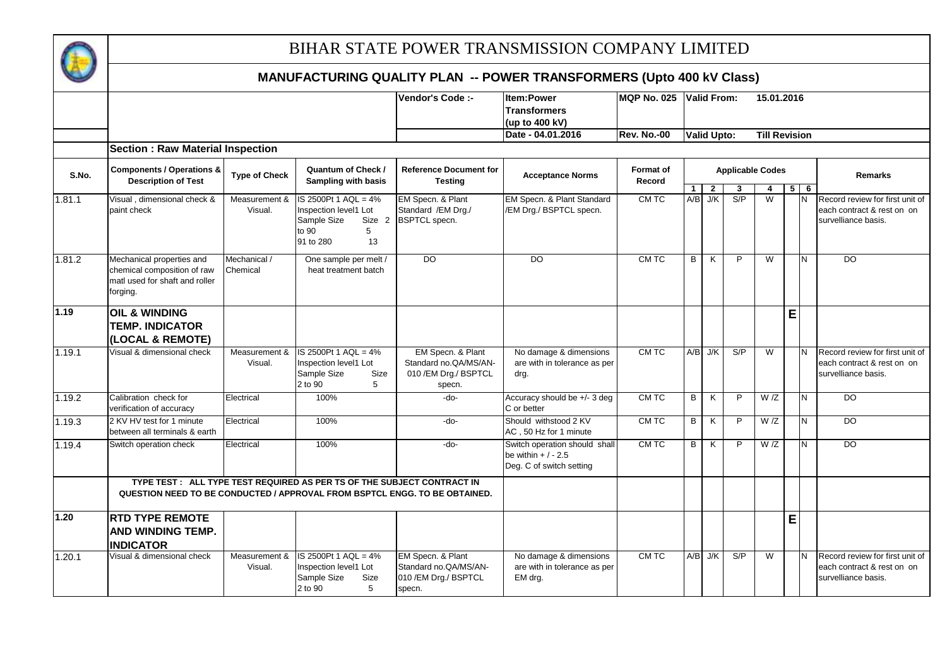

|        |                                                                                                        |                          |                                                                                                         | Vendor's Code :-                                                              | <b>Item:Power</b><br><b>Transformers</b>                                        | MQP No. 025        |                | Valid From:        |                         | 15.01.2016              |   |            |                                                                                      |
|--------|--------------------------------------------------------------------------------------------------------|--------------------------|---------------------------------------------------------------------------------------------------------|-------------------------------------------------------------------------------|---------------------------------------------------------------------------------|--------------------|----------------|--------------------|-------------------------|-------------------------|---|------------|--------------------------------------------------------------------------------------|
|        |                                                                                                        |                          |                                                                                                         |                                                                               | (up to 400 kV)                                                                  |                    |                |                    |                         |                         |   |            |                                                                                      |
|        |                                                                                                        |                          |                                                                                                         |                                                                               | Date - 04.01.2016                                                               | <b>Rev. No.-00</b> |                | <b>Valid Upto:</b> |                         | <b>Till Revision</b>    |   |            |                                                                                      |
|        | <b>Section: Raw Material Inspection</b>                                                                |                          |                                                                                                         |                                                                               |                                                                                 |                    |                |                    |                         |                         |   |            |                                                                                      |
|        | <b>Components / Operations &amp;</b>                                                                   |                          | Quantum of Check /                                                                                      | <b>Reference Document for</b>                                                 |                                                                                 | <b>Format</b> of   |                |                    | <b>Applicable Codes</b> |                         |   |            |                                                                                      |
| S.No.  | <b>Description of Test</b>                                                                             | <b>Type of Check</b>     | <b>Sampling with basis</b>                                                                              | <b>Testing</b>                                                                | <b>Acceptance Norms</b>                                                         | Record             | $\mathbf{1}$   | $\overline{2}$     | 3                       | 4                       |   | $5 \mid 6$ | <b>Remarks</b>                                                                       |
| 1.81.1 | Visual, dimensional check &<br>paint check                                                             | Measurement &<br>Visual. | IS 2500Pt 1 AQL = 4%<br>Inspection level1 Lot<br>Sample Size<br>Size 2<br>to 90<br>5<br>91 to 280<br>13 | EM Specn. & Plant<br>Standard / EM Drg./<br><b>BSPTCL</b> specn.              | EM Specn. & Plant Standard<br>/EM Drg./ BSPTCL specn.                           | CM TC              | A/B            | J/K                | S/P                     | $\overline{W}$          |   | IN.        | Record review for first unit of<br>each contract & rest on on<br>survelliance basis. |
| 1.81.2 | Mechanical properties and<br>chemical composition of raw<br>matl used for shaft and roller<br>forging. | Mechanical /<br>Chemical | One sample per melt /<br>heat treatment batch                                                           | $\overline{D}$                                                                | D <sub>O</sub>                                                                  | CM TC              | B              | K                  | P                       | $\overline{\mathsf{w}}$ |   | N          | $\overline{D}$                                                                       |
| 1.19   | <b>OIL &amp; WINDING</b><br><b>TEMP. INDICATOR</b><br>(LOCAL & REMOTE)                                 |                          |                                                                                                         |                                                                               |                                                                                 |                    |                |                    |                         |                         | E |            |                                                                                      |
| 1.19.1 | Visual & dimensional check                                                                             | Measurement &<br>Visual. | $IS 2500$ Pt 1 AQL = $4\%$<br>Inspection level1 Lot<br>Sample Size<br>Size<br>2 to 90<br>5              | EM Specn. & Plant<br>Standard no.QA/MS/AN-<br>010 / EM Drg./ BSPTCL<br>specn. | No damage & dimensions<br>are with in tolerance as per<br>drg.                  | CM TC              |                | $A/B$ J/K          | S/P                     | $\overline{W}$          |   | IN.        | Record review for first unit of<br>each contract & rest on on<br>survelliance basis. |
| 1.19.2 | Calibration check for<br>verification of accuracy                                                      | Electrical               | 100%                                                                                                    | -do-                                                                          | Accuracy should be +/- 3 deg<br>C or better                                     | CM TC              | $\overline{B}$ | K                  | P                       | W/Z                     |   | Z          | D <sub>O</sub>                                                                       |
| 1.19.3 | 2 KV HV test for 1 minute<br>between all terminals & earth                                             | Electrical               | 100%                                                                                                    | -do-                                                                          | Should withstood 2 KV<br>AC, 50 Hz for 1 minute                                 | CM TC              | B              | K                  | P                       | W/Z                     |   | N          | <b>DO</b>                                                                            |
| 1.19.4 | Switch operation check                                                                                 | Electrical               | 100%                                                                                                    | -do-                                                                          | Switch operation should shall<br>be within $+/-2.5$<br>Deg. C of switch setting | CM TC              | B              | K                  | P                       | W/Z                     |   | IN.        | $\overline{D}$                                                                       |
|        | QUESTION NEED TO BE CONDUCTED / APPROVAL FROM BSPTCL ENGG. TO BE OBTAINED.                             |                          | TYPE TEST: ALL TYPE TEST REQUIRED AS PER TS OF THE SUBJECT CONTRACT IN                                  |                                                                               |                                                                                 |                    |                |                    |                         |                         |   |            |                                                                                      |
| 1.20   | <b>RTD TYPE REMOTE</b><br><b>AND WINDING TEMP.</b><br><b>INDICATOR</b>                                 |                          |                                                                                                         |                                                                               |                                                                                 |                    |                |                    |                         |                         | E |            |                                                                                      |
| 1.20.1 | Visual & dimensional check                                                                             | Measurement &<br>Visual. | IS 2500Pt 1 AQL = 4%<br>Inspection level1 Lot<br>Sample Size<br>Size<br>2 to 90<br>5                    | EM Specn. & Plant<br>Standard no.QA/MS/AN-<br>010 / EM Drg./ BSPTCL<br>specn. | No damage & dimensions<br>are with in tolerance as per<br>EM drg.               | CM TC              |                | $A/B$ J/K          | S/P                     | W                       |   | IN.        | Record review for first unit of<br>each contract & rest on on<br>survelliance basis. |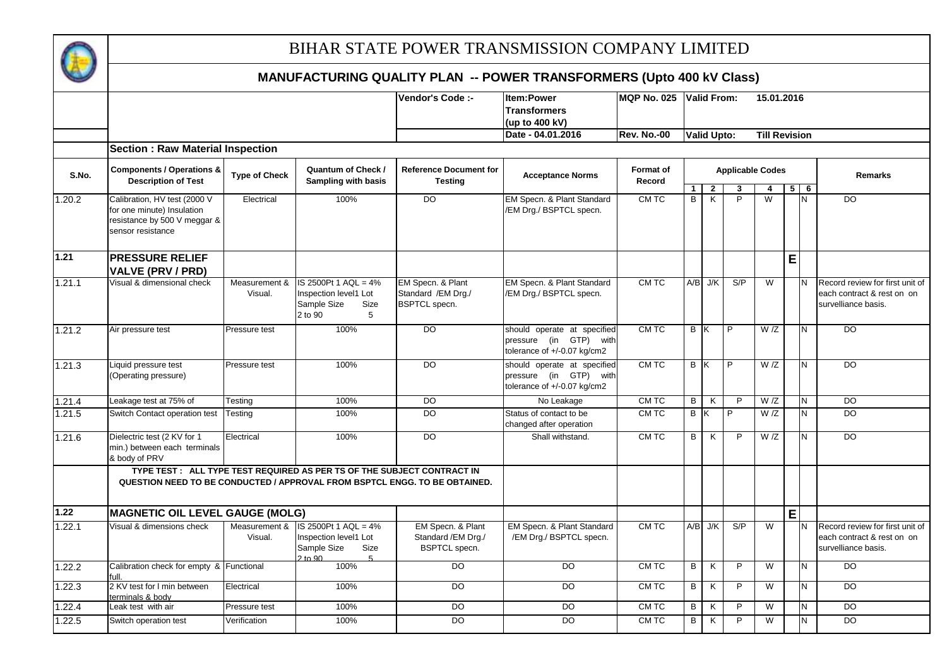

|        |                                                                                 |                          |                                                                                          | Vendor's Code :-                                                 | <b>Item:Power</b>                                                                    | <b>MQP No. 025</b>  |                                | <b>Valid From:</b>                        |                         | 15.01.2016              |   |                              |                                                                                      |
|--------|---------------------------------------------------------------------------------|--------------------------|------------------------------------------------------------------------------------------|------------------------------------------------------------------|--------------------------------------------------------------------------------------|---------------------|--------------------------------|-------------------------------------------|-------------------------|-------------------------|---|------------------------------|--------------------------------------------------------------------------------------|
|        |                                                                                 |                          |                                                                                          |                                                                  | <b>Transformers</b>                                                                  |                     |                                |                                           |                         |                         |   |                              |                                                                                      |
|        |                                                                                 |                          |                                                                                          |                                                                  | (up to 400 kV)<br>Date - 04.01.2016                                                  | <b>Rev. No.-00</b>  |                                | <b>Valid Upto:</b>                        |                         | <b>Till Revision</b>    |   |                              |                                                                                      |
|        |                                                                                 |                          |                                                                                          |                                                                  |                                                                                      |                     |                                |                                           |                         |                         |   |                              |                                                                                      |
|        | <b>Section: Raw Material Inspection</b>                                         |                          |                                                                                          |                                                                  |                                                                                      |                     |                                |                                           |                         |                         |   |                              |                                                                                      |
| S.No.  | <b>Components / Operations &amp;</b><br><b>Description of Test</b>              | <b>Type of Check</b>     | <b>Quantum of Check /</b><br><b>Sampling with basis</b>                                  | <b>Reference Document for</b><br><b>Testing</b>                  | <b>Acceptance Norms</b>                                                              | Format of<br>Record |                                |                                           | <b>Applicable Codes</b> |                         |   |                              | Remarks                                                                              |
| 1.20.2 | Calibration, HV test (2000 V                                                    | Electrical               | 100%                                                                                     | $\overline{D}$                                                   | EM Specn. & Plant Standard                                                           | CM TC               | $\mathbf{1}$<br>$\overline{B}$ | $\overline{2}$<br>$\overline{\mathsf{K}}$ | 3<br>$\overline{P}$     | 4<br>$\overline{W}$     |   | $5 \mid 6$<br>$\overline{N}$ | $\overline{D}$                                                                       |
|        | for one minute) Insulation<br>resistance by 500 V meggar &<br>sensor resistance |                          |                                                                                          |                                                                  | /EM Drg./ BSPTCL specn.                                                              |                     |                                |                                           |                         |                         |   |                              |                                                                                      |
| 1.21   | <b>PRESSURE RELIEF</b><br><b>VALVE (PRV / PRD)</b>                              |                          |                                                                                          |                                                                  |                                                                                      |                     |                                |                                           |                         |                         | E |                              |                                                                                      |
| 1.21.1 | Visual & dimensional check                                                      | Measurement &<br>Visual. | IS 2500Pt 1 AQL = 4%<br>Inspection level1 Lot<br>Sample Size<br>Size<br>2 to 90<br>5     | EM Specn. & Plant<br>Standard / EM Drg./<br><b>BSPTCL</b> specn. | EM Specn. & Plant Standard<br>/EM Drg./ BSPTCL specn.                                | CMTC                |                                | $A/B$ J/K                                 | S/P                     | W                       |   | N                            | Record review for first unit of<br>each contract & rest on on<br>survelliance basis. |
| 1.21.2 | Air pressure test                                                               | Pressure test            | 100%                                                                                     | DO                                                               | should operate at specified<br>pressure (in GTP) with<br>tolerance of +/-0.07 kg/cm2 | CMTC                | B K                            |                                           | $\overline{P}$          | W/Z                     |   | N.                           | <b>DO</b>                                                                            |
| 1.21.3 | Liquid pressure test<br>(Operating pressure)                                    | Pressure test            | 100%                                                                                     | DO                                                               | should operate at specified<br>pressure (in GTP) with<br>tolerance of +/-0.07 kg/cm2 | CM TC               | B K                            |                                           | P                       | $\overline{W}/Z$        |   | N.                           | <b>DO</b>                                                                            |
| 1.21.4 | Leakage test at 75% of                                                          | Testing                  | 100%                                                                                     | DO                                                               | No Leakage                                                                           | CM TC               | B                              | K                                         | $\mathsf{P}$            | W/Z                     |   | $\overline{N}$               | $\overline{DO}$                                                                      |
| 1.21.5 | Switch Contact operation test                                                   | Testing                  | 100%                                                                                     | DO                                                               | Status of contact to be<br>changed after operation                                   | CMTC                | B                              | Ιĸ                                        | $\overline{P}$          | W/Z                     |   | N                            | DO                                                                                   |
| 1.21.6 | Dielectric test (2 KV for 1<br>min.) between each terminals<br>& body of PRV    | Electrical               | 100%                                                                                     | $\overline{D}$                                                   | Shall withstand.                                                                     | CMTC                | $\overline{a}$                 | K                                         | $\overline{P}$          | W/Z                     |   | N                            | $\overline{D}$                                                                       |
|        | QUESTION NEED TO BE CONDUCTED / APPROVAL FROM BSPTCL ENGG. TO BE OBTAINED.      |                          | TYPE TEST: ALL TYPE TEST REQUIRED AS PER TS OF THE SUBJECT CONTRACT IN                   |                                                                  |                                                                                      |                     |                                |                                           |                         |                         |   |                              |                                                                                      |
| 1.22   | <b>MAGNETIC OIL LEVEL GAUGE (MOLG)</b>                                          |                          |                                                                                          |                                                                  |                                                                                      |                     |                                |                                           |                         |                         | E |                              |                                                                                      |
| 1.22.1 | Visual & dimensions check                                                       | Measurement &<br>Visual. | IS 2500Pt 1 AQL = 4%<br>Inspection level1 Lot<br>Sample Size<br>Size<br>$2$ to $90$<br>5 | EM Specn. & Plant<br>Standard / EM Drg./<br><b>BSPTCL</b> specn. | EM Specn. & Plant Standard<br>/EM Drg./ BSPTCL specn.                                | CM TC               |                                | $A/B$ J/K                                 | S/P                     | W                       |   | N                            | Record review for first unit of<br>each contract & rest on on<br>survelliance basis. |
| 1.22.2 | Calibration check for empty & Functional                                        |                          | 100%                                                                                     | D <sub>O</sub>                                                   | <b>DO</b>                                                                            | CM TC               | $\overline{B}$                 | $\overline{\mathsf{K}}$                   | $\overline{P}$          | W                       |   | N                            | D <sub>O</sub>                                                                       |
| 1.22.3 | 2 KV test for I min between<br>terminals & body                                 | Electrical               | 100%                                                                                     | DO                                                               | <b>DO</b>                                                                            | CM TC               | B                              | K                                         | P                       | W                       |   | N                            | DO                                                                                   |
| 1.22.4 | Leak test with air                                                              | Pressure test            | 100%                                                                                     | $\overline{50}$                                                  | $\overline{D}$                                                                       | CM TC               | B                              | K                                         | $\overline{P}$          | $\overline{\mathsf{w}}$ |   | $\overline{N}$               | $\overline{D}$                                                                       |
| 1.22.5 | Switch operation test                                                           | Verification             | 100%                                                                                     | <b>DO</b>                                                        | DO                                                                                   | CM TC               | B                              | K                                         | P                       | $\overline{W}$          |   | N.                           | <b>DO</b>                                                                            |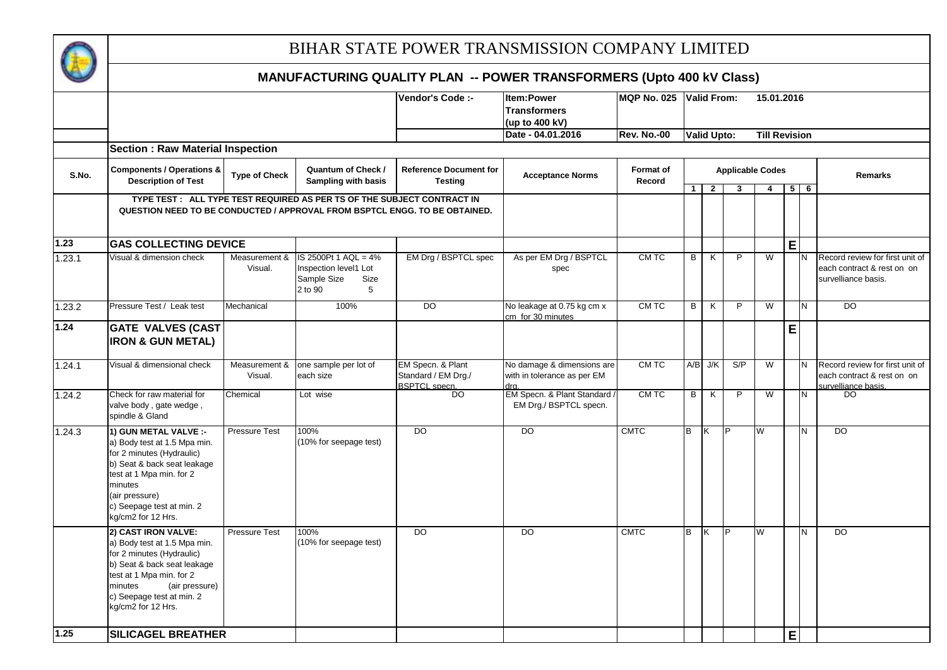

|        |                                                                                                                                                                                                                               |                          |                                                                                      | Vendor's Code :-                                                 | <b>Item:Power</b><br><b>Transformers</b><br>(up to 400 kV)        | MQP No. 025 Valid From: |                    |                |                         | 15.01.2016              |                |     |                                                                                      |
|--------|-------------------------------------------------------------------------------------------------------------------------------------------------------------------------------------------------------------------------------|--------------------------|--------------------------------------------------------------------------------------|------------------------------------------------------------------|-------------------------------------------------------------------|-------------------------|--------------------|----------------|-------------------------|-------------------------|----------------|-----|--------------------------------------------------------------------------------------|
|        |                                                                                                                                                                                                                               |                          |                                                                                      |                                                                  | Date - 04.01.2016                                                 | <b>Rev. No.-00</b>      | <b>Valid Upto:</b> |                |                         | <b>Till Revision</b>    |                |     |                                                                                      |
|        | <b>Section: Raw Material Inspection</b>                                                                                                                                                                                       |                          |                                                                                      |                                                                  |                                                                   |                         |                    |                |                         |                         |                |     |                                                                                      |
| S.No.  | <b>Components / Operations &amp;</b><br><b>Description of Test</b>                                                                                                                                                            | <b>Type of Check</b>     | Quantum of Check /<br>Sampling with basis                                            | <b>Reference Document for</b><br><b>Testing</b>                  | <b>Acceptance Norms</b>                                           | Format of<br>Record     |                    |                | <b>Applicable Codes</b> |                         |                |     | <b>Remarks</b>                                                                       |
|        | QUESTION NEED TO BE CONDUCTED / APPROVAL FROM BSPTCL ENGG. TO BE OBTAINED.                                                                                                                                                    |                          | TYPE TEST : ALL TYPE TEST REQUIRED AS PER TS OF THE SUBJECT CONTRACT IN              |                                                                  |                                                                   |                         | 1 <sup>1</sup>     | $\overline{2}$ | 3                       | $\overline{4}$          | 5 <sub>1</sub> | - 6 |                                                                                      |
| 1.23   | <b>GAS COLLECTING DEVICE</b>                                                                                                                                                                                                  |                          |                                                                                      |                                                                  |                                                                   |                         |                    |                |                         |                         | E              |     |                                                                                      |
| 1.23.1 | Visual & dimension check                                                                                                                                                                                                      | Measurement &<br>Visual. | IS 2500Pt 1 AQL = 4%<br>Inspection level1 Lot<br>Sample Size<br>Size<br>2 to 90<br>5 | EM Drg / BSPTCL spec                                             | As per EM Drg / BSPTCL<br>spec                                    | CM TC                   | B                  | K              | $\overline{P}$          | $\overline{\mathsf{W}}$ |                |     | Record review for first unit of<br>each contract & rest on on<br>survelliance basis. |
| 1.23.2 | Pressure Test / Leak test                                                                                                                                                                                                     | Mechanical               | 100%                                                                                 | DO                                                               | No leakage at 0.75 kg cm x<br>cm for 30 minutes                   | CMTC                    | B                  | K              | P                       | W                       |                | N   | <b>DO</b>                                                                            |
| 1.24   | <b>GATE VALVES (CAST</b><br><b>IRON &amp; GUN METAL)</b>                                                                                                                                                                      |                          |                                                                                      |                                                                  |                                                                   |                         |                    |                |                         |                         | E              |     |                                                                                      |
| 1.24.1 | Visual & dimensional check                                                                                                                                                                                                    | Measurement &<br>Visual. | one sample per lot of<br>each size                                                   | EM Specn. & Plant<br>Standard / EM Drg./<br><b>BSPTCL</b> specn. | No damage & dimensions are<br>with in tolerance as per EM<br>dra. | CM TC                   |                    | $A/B$ J/K      | S/P                     | $\overline{\mathsf{w}}$ |                | N   | Record review for first unit of<br>each contract & rest on on<br>survelliance basis. |
| 1.24.2 | Check for raw material for<br>valve body, gate wedge,<br>spindle & Gland                                                                                                                                                      | Chemical                 | Lot wise                                                                             | <b>DO</b>                                                        | EM Specn. & Plant Standard<br>EM Drg./ BSPTCL specn.              | CM TC                   | $\overline{B}$     | K              | $\overline{P}$          | $\overline{W}$          |                | N   | DO                                                                                   |
| 1.24.3 | 1) GUN METAL VALVE :-<br>a) Body test at 1.5 Mpa min.<br>for 2 minutes (Hydraulic)<br>b) Seat & back seat leakage<br>test at 1 Mpa min. for 2<br>minutes<br>(air pressure)<br>c) Seepage test at min. 2<br>kg/cm2 for 12 Hrs. | <b>Pressure Test</b>     | 100%<br>(10% for seepage test)                                                       | DO                                                               | <b>DO</b>                                                         | <b>CMTC</b>             | B                  | Κ              |                         | W                       |                | N   | <b>DO</b>                                                                            |
|        | 2) CAST IRON VALVE:<br>a) Body test at 1.5 Mpa min.<br>for 2 minutes (Hydraulic)<br>b) Seat & back seat leakage<br>test at 1 Mpa min. for 2<br>minutes<br>(air pressure)<br>c) Seepage test at min. 2<br>kg/cm2 for 12 Hrs.   | <b>Pressure Test</b>     | 100%<br>(10% for seepage test)                                                       | $\overline{DO}$                                                  | $\overline{D}$                                                    | <b>CMTC</b>             | в                  | κ              | Þ                       | W                       |                | N   | <b>DO</b>                                                                            |
| $1.25$ | <b>SILICAGEL BREATHER</b>                                                                                                                                                                                                     |                          |                                                                                      |                                                                  |                                                                   |                         |                    |                |                         |                         | E              |     |                                                                                      |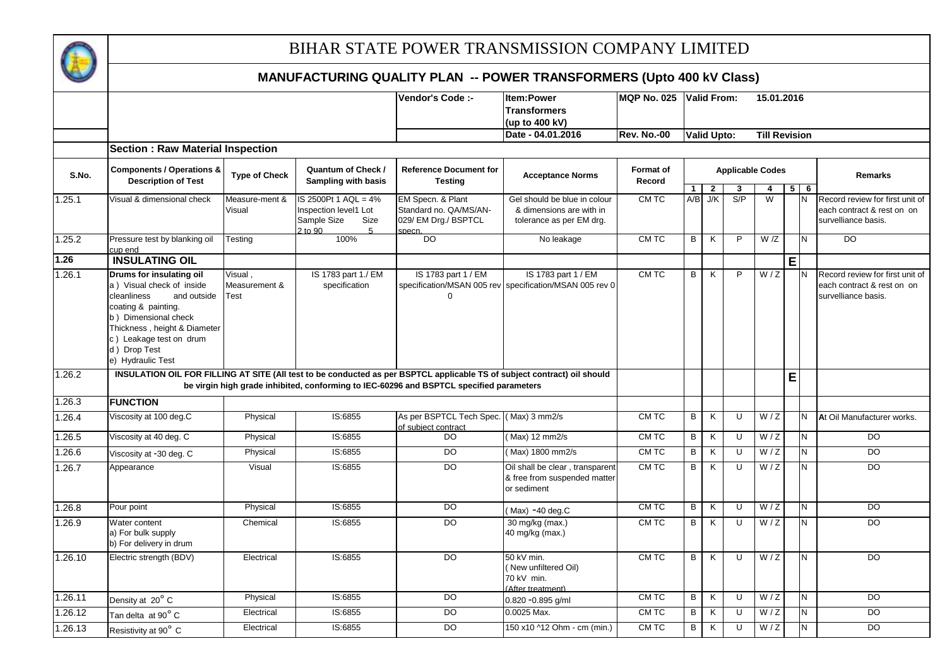

|         |                                                                                                                                                                                                                                    |                                         |                                                                                                   | Vendor's Code :-                                                                        | Item:Power<br><b>Transformers</b><br>(up to 400 kV)                                                                      | <b>MQP No. 025</b>         |                | <b>Valid From:</b>      |                         | 15.01.2016           |             |      |                                                                                      |
|---------|------------------------------------------------------------------------------------------------------------------------------------------------------------------------------------------------------------------------------------|-----------------------------------------|---------------------------------------------------------------------------------------------------|-----------------------------------------------------------------------------------------|--------------------------------------------------------------------------------------------------------------------------|----------------------------|----------------|-------------------------|-------------------------|----------------------|-------------|------|--------------------------------------------------------------------------------------|
|         |                                                                                                                                                                                                                                    |                                         |                                                                                                   |                                                                                         | Date - 04.01.2016                                                                                                        | <b>Rev. No.-00</b>         |                | <b>Valid Upto:</b>      |                         | <b>Till Revision</b> |             |      |                                                                                      |
| S.No.   | <b>Section: Raw Material Inspection</b><br><b>Components / Operations &amp;</b><br><b>Description of Test</b>                                                                                                                      | <b>Type of Check</b>                    | Quantum of Check /<br>Sampling with basis                                                         | <b>Reference Document for</b>                                                           | <b>Acceptance Norms</b>                                                                                                  | <b>Format of</b><br>Record |                |                         | <b>Applicable Codes</b> |                      |             |      | <b>Remarks</b>                                                                       |
|         |                                                                                                                                                                                                                                    |                                         |                                                                                                   | <b>Testing</b>                                                                          |                                                                                                                          |                            | $\mathbf{1}$   | $\overline{\mathbf{r}}$ | 3                       | 4                    | $5^{\circ}$ | $-6$ |                                                                                      |
| 1.25.1  | Visual & dimensional check                                                                                                                                                                                                         | Measure-ment &<br>Visual                | IS 2500Pt 1 AQL = 4%<br>Inspection level1 Lot<br>Sample Size<br>Size<br>$2$ to $90$<br>$\sqrt{2}$ | EM Specn. & Plant<br>Standard no. QA/MS/AN-<br>029/ EM Drg./ BSPTCL<br>snech.           | Gel should be blue in colour<br>& dimensions are with in<br>tolerance as per EM drg.                                     | CM TC                      |                | $A/B$ J/K               | S/P                     | $\overline{W}$       |             | N    | Record review for first unit of<br>each contract & rest on on<br>survelliance basis. |
| 1.25.2  | Pressure test by blanking oil<br>cup end                                                                                                                                                                                           | Testing                                 | 100%                                                                                              | DO.                                                                                     | No leakage                                                                                                               | CM TC                      | B              | K                       | P                       | W/Z                  |             | N    | D <sub>O</sub>                                                                       |
| 1.26    | <b>INSULATING OIL</b>                                                                                                                                                                                                              |                                         |                                                                                                   |                                                                                         |                                                                                                                          |                            |                |                         |                         |                      | E           |      |                                                                                      |
| 1.26.1  | Drums for insulating oil<br>a) Visual check of inside<br>cleanliness<br>and outside<br>coating & painting.<br>b) Dimensional check<br>Thickness, height & Diameter<br>c) Leakage test on drum<br>d) Drop Test<br>e) Hydraulic Test | Visual,<br>Measurement &<br><b>Test</b> | IS 1783 part 1./ EM<br>specification                                                              | IS 1783 part 1 / EM                                                                     | IS 1783 part 1 / EM<br>specification/MSAN 005 rev specification/MSAN 005 rev 0                                           | CM TC                      | B              | K                       | P                       | W/Z                  |             | IN.  | Record review for first unit of<br>each contract & rest on on<br>survelliance basis. |
| 1.26.2  |                                                                                                                                                                                                                                    |                                         |                                                                                                   | be virgin high grade inhibited, conforming to IEC-60296 and BSPTCL specified parameters | INSULATION OIL FOR FILLING AT SITE (All test to be conducted as per BSPTCL applicable TS of subject contract) oil should |                            |                |                         |                         |                      | E           |      |                                                                                      |
| 1.26.3  | <b>FUNCTION</b>                                                                                                                                                                                                                    |                                         |                                                                                                   |                                                                                         |                                                                                                                          |                            |                |                         |                         |                      |             |      |                                                                                      |
| 1.26.4  | Viscosity at 100 deg.C                                                                                                                                                                                                             | Physical                                | IS:6855                                                                                           | As per BSPTCL Tech Spec. (Max) 3 mm2/s<br>of subiect contract                           |                                                                                                                          | CMTC                       | B              | K                       | U                       | $\overline{W}/Z$     |             | N    | At Oil Manufacturer works.                                                           |
| 1.26.5  | Viscosity at 40 deg. C                                                                                                                                                                                                             | Physical                                | IS:6855                                                                                           | $\overline{D}$                                                                          | (Max) 12 mm2/s                                                                                                           | CM TC                      | B              | K                       | U                       | W/Z                  |             | N    | <b>DO</b>                                                                            |
| 1.26.6  | Viscosity at -30 deg. C                                                                                                                                                                                                            | Physical                                | IS:6855                                                                                           | <b>DO</b>                                                                               | (Max) 1800 mm2/s                                                                                                         | CM TC                      | B              | K                       | U                       | W/Z                  |             | N.   | <b>DO</b>                                                                            |
| 1.26.7  | Appearance                                                                                                                                                                                                                         | Visual                                  | IS:6855                                                                                           | $\overline{D}$                                                                          | Oil shall be clear, transparent<br>& free from suspended matter<br>or sediment                                           | CMTC                       | B              | K                       | U                       | W/Z                  |             | N    | $\overline{D}$                                                                       |
| 1.26.8  | Pour point                                                                                                                                                                                                                         | Physical                                | IS:6855                                                                                           | <b>DO</b>                                                                               | (Max) -40 deg.C                                                                                                          | CM TC                      | $\sf B$        | K                       | U                       | W/Z                  |             | Z    | <b>DO</b>                                                                            |
| 1.26.9  | Water content<br>a) For bulk supply<br>b) For delivery in drum                                                                                                                                                                     | Chemical                                | IS:6855                                                                                           | $\overline{D}$                                                                          | 30 mg/kg (max.)<br>40 mg/kg (max.)                                                                                       | CM TC                      | B              | K                       | U                       | W/Z                  |             | N    | $\overline{D}$                                                                       |
| 1.26.10 | Electric strength (BDV)                                                                                                                                                                                                            | Electrical                              | IS:6855                                                                                           | $\overline{D}$                                                                          | 50 kV min.<br>(New unfiltered Oil)<br>70 kV min.<br>(After treatment)                                                    | CMTC                       | $\overline{B}$ | $\overline{\mathsf{K}}$ | $\overline{U}$          | W/Z                  |             | N    | $\overline{DO}$                                                                      |
| 1.26.11 | Density at 20° C                                                                                                                                                                                                                   | Physical                                | IS:6855                                                                                           | DO                                                                                      | 0.820 -0.895 g/ml                                                                                                        | CM TC                      | B              | K                       | $\cup$                  | W/Z                  |             | N    | DO.                                                                                  |
| 1.26.12 | Tan delta at 90° C                                                                                                                                                                                                                 | Electrical                              | IS:6855                                                                                           | $\overline{D}$                                                                          | 0.0025 Max.                                                                                                              | CM TC                      | В              | K                       | U                       | W/Z                  |             | N    | $\overline{D}$                                                                       |
| 1.26.13 | Resistivity at 90° C                                                                                                                                                                                                               | Electrical                              | IS:6855                                                                                           | $\overline{D}$                                                                          | 150 x10 ^12 Ohm - cm (min.)                                                                                              | CM TC                      | В              | K                       | U                       | W/Z                  |             | N    | $\overline{D}$                                                                       |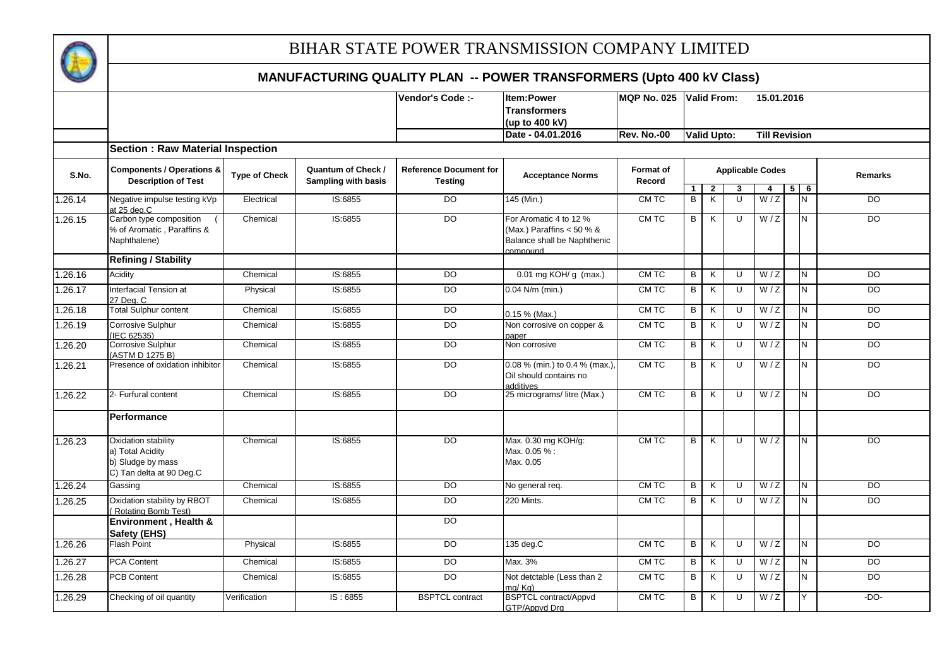

|         |                                                                                          |                      |                                                         | Vendor's Code :-                                | <b>Item:Power</b><br><b>Transformers</b>                                                      | <b>MQP No. 025</b>  |                         | <b>Valid From:</b> |                         |     | 15.01.2016           |                |                |
|---------|------------------------------------------------------------------------------------------|----------------------|---------------------------------------------------------|-------------------------------------------------|-----------------------------------------------------------------------------------------------|---------------------|-------------------------|--------------------|-------------------------|-----|----------------------|----------------|----------------|
|         |                                                                                          |                      |                                                         |                                                 | (up to 400 kV)                                                                                |                     |                         |                    |                         |     |                      |                |                |
|         |                                                                                          |                      |                                                         |                                                 | Date - 04.01.2016                                                                             | <b>Rev. No.-00</b>  |                         | <b>Valid Upto:</b> |                         |     | <b>Till Revision</b> |                |                |
|         | <b>Section: Raw Material Inspection</b>                                                  |                      |                                                         |                                                 |                                                                                               |                     |                         |                    |                         |     |                      |                |                |
| S.No.   | <b>Components / Operations &amp;</b><br><b>Description of Test</b>                       | <b>Type of Check</b> | <b>Quantum of Check /</b><br><b>Sampling with basis</b> | <b>Reference Document for</b><br><b>Testing</b> | <b>Acceptance Norms</b>                                                                       | Format of<br>Record |                         |                    | <b>Applicable Codes</b> |     |                      |                | <b>Remarks</b> |
|         |                                                                                          |                      |                                                         |                                                 |                                                                                               |                     | $\mathbf{1}$            | $\overline{2}$     | 3                       | 4   |                      | $5 \vert$<br>6 |                |
| 1.26.14 | Negative impulse testing kVp<br>at 25 deg.C                                              | Electrical           | IS:6855                                                 | DO                                              | 145 (Min.)                                                                                    | CM TC               | B                       | K                  | U                       | W/Z |                      | N              | <b>DO</b>      |
| 1.26.15 | Carbon type composition<br>% of Aromatic, Paraffins &<br>Naphthalene)                    | Chemical             | IS:6855                                                 | DO                                              | For Aromatic 4 to 12 %<br>(Max.) Paraffins $< 50 %$<br>Balance shall be Naphthenic<br>hauoamo | CM TC               | B                       | K                  | U                       | W/Z |                      | N              | $\overline{D}$ |
|         | <b>Refining / Stability</b>                                                              |                      |                                                         |                                                 |                                                                                               |                     |                         |                    |                         |     |                      |                |                |
| 1.26.16 | Acidity                                                                                  | Chemical             | IS:6855                                                 | DO                                              | $0.01$ mg KOH/g (max.)                                                                        | CM TC               | B                       | K                  | U                       | W/Z |                      | N              | <b>DO</b>      |
| 1.26.17 | Interfacial Tension at<br>27 Dea. C                                                      | Physical             | IS:6855                                                 | $\overline{D}$                                  | $0.04$ N/m (min.)                                                                             | CM TC               | B                       | K                  | U                       | W/Z |                      | $\overline{N}$ | $\overline{D}$ |
| 1.26.18 | <b>Total Sulphur content</b>                                                             | Chemical             | IS:6855                                                 | $\overline{D}$                                  | $0.15 \%$ (Max.)                                                                              | CM TC               | В                       | K                  | U                       | W/Z |                      | N              | $\overline{D}$ |
| 1.26.19 | <b>Corrosive Sulphur</b><br>(IEC 62535)                                                  | Chemical             | IS:6855                                                 | <b>DO</b>                                       | Non corrosive on copper &<br>paper                                                            | CM TC               | B                       | K                  | U                       | W/Z |                      | N              | DO             |
| 1.26.20 | Corrosive Sulphur<br>(ASTM D 1275 B)                                                     | Chemical             | IS:6855                                                 | DO                                              | Non corrosive                                                                                 | CM TC               | B                       | K                  | U                       | W/Z |                      | N              | $\overline{D}$ |
| 1.26.21 | Presence of oxidation inhibitor                                                          | Chemical             | IS:6855                                                 | $\overline{D}$                                  | 0.08 % (min.) to 0.4 % (max.),<br>Oil should contains no<br>additives                         | CMTC                | $\overline{\mathbf{p}}$ | K                  | $\overline{U}$          | W/Z |                      | N              | <b>DO</b>      |
| 1.26.22 | 2- Furfural content                                                                      | Chemical             | IS:6855                                                 | $\overline{D}$                                  | 25 micrograms/litre (Max.)                                                                    | CMTC                | B                       | K                  | U                       | W/Z |                      | N              | $\overline{D}$ |
|         | <b>Performance</b>                                                                       |                      |                                                         |                                                 |                                                                                               |                     |                         |                    |                         |     |                      |                |                |
| 1.26.23 | Oxidation stability<br>a) Total Acidity<br>b) Sludge by mass<br>C) Tan delta at 90 Deg.C | Chemical             | IS:6855                                                 | $\overline{D}$                                  | Max. 0.30 mg KOH/g:<br>Max. 0.05 %:<br>Max. 0.05                                              | CMTC                | B                       | K                  | U                       | W/Z |                      | N              | $\overline{D}$ |
| 1.26.24 | Gassing                                                                                  | Chemical             | IS:6855                                                 | <b>DO</b>                                       | No general req.                                                                               | CM TC               | $\overline{B}$          | K                  | $\overline{U}$          | W/Z |                      | Z              | $\overline{D}$ |
| 1.26.25 | Oxidation stability by RBOT<br>Rotating Bomb Test)                                       | Chemical             | IS:6855                                                 | $\overline{D}$                                  | 220 Mints.                                                                                    | CMTC                | B                       | K                  | U                       | W/Z |                      | N              | $\overline{D}$ |
|         | Environment, Health &<br><b>Safety (EHS)</b>                                             |                      |                                                         | <b>DO</b>                                       |                                                                                               |                     |                         |                    |                         |     |                      |                |                |
| 1.26.26 | <b>Flash Point</b>                                                                       | Physical             | IS:6855                                                 | <b>DO</b>                                       | 135 deg.C                                                                                     | CM TC               | B                       | K                  | U                       | W/Z |                      | N.             | <b>DO</b>      |
| 1.26.27 | <b>PCA Content</b>                                                                       | Chemical             | IS:6855                                                 | DO                                              | Max. 3%                                                                                       | CM TC               | В                       | K                  | U                       | W/Z |                      | N              | DO             |
| 1.26.28 | <b>PCB Content</b>                                                                       | Chemical             | IS:6855                                                 | $\overline{D}$                                  | Not detctable (Less than 2<br>ma/Ka)                                                          | CM TC               | $\overline{B}$          | K                  | $\overline{U}$          | W/Z |                      | N              | $\overline{D}$ |
| 1.26.29 | Checking of oil quantity                                                                 | Verification         | IS: 6855                                                | <b>BSPTCL</b> contract                          | BSPTCL contract/Appvd<br><b>GTP/Appvd Drg</b>                                                 | CM TC               | B                       | K                  | U                       | W/Z |                      | Y.             | $-DO-$         |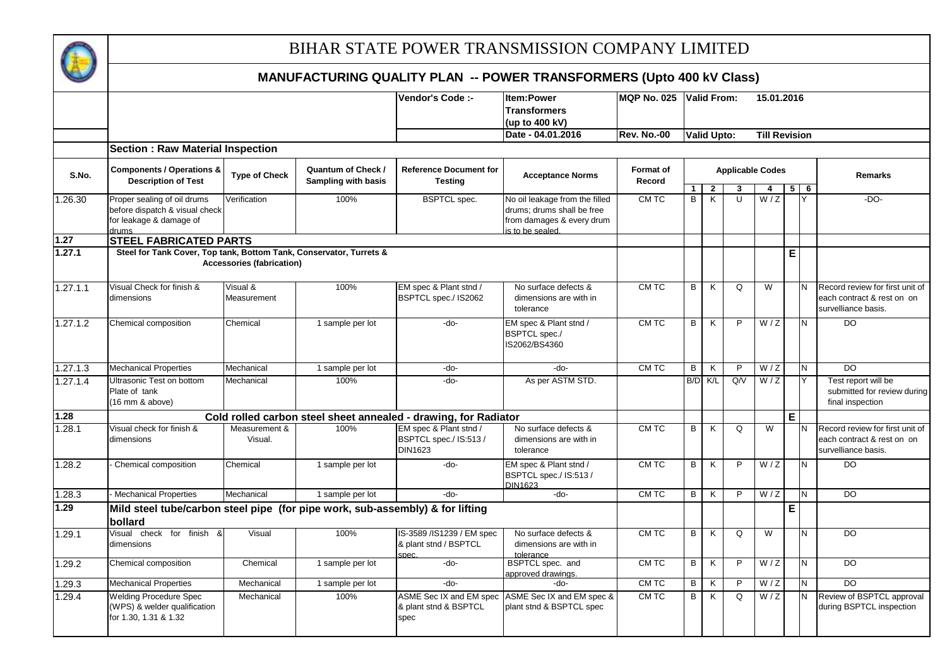

|          |                                                                                          |                                  |                                           | Vendor's Code :-                                                | <b>Item:Power</b>                                                          | <b>MQP No. 025</b>         |                | <b>Valid From:</b>      |                | 15.01.2016                   |                |                         |                                                                                      |
|----------|------------------------------------------------------------------------------------------|----------------------------------|-------------------------------------------|-----------------------------------------------------------------|----------------------------------------------------------------------------|----------------------------|----------------|-------------------------|----------------|------------------------------|----------------|-------------------------|--------------------------------------------------------------------------------------|
|          |                                                                                          |                                  |                                           |                                                                 | <b>Transformers</b>                                                        |                            |                |                         |                |                              |                |                         |                                                                                      |
|          |                                                                                          |                                  |                                           |                                                                 | (up to 400 kV)                                                             |                            |                |                         |                |                              |                |                         |                                                                                      |
|          |                                                                                          |                                  |                                           |                                                                 | Date - 04.01.2016                                                          | <b>Rev. No.-00</b>         |                | <b>Valid Upto:</b>      |                | <b>Till Revision</b>         |                |                         |                                                                                      |
|          | <b>Section: Raw Material Inspection</b>                                                  |                                  |                                           |                                                                 |                                                                            |                            |                |                         |                |                              |                |                         |                                                                                      |
| S.No.    | <b>Components / Operations &amp;</b><br><b>Description of Test</b>                       | <b>Type of Check</b>             | Quantum of Check /<br>Sampling with basis | <b>Reference Document for</b><br><b>Testing</b>                 | <b>Acceptance Norms</b>                                                    | <b>Format of</b><br>Record |                |                         | 3              | <b>Applicable Codes</b><br>4 |                | $5 \overline{6}$        | <b>Remarks</b>                                                                       |
| 1.26.30  | Proper sealing of oil drums                                                              | Verification                     | 100%                                      | <b>BSPTCL</b> spec.                                             | No oil leakage from the filled                                             | CM TC                      | B              | $\overline{2}$<br>K     | U              | W/Z                          |                |                         | $-DO-$                                                                               |
|          | before dispatch & visual check<br>for leakage & damage of<br>drums                       |                                  |                                           |                                                                 | drums; drums shall be free<br>from damages & every drum<br>s to be sealed. |                            |                |                         |                |                              |                |                         |                                                                                      |
| 1.27     | <b>STEEL FABRICATED PARTS</b>                                                            |                                  |                                           |                                                                 |                                                                            |                            |                |                         |                |                              |                |                         |                                                                                      |
| 1.27.1   | Steel for Tank Cover, Top tank, Bottom Tank, Conservator, Turrets &                      | <b>Accessories (fabrication)</b> |                                           |                                                                 |                                                                            |                            |                |                         |                |                              | E              |                         |                                                                                      |
| 1.27.1.1 | Visual Check for finish &<br>dimensions                                                  | Visual &<br>Measurement          | 100%                                      | EM spec & Plant stnd /<br>BSPTCL spec./ IS2062                  | No surface defects &<br>dimensions are with in<br>tolerance                | CM TC                      | B              | K                       | Q              | W                            |                |                         | Record review for first unit of<br>each contract & rest on on<br>survelliance basis. |
| 1.27.1.2 | Chemical composition                                                                     | Chemical                         | 1 sample per lot                          | -do-                                                            | EM spec & Plant stnd /<br><b>BSPTCL spec./</b><br>IS2062/BS4360            | CMTC                       | B              | K                       | P              | W/Z                          |                | N                       | DO                                                                                   |
| 1.27.1.3 | <b>Mechanical Properties</b>                                                             | Mechanical                       | 1 sample per lot                          | -do-                                                            | -do-                                                                       | CM TC                      | B              | K                       | P              | W/Z                          |                | N                       | DO                                                                                   |
| 1.27.1.4 | Ultrasonic Test on bottom<br>Plate of tank<br>(16 mm & above)                            | Mechanical                       | 100%                                      | -do-                                                            | As per ASTM STD.                                                           |                            |                | B/D K/L                 | Q/V            | W/Z                          |                |                         | Test report will be<br>submitted for review during<br>final inspection               |
| 1.28     |                                                                                          |                                  |                                           | Cold rolled carbon steel sheet annealed - drawing, for Radiator |                                                                            |                            |                |                         |                |                              | $\mathsf E$    |                         |                                                                                      |
| 1.28.1   | Visual check for finish &<br>dimensions                                                  | Measurement &<br>Visual.         | 100%                                      | EM spec & Plant stnd /<br>BSPTCL spec./ IS:513 /<br>DIN1623     | No surface defects &<br>dimensions are with in<br>tolerance                | CM TC                      | $\overline{B}$ | K                       | Q              | $\overline{W}$               |                |                         | Record review for first unit of<br>each contract & rest on on<br>survelliance basis. |
| 1.28.2   | Chemical composition                                                                     | Chemical                         | 1 sample per lot                          | -do-                                                            | EM spec & Plant stnd /<br>BSPTCL spec./ IS:513 /<br>DIN1623                | CMTC                       | $\overline{B}$ | K                       | $\overline{P}$ | W/Z                          |                | N                       | $\overline{D}$                                                                       |
| 1.28.3   | <b>Mechanical Properties</b>                                                             | Mechanical                       | 1 sample per lot                          | $-do-$                                                          | -do-                                                                       | CM TC                      | B              | K                       | P              | W/Z                          |                | N                       | DO                                                                                   |
| 1.29     | Mild steel tube/carbon steel pipe (for pipe work, sub-assembly) & for lifting<br>bollard |                                  |                                           |                                                                 |                                                                            |                            |                |                         |                |                              | $\overline{E}$ |                         |                                                                                      |
| 1.29.1   | Visual check for finish<br>୍ୟୁ<br>dimensions                                             | Visual                           | 100%                                      | IS-3589 /IS1239 / EM spec<br>& plant stnd / BSPTCL<br>spec.     | No surface defects &<br>dimensions are with in<br>tolerance                | CM TC                      | $\overline{B}$ | $\overline{\mathsf{K}}$ | Q              | W                            |                | $\overline{\mathsf{N}}$ | $\overline{D}$                                                                       |
| 1.29.2   | Chemical composition                                                                     | Chemical                         | 1 sample per lot                          | -do-                                                            | BSPTCL spec. and<br>approved drawings.                                     | CM TC                      | B              | K                       | P              | W/Z                          |                | N                       | <b>DO</b>                                                                            |
| 1.29.3   | <b>Mechanical Properties</b>                                                             | Mechanical                       | 1 sample per lot                          | -do-                                                            | $-do-$                                                                     | CM TC                      | B              | K                       | P              | W/Z                          |                | N                       | D <sub>O</sub>                                                                       |
| 1.29.4   | <b>Welding Procedure Spec</b><br>(WPS) & welder qualification<br>for 1.30, 1.31 & 1.32   | Mechanical                       | 100%                                      | ASME Sec IX and EM spec<br>& plant stnd & BSPTCL<br>spec        | ASME Sec IX and EM spec &<br>plant stnd & BSPTCL spec                      | CM TC                      | B              | K                       | $\Omega$       | W/Z                          |                | N                       | Review of BSPTCL approval<br>during BSPTCL inspection                                |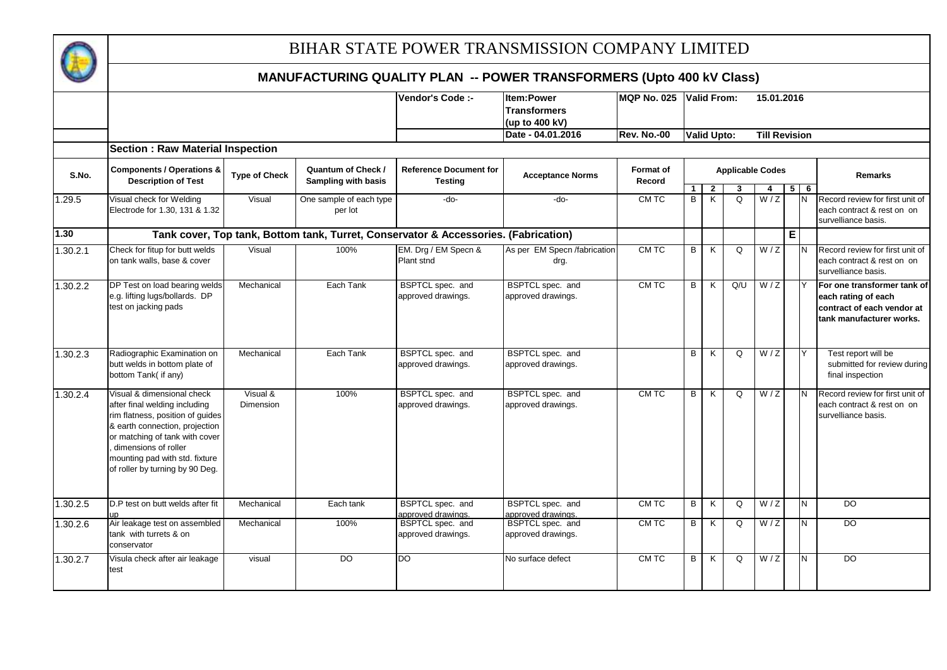

|          |                                                                                                                                                                                                                                                                  |                       |                                                  | Vendor's Code :-                                                                    | Item:Power<br><b>Transformers</b><br>(up to 400 kV) | <b>MQP No. 025</b>  |                   | <b>Valid From:</b> |                         | 15.01.2016           |             |        |                                                                                                              |
|----------|------------------------------------------------------------------------------------------------------------------------------------------------------------------------------------------------------------------------------------------------------------------|-----------------------|--------------------------------------------------|-------------------------------------------------------------------------------------|-----------------------------------------------------|---------------------|-------------------|--------------------|-------------------------|----------------------|-------------|--------|--------------------------------------------------------------------------------------------------------------|
|          |                                                                                                                                                                                                                                                                  |                       |                                                  |                                                                                     | Date - 04.01.2016                                   | <b>Rev. No.-00</b>  |                   | <b>Valid Upto:</b> |                         | <b>Till Revision</b> |             |        |                                                                                                              |
|          | <b>Section : Raw Material Inspection</b>                                                                                                                                                                                                                         |                       |                                                  |                                                                                     |                                                     |                     |                   |                    |                         |                      |             |        |                                                                                                              |
| S.No.    | <b>Components / Operations &amp;</b><br><b>Description of Test</b>                                                                                                                                                                                               | <b>Type of Check</b>  | <b>Quantum of Check /</b><br>Sampling with basis | <b>Reference Document for</b><br><b>Testing</b>                                     | <b>Acceptance Norms</b>                             | Format of<br>Record |                   |                    | <b>Applicable Codes</b> |                      |             |        | <b>Remarks</b>                                                                                               |
| 1.29.5   | Visual check for Welding<br>Electrode for 1.30, 131 & 1.32                                                                                                                                                                                                       | Visual                | One sample of each type<br>per lot               | $-do-$                                                                              | -do-                                                | CM TC               | $\mathbf{1}$<br>B | $\mathbf{2}$<br>K  | 3<br>Q                  | 4<br>W/Z             | 5           | 6<br>N | Record review for first unit of<br>each contract & rest on on<br>survelliance basis.                         |
| 1.30     |                                                                                                                                                                                                                                                                  |                       |                                                  | Tank cover, Top tank, Bottom tank, Turret, Conservator & Accessories. (Fabrication) |                                                     |                     |                   |                    |                         |                      | $\mathsf E$ |        |                                                                                                              |
| 1.30.2.1 | Check for fitup for butt welds<br>on tank walls, base & cover                                                                                                                                                                                                    | Visual                | 100%                                             | EM. Drg / EM Specn &<br>Plant stnd                                                  | As per EM Specn /fabrication<br>drg.                | CM TC               | B                 | K                  | Q                       | W/Z                  |             |        | Record review for first unit of<br>each contract & rest on on<br>survelliance basis.                         |
| 1.30.2.2 | DP Test on load bearing welds<br>e.g. lifting lugs/bollards. DP<br>test on jacking pads                                                                                                                                                                          | Mechanical            | Each Tank                                        | BSPTCL spec. and<br>approved drawings.                                              | BSPTCL spec. and<br>approved drawings.              | CM TC               | B                 | K                  | Q/U                     | W/Z                  |             |        | For one transformer tank of<br>each rating of each<br>contract of each vendor at<br>tank manufacturer works. |
| 1.30.2.3 | Radiographic Examination on<br>butt welds in bottom plate of<br>bottom Tank( if any)                                                                                                                                                                             | Mechanical            | Each Tank                                        | BSPTCL spec. and<br>approved drawings.                                              | BSPTCL spec. and<br>approved drawings.              |                     | B                 | K                  | Q                       | W/Z                  |             | Y      | Test report will be<br>submitted for review during<br>final inspection                                       |
| 1.30.2.4 | Visual & dimensional check<br>after final welding including<br>rim flatness, position of guides<br>& earth connection, projection<br>or matching of tank with cover<br>dimensions of roller<br>mounting pad with std. fixture<br>of roller by turning by 90 Deg. | Visual &<br>Dimension | 100%                                             | BSPTCL spec. and<br>approved drawings.                                              | BSPTCL spec. and<br>approved drawings.              | CM TC               | B                 | K                  | $\Omega$                | W/Z                  |             | IN.    | Record review for first unit of<br>each contract & rest on on<br>survelliance basis.                         |
| 1.30.2.5 | D.P test on butt welds after fit                                                                                                                                                                                                                                 | Mechanical            | Each tank                                        | BSPTCL spec. and<br>approved drawings.                                              | BSPTCL spec. and<br>approved drawings.              | CM TC               | B                 | K                  | Q                       | W/Z                  |             | N      | $\overline{50}$                                                                                              |
| 1.30.2.6 | Air leakage test on assembled<br>tank with turrets & on<br>conservator                                                                                                                                                                                           | Mechanical            | 100%                                             | BSPTCL spec. and<br>approved drawings.                                              | BSPTCL spec. and<br>approved drawings.              | CM TC               | B                 | K                  | Q                       | W/Z                  |             | N      | DO                                                                                                           |
| 1.30.2.7 | Visula check after air leakage<br>test                                                                                                                                                                                                                           | visual                | DO.                                              | DO                                                                                  | No surface defect                                   | CM TC               | B                 | K                  | Q                       | W/Z                  |             | N      | DO                                                                                                           |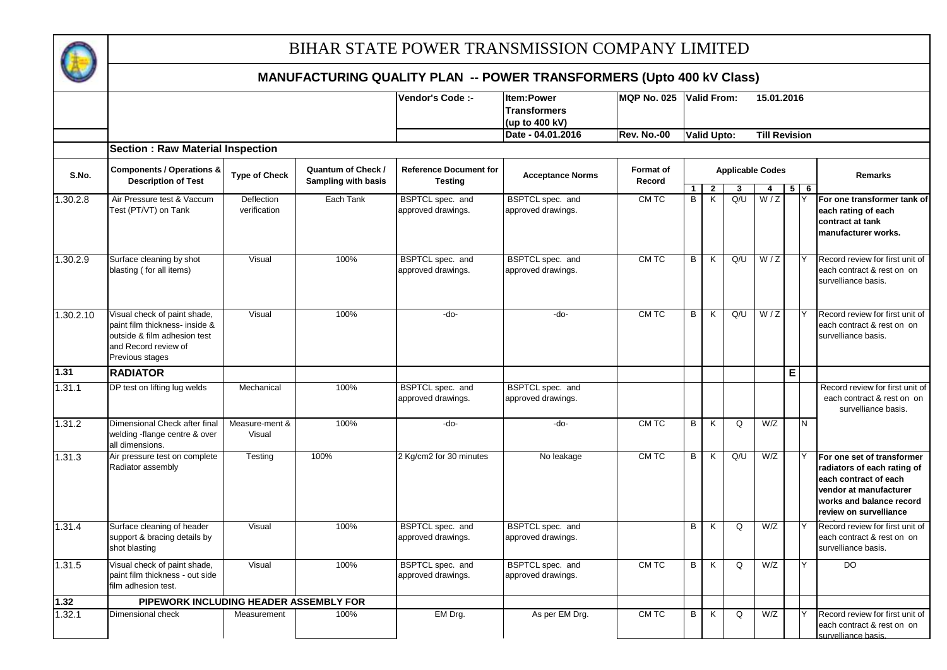

|           |                                                                                                                                           |                            |                                           | Vendor's Code :-                                | <b>Item:Power</b>                      | <b>MQP No. 025</b>         |                | <b>Valid From:</b>                        |                         | 15.01.2016           |                |                     |                                                                                                                                                                    |
|-----------|-------------------------------------------------------------------------------------------------------------------------------------------|----------------------------|-------------------------------------------|-------------------------------------------------|----------------------------------------|----------------------------|----------------|-------------------------------------------|-------------------------|----------------------|----------------|---------------------|--------------------------------------------------------------------------------------------------------------------------------------------------------------------|
|           |                                                                                                                                           |                            |                                           |                                                 | <b>Transformers</b><br>(up to 400 kV)  |                            |                |                                           |                         |                      |                |                     |                                                                                                                                                                    |
|           |                                                                                                                                           |                            |                                           |                                                 | Date - 04.01.2016                      | Rev. No.-00                |                | <b>Valid Upto:</b>                        |                         | <b>Till Revision</b> |                |                     |                                                                                                                                                                    |
|           | <b>Section : Raw Material Inspection</b>                                                                                                  |                            |                                           |                                                 |                                        |                            |                |                                           |                         |                      |                |                     |                                                                                                                                                                    |
| S.No.     | <b>Components / Operations &amp;</b><br><b>Description of Test</b>                                                                        | <b>Type of Check</b>       | Quantum of Check /<br>Sampling with basis | <b>Reference Document for</b><br><b>Testing</b> | <b>Acceptance Norms</b>                | <b>Format of</b><br>Record |                |                                           | <b>Applicable Codes</b> |                      |                |                     | Remarks                                                                                                                                                            |
| 1.30.2.8  | Air Pressure test & Vaccum<br>Test (PT/VT) on Tank                                                                                        | Deflection<br>verification | Each Tank                                 | BSPTCL spec. and<br>approved drawings.          | BSPTCL spec. and<br>approved drawings. | CM TC                      | $\overline{B}$ | $\overline{2}$<br>$\overline{\mathsf{K}}$ | 3<br>Q/U                | 4<br>W/Z             | 5 <sub>1</sub> | $\overline{6}$<br>Y | For one transformer tank of<br>each rating of each<br>contract at tank<br>manufacturer works.                                                                      |
| 1.30.2.9  | Surface cleaning by shot<br>blasting (for all items)                                                                                      | Visual                     | 100%                                      | BSPTCL spec. and<br>approved drawings.          | BSPTCL spec. and<br>approved drawings. | CM TC                      | B              | K                                         | Q/U                     | W/Z                  |                |                     | Record review for first unit of<br>each contract & rest on on<br>survelliance basis.                                                                               |
| 1.30.2.10 | Visual check of paint shade,<br>paint film thickness- inside &<br>outside & film adhesion test<br>and Record review of<br>Previous stages | Visual                     | 100%                                      | -do-                                            | $-do-$                                 | CM TC                      | B              | K                                         | Q/U                     | W/Z                  |                | Y                   | Record review for first unit of<br>each contract & rest on on<br>survelliance basis.                                                                               |
| 1.31      | <b>RADIATOR</b>                                                                                                                           |                            |                                           |                                                 |                                        |                            |                |                                           |                         |                      | $\overline{E}$ |                     |                                                                                                                                                                    |
| 1.31.1    | DP test on lifting lug welds                                                                                                              | Mechanical                 | 100%                                      | BSPTCL spec. and<br>approved drawings.          | BSPTCL spec. and<br>approved drawings. |                            |                |                                           |                         |                      |                |                     | Record review for first unit of<br>each contract & rest on on<br>survelliance basis.                                                                               |
| 1.31.2    | Dimensional Check after final<br>welding -flange centre & over<br>all dimensions.                                                         | Measure-ment &<br>Visual   | 100%                                      | -do-                                            | -do-                                   | CM TC                      | B              | K                                         | Q                       | W/Z                  |                | N                   |                                                                                                                                                                    |
| 1.31.3    | Air pressure test on complete<br>Radiator assembly                                                                                        | Testing                    | 100%                                      | 2 Kg/cm2 for 30 minutes                         | No leakage                             | CM TC                      | B              | K                                         | Q/U                     | W/Z                  |                | Y                   | For one set of transformer<br>radiators of each rating of<br>each contract of each<br>vendor at manufacturer<br>works and balance record<br>review on survelliance |
| 1.31.4    | Surface cleaning of header<br>support & bracing details by<br>shot blasting                                                               | Visual                     | 100%                                      | BSPTCL spec. and<br>approved drawings.          | BSPTCL spec. and<br>approved drawings. |                            | B              | K                                         | Q                       | W/Z                  |                | Y                   | Record review for first unit of<br>each contract & rest on on<br>survelliance basis.                                                                               |
| 1.31.5    | Visual check of paint shade,<br>paint film thickness - out side<br>film adhesion test.                                                    | Visual                     | 100%                                      | BSPTCL spec. and<br>approved drawings.          | BSPTCL spec. and<br>approved drawings. | CM TC                      | $\overline{B}$ | K                                         | Q                       | W/Z                  |                | Y                   | $\overline{D}$                                                                                                                                                     |
| 1.32      | PIPEWORK INCLUDING HEADER ASSEMBLY FOR                                                                                                    |                            |                                           |                                                 |                                        |                            |                |                                           |                         |                      |                |                     |                                                                                                                                                                    |
| 1.32.1    | Dimensional check                                                                                                                         | Measurement                | 100%                                      | EM Drg.                                         | As per EM Drg.                         | CM TC                      | B              | K                                         | Q                       | W/Z                  |                |                     | Record review for first unit of<br>each contract & rest on on<br>survelliance basis.                                                                               |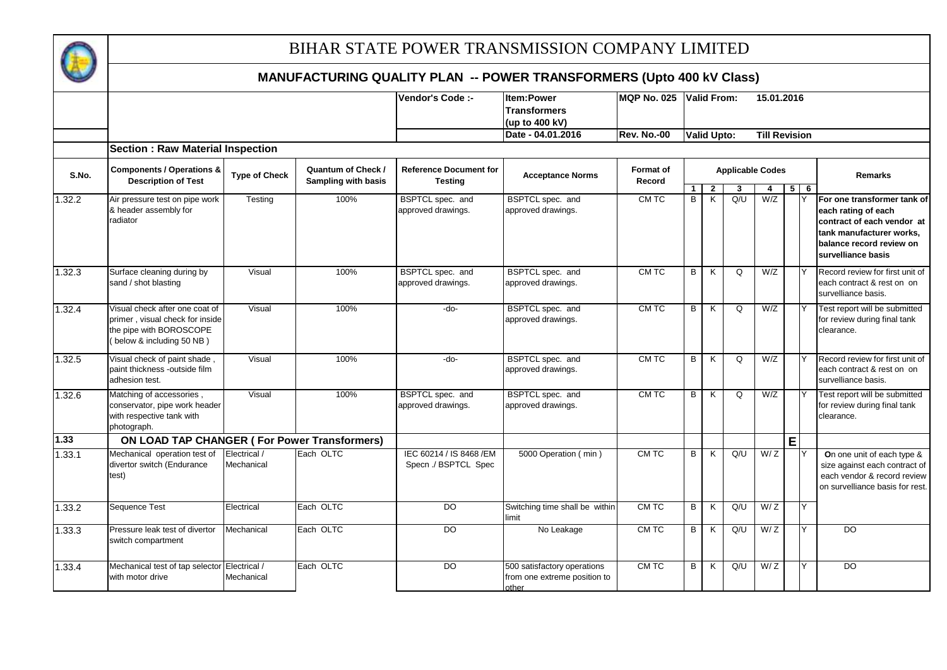

|        |                                                                                                                           |                            |                                                  | Vendor's Code :-                                 | <b>Item:Power</b><br><b>Transformers</b><br>(up to 400 kV)           | <b>MQP No. 025</b>         |         | <b>Valid From:</b> |                         |          | 15.01.2016           |            |                                                                                                                                                                |
|--------|---------------------------------------------------------------------------------------------------------------------------|----------------------------|--------------------------------------------------|--------------------------------------------------|----------------------------------------------------------------------|----------------------------|---------|--------------------|-------------------------|----------|----------------------|------------|----------------------------------------------------------------------------------------------------------------------------------------------------------------|
|        | <b>Section: Raw Material Inspection</b>                                                                                   |                            |                                                  |                                                  | Date - 04.01.2016                                                    | <b>Rev. No.-00</b>         |         | <b>Valid Upto:</b> |                         |          | <b>Till Revision</b> |            |                                                                                                                                                                |
| S.No.  | <b>Components / Operations &amp;</b><br><b>Description of Test</b>                                                        | <b>Type of Check</b>       | <b>Quantum of Check /</b><br>Sampling with basis | <b>Reference Document for</b><br><b>Testing</b>  | <b>Acceptance Norms</b>                                              | <b>Format</b> of<br>Record |         |                    | <b>Applicable Codes</b> |          |                      |            | <b>Remarks</b>                                                                                                                                                 |
| 1.32.2 | Air pressure test on pipe work<br>& header assembly for<br>radiator                                                       | Testing                    | 100%                                             | BSPTCL spec. and<br>approved drawings.           | BSPTCL spec. and<br>approved drawings.                               | CM TC                      | -1<br>B | $\mathbf{2}$<br>K  | Q/U                     | 4<br>W/Z |                      | $5 \mid 6$ | For one transformer tank of<br>each rating of each<br>contract of each vendor at<br>tank manufacturer works,<br>balance record review on<br>survelliance basis |
| 1.32.3 | Surface cleaning during by<br>sand / shot blasting                                                                        | Visual                     | 100%                                             | BSPTCL spec. and<br>approved drawings.           | BSPTCL spec. and<br>approved drawings.                               | CM TC                      | B       | K                  | Q                       | W/Z      |                      |            | Record review for first unit of<br>each contract & rest on on<br>survelliance basis.                                                                           |
| 1.32.4 | Visual check after one coat of<br>primer, visual check for inside<br>the pipe with BOROSCOPE<br>(below & including 50 NB) | Visual                     | 100%                                             | -do-                                             | BSPTCL spec. and<br>approved drawings.                               | CM TC                      | B       | K                  | $\Omega$                | W/Z      |                      | Y          | Test report will be submitted<br>for review during final tank<br>clearance.                                                                                    |
| 1.32.5 | Visual check of paint shade<br>paint thickness -outside film<br>adhesion test.                                            | Visual                     | 100%                                             | -do-                                             | BSPTCL spec. and<br>approved drawings.                               | CM TC                      | B       | K                  | Q                       | W/Z      |                      |            | Record review for first unit of<br>each contract & rest on on<br>survelliance basis.                                                                           |
| 1.32.6 | Matching of accessories,<br>conservator, pipe work header<br>with respective tank with<br>photograph.                     | Visual                     | 100%                                             | BSPTCL spec. and<br>approved drawings.           | BSPTCL spec. and<br>approved drawings.                               | CM TC                      | B       | K                  | $\Omega$                | W/Z      |                      |            | Test report will be submitted<br>for review during final tank<br>clearance.                                                                                    |
| 1.33   | ON LOAD TAP CHANGER (For Power Transformers)                                                                              |                            |                                                  |                                                  |                                                                      |                            |         |                    |                         |          | E                    |            |                                                                                                                                                                |
| 1.33.1 | Mechanical operation test of<br>divertor switch (Endurance<br>test)                                                       | Electrical /<br>Mechanical | Each OLTC                                        | IEC 60214 / IS 8468 / EM<br>Specn ./ BSPTCL Spec | 5000 Operation (min)                                                 | CM TC                      | B       | K                  | Q/U                     | W/Z      |                      |            | On one unit of each type &<br>size against each contract of<br>each vendor & record review<br>on survelliance basis for rest.                                  |
| 1.33.2 | Sequence Test                                                                                                             | Electrical                 | Each OLTC                                        | $\overline{D}$                                   | Switching time shall be within<br>limit                              | CM TC                      | B       | K                  | Q/U                     | W/Z      |                      | Y          |                                                                                                                                                                |
| 1.33.3 | Pressure leak test of divertor<br>switch compartment                                                                      | Mechanical                 | Each OLTC                                        | DO                                               | No Leakage                                                           | CM TC                      | B       | K                  | Q/U                     | W/Z      |                      | Y          | $\overline{D}$                                                                                                                                                 |
| 1.33.4 | Mechanical test of tap selector Electrical /<br>with motor drive                                                          | Mechanical                 | Each OLTC                                        | D <sub>O</sub>                                   | 500 satisfactory operations<br>from one extreme position to<br>other | CM TC                      | B       | K                  | Q/U                     | W/Z      |                      | Y          | D <sub>O</sub>                                                                                                                                                 |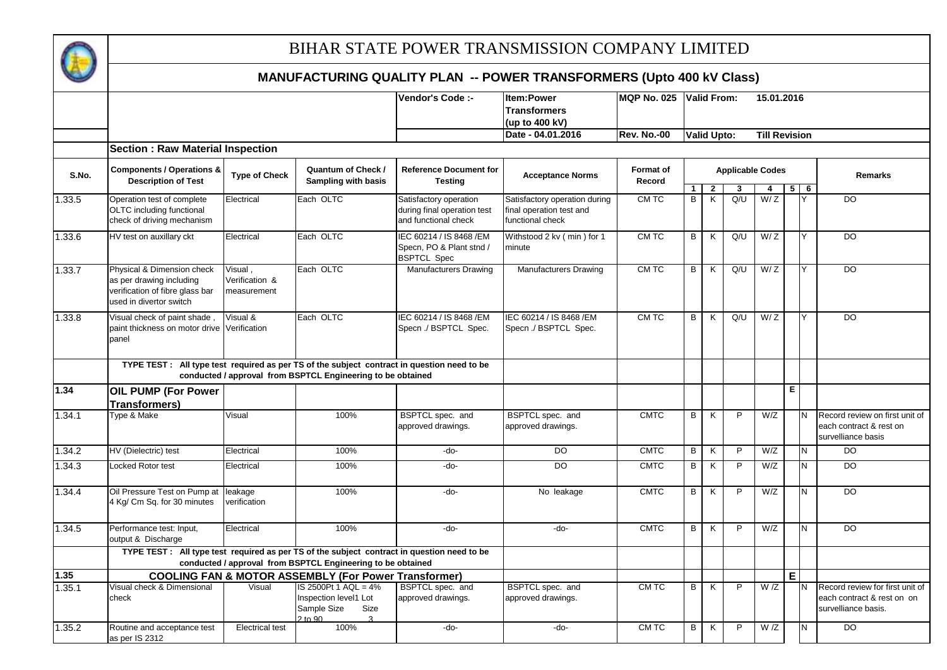

|        |                                                                                                                      |                                          |                                                                                            | Vendor's Code :-                                                              | <b>Item:Power</b><br><b>Transformers</b><br>(up to 400 kV)                    | <b>MQP No. 025</b>         |                | <b>Valid From:</b> |                         | 15.01.2016           |                |        |                                                                                      |
|--------|----------------------------------------------------------------------------------------------------------------------|------------------------------------------|--------------------------------------------------------------------------------------------|-------------------------------------------------------------------------------|-------------------------------------------------------------------------------|----------------------------|----------------|--------------------|-------------------------|----------------------|----------------|--------|--------------------------------------------------------------------------------------|
|        |                                                                                                                      |                                          |                                                                                            |                                                                               | Date - 04.01.2016                                                             | <b>Rev. No.-00</b>         |                | <b>Valid Upto:</b> |                         | <b>Till Revision</b> |                |        |                                                                                      |
|        | <b>Section: Raw Material Inspection</b>                                                                              |                                          |                                                                                            |                                                                               |                                                                               |                            |                |                    |                         |                      |                |        |                                                                                      |
| S.No.  | <b>Components / Operations &amp;</b><br><b>Description of Test</b>                                                   | <b>Type of Check</b>                     | <b>Quantum of Check /</b><br>Sampling with basis                                           | <b>Reference Document for</b><br><b>Testing</b>                               | <b>Acceptance Norms</b>                                                       | <b>Format of</b><br>Record |                |                    | <b>Applicable Codes</b> |                      |                |        | <b>Remarks</b>                                                                       |
| 1.33.5 | Operation test of complete<br>OLTC including functional<br>check of driving mechanism                                | Electrical                               | Each OLTC                                                                                  | Satisfactory operation<br>during final operation test<br>and functional check | Satisfactory operation during<br>final operation test and<br>functional check | CM TC                      | 1<br>B         | $\mathbf{2}$<br>K  | 3<br>Q/U                | 4<br>W/Z             | 5 <sub>5</sub> | 6<br>Υ | <b>DO</b>                                                                            |
| 1.33.6 | HV test on auxillary ckt                                                                                             | Electrical                               | Each OLTC                                                                                  | IEC 60214 / IS 8468 / EM<br>Specn, PO & Plant stnd /<br><b>BSPTCL Spec</b>    | Withstood 2 kv (min) for 1<br>minute                                          | <b>CMTC</b>                | B              | K                  | Q/U                     | W/Z                  |                | Y      | $\overline{D}$                                                                       |
| 1.33.7 | Physical & Dimension check<br>as per drawing including<br>verification of fibre glass bar<br>used in divertor switch | Visual.<br>Verification &<br>measurement | Each OLTC                                                                                  | Manufacturers Drawing                                                         | Manufacturers Drawing                                                         | CM TC                      | B              | K                  | Q/U                     | W/Z                  |                | Y      | <b>DO</b>                                                                            |
| 1.33.8 | Visual check of paint shade,<br>paint thickness on motor drive Verification<br>panel                                 | Visual &                                 | Each OLTC                                                                                  | IEC 60214 / IS 8468 / EM<br>Specn ./ BSPTCL Spec.                             | IEC 60214 / IS 8468 / EM<br>Specn ./ BSPTCL Spec.                             | CM TC                      | $\overline{B}$ | K                  | Q/U                     | W/Z                  |                | Y      | D <sub>O</sub>                                                                       |
|        | TYPE TEST : All type test required as per TS of the subject contract in question need to be                          |                                          | conducted / approval from BSPTCL Engineering to be obtained                                |                                                                               |                                                                               |                            |                |                    |                         |                      |                |        |                                                                                      |
| 1.34   | <b>OIL PUMP (For Power</b><br>Transformers)                                                                          |                                          |                                                                                            |                                                                               |                                                                               |                            |                |                    |                         |                      | Ε              |        |                                                                                      |
| 1.34.1 | Type & Make                                                                                                          | Visual                                   | 100%                                                                                       | BSPTCL spec. and<br>approved drawings.                                        | BSPTCL spec. and<br>approved drawings.                                        | <b>CMTC</b>                | B              | K                  | P                       | W/Z                  |                | N      | Record review on first unit of<br>each contract & rest on<br>survelliance basis      |
| 1.34.2 | HV (Dielectric) test                                                                                                 | Electrical                               | 100%                                                                                       | -do-                                                                          | $\overline{DO}$                                                               | <b>CMTC</b>                | B              | K                  | $\overline{P}$          | W/Z                  |                | N      | $\overline{D}$                                                                       |
| 1.34.3 | <b>Locked Rotor test</b>                                                                                             | Electrical                               | 100%                                                                                       | -do-                                                                          | DO                                                                            | <b>CMTC</b>                | B              | K                  | P                       | W/Z                  |                | N.     | <b>DO</b>                                                                            |
| 1.34.4 | Oil Pressure Test on Pump at<br>4 Kg/ Cm Sq. for 30 minutes                                                          | leakage<br>verification                  | 100%                                                                                       | -do-                                                                          | No leakage                                                                    | <b>CMTC</b>                | B              | K                  | $\overline{P}$          | W/Z                  |                | N      | $\overline{D}$                                                                       |
| 1.34.5 | Performance test: Input,<br>output & Discharge                                                                       | Electrical                               | 100%                                                                                       | -do-                                                                          | $-do-$                                                                        | <b>CMTC</b>                | B              | K                  | P                       | W/Z                  |                | N      | <b>DO</b>                                                                            |
|        | TYPE TEST : All type test required as per TS of the subject contract in question need to be                          |                                          | conducted / approval from BSPTCL Engineering to be obtained                                |                                                                               |                                                                               |                            |                |                    |                         |                      |                |        |                                                                                      |
| 1.35   |                                                                                                                      |                                          | <b>COOLING FAN &amp; MOTOR ASSEMBLY (For Power Transformer)</b>                            |                                                                               |                                                                               |                            |                |                    |                         |                      | E.             |        |                                                                                      |
| 1.35.1 | Visual check & Dimensional<br>check                                                                                  | Visual                                   | IS 2500Pt 1 AQL = 4%<br>Inspection level1 Lot<br>Sample Size<br>Size<br>$2 \text{ to } 90$ | BSPTCL spec. and<br>approved drawings.                                        | BSPTCL spec. and<br>approved drawings.                                        | CM TC                      | В              | K                  | P                       | $\overline{W}/Z$     |                | N      | Record review for first unit of<br>each contract & rest on on<br>survelliance basis. |
| 1.35.2 | Routine and acceptance test<br>as per IS 2312                                                                        | <b>Electrical test</b>                   | 100%                                                                                       | $-do-$                                                                        | $-do-$                                                                        | CM TC                      | B.             | K                  | P                       | W/Z                  |                | N      | <b>DO</b>                                                                            |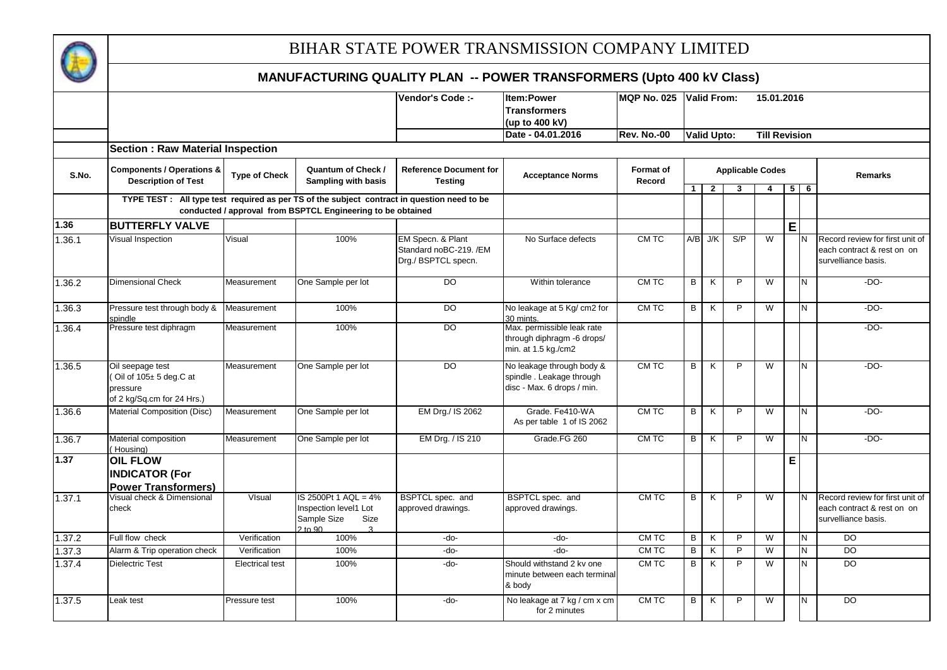

|        |                                                                                             |                        |                                                                                                     | Vendor's Code :-                                                   | Item:Power<br><b>Transformers</b><br>(up to 400 kV)                                 | MQP No. 025 Valid From:    |                |                    |                         | 15.01.2016              |   |            |                                                                                      |
|--------|---------------------------------------------------------------------------------------------|------------------------|-----------------------------------------------------------------------------------------------------|--------------------------------------------------------------------|-------------------------------------------------------------------------------------|----------------------------|----------------|--------------------|-------------------------|-------------------------|---|------------|--------------------------------------------------------------------------------------|
|        |                                                                                             |                        |                                                                                                     |                                                                    | Date - 04.01.2016                                                                   | <b>Rev. No.-00</b>         |                | <b>Valid Upto:</b> |                         | <b>Till Revision</b>    |   |            |                                                                                      |
|        | <b>Section : Raw Material Inspection</b>                                                    |                        |                                                                                                     |                                                                    |                                                                                     |                            |                |                    |                         |                         |   |            |                                                                                      |
| S.No.  | <b>Components / Operations &amp;</b><br><b>Description of Test</b>                          | <b>Type of Check</b>   | Quantum of Check /<br>Sampling with basis                                                           | <b>Reference Document for</b><br><b>Testing</b>                    | <b>Acceptance Norms</b>                                                             | <b>Format of</b><br>Record |                |                    | <b>Applicable Codes</b> |                         |   |            | Remarks                                                                              |
|        | TYPE TEST : All type test required as per TS of the subject contract in question need to be |                        |                                                                                                     |                                                                    |                                                                                     |                            | 1 <sup>1</sup> | -2                 | 3                       | $\overline{4}$          |   | $5 \mid 6$ |                                                                                      |
|        |                                                                                             |                        | conducted / approval from BSPTCL Engineering to be obtained                                         |                                                                    |                                                                                     |                            |                |                    |                         |                         |   |            |                                                                                      |
| 1.36   | <b>BUTTERFLY VALVE</b>                                                                      |                        |                                                                                                     |                                                                    |                                                                                     |                            |                |                    |                         |                         | E |            |                                                                                      |
| 1.36.1 | Visual Inspection                                                                           | Visual                 | 100%                                                                                                | EM Specn. & Plant<br>Standard noBC-219. /EM<br>Drg./ BSPTCL specn. | No Surface defects                                                                  | CM TC                      |                | $A/B$ J/K          | S/P                     | $\overline{W}$          |   | N          | Record review for first unit of<br>each contract & rest on on<br>survelliance basis. |
| 1.36.2 | <b>Dimensional Check</b>                                                                    | Measurement            | One Sample per lot                                                                                  | $\overline{D}$                                                     | Within tolerance                                                                    | CMTC                       | B              | K                  | P                       | $\overline{\mathsf{w}}$ |   | N          | $-DO-$                                                                               |
| 1.36.3 | Pressure test through body &<br>spindle                                                     | Measurement            | 100%                                                                                                | <b>DO</b>                                                          | No leakage at 5 Kg/ cm2 for<br>30 mints.                                            | CM TC                      | B              | K                  | P                       | W                       |   | N          | $-DO-$                                                                               |
| 1.36.4 | Pressure test diphragm                                                                      | Measurement            | 100%                                                                                                | <b>DO</b>                                                          | Max. permissible leak rate<br>through diphragm -6 drops/<br>min. at 1.5 kg./cm2     |                            |                |                    |                         |                         |   |            | $-DO-$                                                                               |
| 1.36.5 | Oil seepage test<br>Oil of 105± 5 deg.C at<br>pressure<br>of 2 kg/Sq.cm for 24 Hrs.)        | Measurement            | One Sample per lot                                                                                  | $\overline{D}$                                                     | No leakage through body &<br>spindle. Leakage through<br>disc - Max. 6 drops / min. | CM TC                      | $\overline{B}$ | K                  | $\overline{P}$          | $\overline{\mathsf{w}}$ |   | N          | $-DO-$                                                                               |
| 1.36.6 | Material Composition (Disc)                                                                 | Measurement            | One Sample per lot                                                                                  | EM Drg./ IS 2062                                                   | Grade. Fe410-WA<br>As per table 1 of IS 2062                                        | <b>CMTC</b>                | B              | K                  | P                       | $\overline{\mathsf{w}}$ |   | N          | $-DO-$                                                                               |
| 1.36.7 | Material composition<br>(Housing)                                                           | Measurement            | One Sample per lot                                                                                  | EM Drg. / IS 210                                                   | Grade.FG 260                                                                        | CM TC                      | B              | K                  | P                       | W                       |   | И          | $-DO-$                                                                               |
| 1.37   | <b>OIL FLOW</b><br><b>INDICATOR (For</b><br><b>Power Transformers)</b>                      |                        |                                                                                                     |                                                                    |                                                                                     |                            |                |                    |                         |                         | E |            |                                                                                      |
| 1.37.1 | Visual check & Dimensional<br>check                                                         | VIsual                 | IS 2500Pt 1 AQL = 4%<br>Inspection level1 Lot<br>Sample Size<br>Size<br>$2$ to $90$<br>$\mathbf{r}$ | BSPTCL spec. and<br>approved drawings.                             | BSPTCL spec. and<br>approved drawings.                                              | CMTC                       | B              | K                  | P                       | W                       |   | N          | Record review for first unit of<br>each contract & rest on on<br>survelliance basis. |
| 1.37.2 | Full flow check                                                                             | Verification           | 100%                                                                                                | -do-                                                               | -do-                                                                                | CM TC                      | B              | K                  | P                       | W                       |   | N          | <b>DO</b>                                                                            |
| 1.37.3 | Alarm & Trip operation check                                                                | Verification           | 100%                                                                                                | -do-                                                               | -do-                                                                                | CM TC                      | B              | K                  | P                       | W                       |   | N          | <b>DO</b>                                                                            |
| 1.37.4 | <b>Dielectric Test</b>                                                                      | <b>Electrical test</b> | 100%                                                                                                | -do-                                                               | Should withstand 2 kv one<br>minute between each terminal<br>& body                 | CM TC                      | $\overline{B}$ | K                  | P                       | $\overline{W}$          |   | N          | <b>DO</b>                                                                            |
| 1.37.5 | Leak test                                                                                   | Pressure test          | 100%                                                                                                | -do-                                                               | No leakage at 7 kg / cm x cm<br>for 2 minutes                                       | CM TC                      | B              | K                  | P                       | W                       |   | N          | <b>DO</b>                                                                            |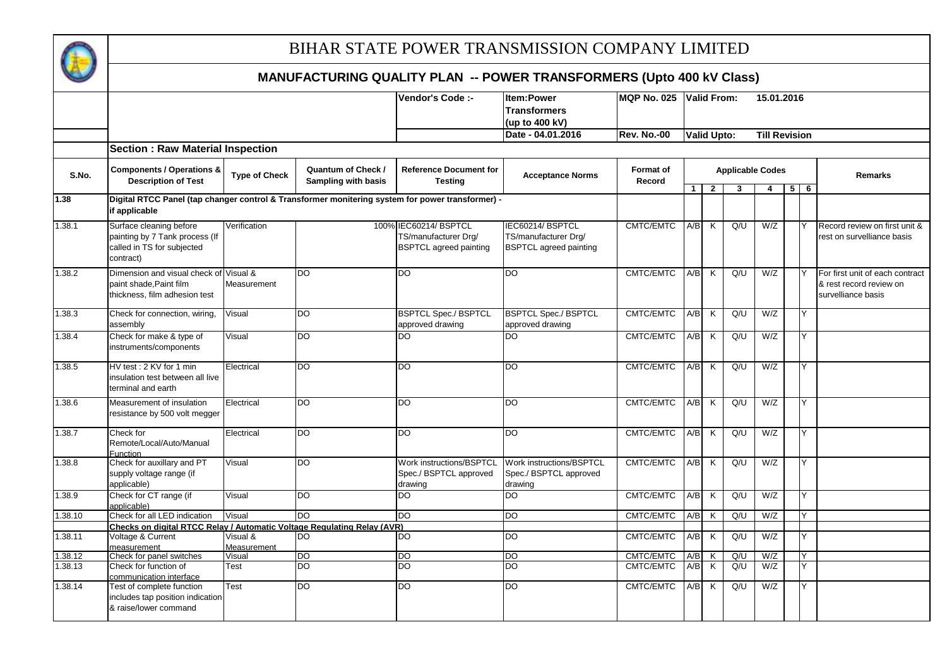

|         |                                                                                                  |                         |                     | Vendor's Code :-                | Item:Power                      | <b>MQP No. 025</b> | <b>Valid From:</b> |                    |                         | 15.01.2016           |            |                                 |
|---------|--------------------------------------------------------------------------------------------------|-------------------------|---------------------|---------------------------------|---------------------------------|--------------------|--------------------|--------------------|-------------------------|----------------------|------------|---------------------------------|
|         |                                                                                                  |                         |                     |                                 | <b>Transformers</b>             |                    |                    |                    |                         |                      |            |                                 |
|         |                                                                                                  |                         |                     |                                 | (up to 400 kV)                  |                    |                    |                    |                         |                      |            |                                 |
|         |                                                                                                  |                         |                     |                                 | Date - 04.01.2016               | <b>Rev. No.-00</b> |                    | <b>Valid Upto:</b> |                         | <b>Till Revision</b> |            |                                 |
|         | <b>Section: Raw Material Inspection</b>                                                          |                         |                     |                                 |                                 |                    |                    |                    |                         |                      |            |                                 |
|         | <b>Components / Operations &amp;</b>                                                             |                         | Quantum of Check /  | <b>Reference Document for</b>   |                                 | <b>Format of</b>   |                    |                    | <b>Applicable Codes</b> |                      |            |                                 |
| S.No.   | <b>Description of Test</b>                                                                       | <b>Type of Check</b>    | Sampling with basis | <b>Testing</b>                  | <b>Acceptance Norms</b>         | Record             |                    |                    |                         |                      |            | Remarks                         |
| 1.38    | Digital RTCC Panel (tap changer control & Transformer monitering system for power transformer) - |                         |                     |                                 |                                 |                    | 1 <sup>1</sup>     | $\overline{2}$     | 3                       | $\overline{4}$       | $5 \mid 6$ |                                 |
|         | if applicable                                                                                    |                         |                     |                                 |                                 |                    |                    |                    |                         |                      |            |                                 |
| 1.38.1  | Surface cleaning before                                                                          | Verification            |                     | 100% IEC60214/ BSPTCL           | IEC60214/BSPTCL                 | CMTC/EMTC          | A/B                | K                  | Q/U                     | W/Z                  | Y          | Record review on first unit &   |
|         | painting by 7 Tank process (If                                                                   |                         |                     | TS/manufacturer Drg/            | TS/manufacturer Drg/            |                    |                    |                    |                         |                      |            | rest on survelliance basis      |
|         | called in TS for subjected<br>contract)                                                          |                         |                     | <b>BSPTCL</b> agreed painting   | <b>BSPTCL</b> agreed painting   |                    |                    |                    |                         |                      |            |                                 |
| 1.38.2  | Dimension and visual check of Visual &                                                           |                         | <b>DO</b>           | <b>DO</b>                       | <b>DO</b>                       | <b>CMTC/EMTC</b>   | $A/B$ K            |                    | Q/U                     | W/Z                  |            | For first unit of each contract |
|         | paint shade, Paint film                                                                          | Measurement             |                     |                                 |                                 |                    |                    |                    |                         |                      |            | & rest record review on         |
|         | thickness, film adhesion test                                                                    |                         |                     |                                 |                                 |                    |                    |                    |                         |                      |            | survelliance basis              |
|         |                                                                                                  |                         |                     |                                 |                                 |                    |                    |                    |                         |                      |            |                                 |
| 1.38.3  | Check for connection, wiring,                                                                    | Visual                  | DO                  | <b>BSPTCL Spec./ BSPTCL</b>     | <b>BSPTCL Spec./ BSPTCL</b>     | <b>CMTC/EMTC</b>   | A/B                | K                  | Q/U                     | W/Z                  | Y          |                                 |
|         | assembly                                                                                         |                         |                     | approved drawing                | approved drawing                |                    |                    |                    |                         |                      |            |                                 |
| 1.38.4  | Check for make & type of                                                                         | Visual                  | <b>DO</b>           | DO                              | $\overline{DO}$                 | CMTC/EMTC          | A/B                | K                  | Q/U                     | W/Z                  | Y          |                                 |
|         | instruments/components                                                                           |                         |                     |                                 |                                 |                    |                    |                    |                         |                      |            |                                 |
| 1.38.5  | HV test: 2 KV for 1 min                                                                          | Electrical              | <b>DO</b>           | <b>DO</b>                       | DO                              | CMTC/EMTC          | A/B K              |                    | Q/U                     | W/Z                  | Y          |                                 |
|         | insulation test between all live                                                                 |                         |                     |                                 |                                 |                    |                    |                    |                         |                      |            |                                 |
|         | terminal and earth                                                                               |                         |                     |                                 |                                 |                    |                    |                    |                         |                      |            |                                 |
| 1.38.6  | Measurement of insulation                                                                        | Electrical              | <b>DO</b>           | <b>DO</b>                       | <b>DO</b>                       | CMTC/EMTC          | $A/B$ K            |                    | Q/U                     | W/Z                  | Y          |                                 |
|         | resistance by 500 volt megger                                                                    |                         |                     |                                 |                                 |                    |                    |                    |                         |                      |            |                                 |
|         |                                                                                                  |                         |                     |                                 |                                 |                    |                    |                    |                         |                      |            |                                 |
| 1.38.7  | Check for                                                                                        | Electrical              | <b>DO</b>           | <b>DO</b>                       | <b>DO</b>                       | CMTC/EMTC          | A/B                | K                  | Q/U                     | W/Z                  | Y          |                                 |
|         | Remote/Local/Auto/Manual<br>Function                                                             |                         |                     |                                 |                                 |                    |                    |                    |                         |                      |            |                                 |
| 1.38.8  | Check for auxillary and PT                                                                       | Visual                  | DO                  | <b>Work instructions/BSPTCL</b> | <b>Work instructions/BSPTCL</b> | CMTC/EMTC          | A/B                | K                  | Q/U                     | W/Z                  | Y          |                                 |
|         | supply voltage range (if                                                                         |                         |                     | Spec./ BSPTCL approved          | Spec./ BSPTCL approved          |                    |                    |                    |                         |                      |            |                                 |
|         | applicable)                                                                                      |                         |                     | drawing                         | drawing                         |                    |                    |                    |                         |                      |            |                                 |
| 1.38.9  | Check for CT range (if                                                                           | Visual                  | <b>DO</b>           | <b>DO</b>                       | $\overline{DO}$                 | CMTC/EMTC          | A/B                | K                  | Q/U                     | W/Z                  | Y          |                                 |
|         | applicable)                                                                                      |                         |                     |                                 |                                 |                    |                    |                    |                         |                      |            |                                 |
| 1.38.10 | Check for all LED indication                                                                     | Visual                  | DO                  | DO                              | $\overline{DO}$                 | CMTC/EMTC          | $A/B$ $K$          |                    | Q/U                     | W/Z                  | Y          |                                 |
|         | Checks on digital RTCC Relay / Automatic Voltage Regulating Relay (AVR)                          |                         | <b>DO</b>           | <b>DO</b>                       |                                 | CMTC/EMTC          |                    |                    |                         |                      | Y          |                                 |
| 1.38.11 | Voltage & Current<br>measurement                                                                 | Visual &<br>Measurement |                     |                                 | <b>DO</b>                       |                    | A/B                | K                  | Q/U                     | W/Z                  |            |                                 |
| 1.38.12 | Check for panel switches                                                                         | Visual                  | <b>DO</b>           | <b>DO</b>                       | DO                              | CMTC/EMTC          | A/B                | K                  | Q/U                     | W/Z                  | Y          |                                 |
| 1.38.13 | Check for function of                                                                            | Test                    | DO                  | DO                              | DO                              | CMTC/EMTC          | A/B                | K                  | Q/U                     | W/Z                  | Y          |                                 |
|         | communication interface                                                                          |                         |                     |                                 |                                 |                    |                    |                    |                         |                      |            |                                 |
| 1.38.14 | Test of complete function                                                                        | Test                    | <b>DO</b>           | DO                              | <b>DO</b>                       | CMTC/EMTC          | A/B                | K                  | Q/U                     | W/Z                  | Y          |                                 |
|         | includes tap position indication                                                                 |                         |                     |                                 |                                 |                    |                    |                    |                         |                      |            |                                 |
|         | & raise/lower command                                                                            |                         |                     |                                 |                                 |                    |                    |                    |                         |                      |            |                                 |
|         |                                                                                                  |                         |                     |                                 |                                 |                    |                    |                    |                         |                      |            |                                 |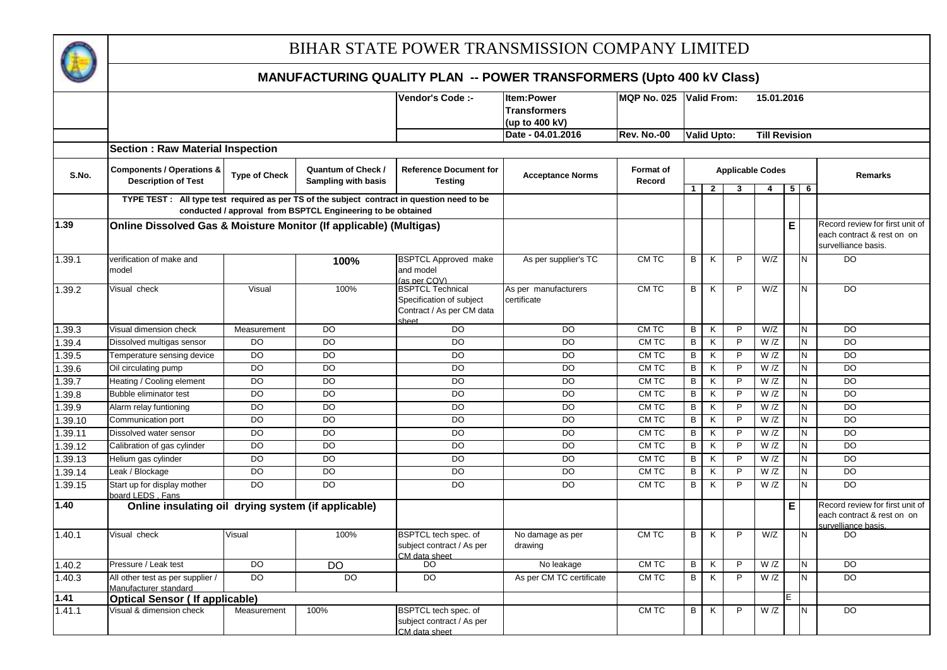

|         |                                                                                             |                      |                                                             | Vendor's Code :-                                                                          | <b>Item:Power</b>                   | MQP No. 025 Valid From:    |                |                         |                         | 15.01.2016           |             |       |                                                                                     |
|---------|---------------------------------------------------------------------------------------------|----------------------|-------------------------------------------------------------|-------------------------------------------------------------------------------------------|-------------------------------------|----------------------------|----------------|-------------------------|-------------------------|----------------------|-------------|-------|-------------------------------------------------------------------------------------|
|         |                                                                                             |                      |                                                             |                                                                                           | <b>Transformers</b>                 |                            |                |                         |                         |                      |             |       |                                                                                     |
|         |                                                                                             |                      |                                                             |                                                                                           | (up to 400 kV)                      |                            |                |                         |                         |                      |             |       |                                                                                     |
|         |                                                                                             |                      |                                                             |                                                                                           | Date - 04.01.2016                   | <b>Rev. No.-00</b>         |                | <b>Valid Upto:</b>      |                         | <b>Till Revision</b> |             |       |                                                                                     |
|         | <b>Section: Raw Material Inspection</b>                                                     |                      |                                                             |                                                                                           |                                     |                            |                |                         |                         |                      |             |       |                                                                                     |
| S.No.   | <b>Components / Operations &amp;</b><br><b>Description of Test</b>                          | <b>Type of Check</b> | Quantum of Check /<br>Sampling with basis                   | <b>Reference Document for</b><br>Testina                                                  | <b>Acceptance Norms</b>             | <b>Format of</b><br>Record |                |                         | <b>Applicable Codes</b> |                      |             |       | Remarks                                                                             |
|         | TYPE TEST : All type test required as per TS of the subject contract in question need to be |                      |                                                             |                                                                                           |                                     |                            | 1              | 2                       | 3                       | 4                    |             | $5$ 6 |                                                                                     |
|         |                                                                                             |                      | conducted / approval from BSPTCL Engineering to be obtained |                                                                                           |                                     |                            |                |                         |                         |                      |             |       |                                                                                     |
| 1.39    | Online Dissolved Gas & Moisture Monitor (If applicable) (Multigas)                          |                      |                                                             |                                                                                           |                                     |                            |                |                         |                         |                      | $\mathsf E$ |       | Record review for first unit of                                                     |
|         |                                                                                             |                      |                                                             |                                                                                           |                                     |                            |                |                         |                         |                      |             |       | each contract & rest on on<br>survelliance basis.                                   |
| 1.39.1  | verification of make and<br>model                                                           |                      | 100%                                                        | <b>BSPTCL Approved make</b><br>and model<br>(as per COV)                                  | As per supplier's TC                | <b>CMTC</b>                | $\overline{B}$ | $\overline{\mathsf{K}}$ | $\overline{P}$          | W/Z                  |             | N     | $\overline{D}$                                                                      |
| 1.39.2  | Visual check                                                                                | Visual               | 100%                                                        | <b>BSPTCL Technical</b><br>Specification of subject<br>Contract / As per CM data<br>sheet | As per manufacturers<br>certificate | CM TC                      | B              | K                       | P                       | W/Z                  |             | N     | <b>DO</b>                                                                           |
| 1.39.3  | Visual dimension check                                                                      | Measurement          | <b>DO</b>                                                   | <b>DO</b>                                                                                 | <b>DO</b>                           | CM TC                      | B              | K                       | P                       | W/Z                  |             | N     | <b>DO</b>                                                                           |
| 1.39.4  | Dissolved multigas sensor                                                                   | $\overline{D}$       | $\overline{D}$                                              | $\overline{D}$                                                                            | $\overline{D}$                      | CM TC                      | B              | K                       | P                       | W/Z                  |             | N     | $\overline{D}$                                                                      |
| 1.39.5  | Temperature sensing device                                                                  | DO                   | $\overline{D}$                                              | DO                                                                                        | <b>DO</b>                           | CM TC                      | B              | K                       | P                       | W/Z                  |             | N     | <b>DO</b>                                                                           |
| 1.39.6  | Oil circulating pump                                                                        | $\overline{D}$       | <b>DO</b>                                                   | <b>DO</b>                                                                                 | DO                                  | CM TC                      | B              | K                       | P                       | W/Z                  |             | N     | DO                                                                                  |
| 1.39.7  | Heating / Cooling element                                                                   | <b>DO</b>            | $\overline{DO}$                                             | <b>DO</b>                                                                                 | <b>DO</b>                           | CM TC                      | $\sf B$        | K                       | P                       | W/Z                  |             | N     | <b>DO</b>                                                                           |
| 1.39.8  | Bubble eliminator test                                                                      | $\overline{D}$       | <b>DO</b>                                                   | $\overline{D}$                                                                            | $\overline{D}$                      | CM TC                      | B              | K                       | P                       | W/Z                  |             | N     | $\overline{D}$                                                                      |
| 1.39.9  | Alarm relay funtioning                                                                      | $\overline{D}$       | $\overline{D}$                                              | DO                                                                                        | <b>DO</b>                           | CM TC                      | $\overline{B}$ | K                       | P                       | W/Z                  |             | N     | $\overline{D}$                                                                      |
| 1.39.10 | Communication port                                                                          | $\overline{D}$       | $\overline{D}$                                              | <b>DO</b>                                                                                 | <b>DO</b>                           | CM TC                      | B              | K                       | P                       | W/Z                  |             | N     | <b>DO</b>                                                                           |
| 1.39.11 | Dissolved water sensor                                                                      | <b>DO</b>            | <b>DO</b>                                                   | <b>DO</b>                                                                                 | <b>DO</b>                           | CM TC                      | B              | K                       | P                       | W/Z                  |             | N     | <b>DO</b>                                                                           |
| 1.39.12 | Calibration of gas cylinder                                                                 | D <sub>O</sub>       | <b>DO</b>                                                   | $\overline{DO}$                                                                           | $\overline{D}$                      | CM TC                      | B              | K                       | P                       | W/Z                  |             | N     | $\overline{D}$                                                                      |
| 1.39.13 | Helium gas cylinder                                                                         | $\overline{D}$       | $\overline{D}$                                              | $\overline{D}$                                                                            | $\overline{D}$                      | CM TC                      | $\overline{B}$ | K                       | $\overline{P}$          | W/Z                  |             | N     | $\overline{D}$                                                                      |
| 1.39.14 | Leak / Blockage                                                                             | $\overline{D}$       | $\overline{D}$                                              | DO                                                                                        | <b>DO</b>                           | CM TC                      | B              | К                       | P                       | W/Z                  |             | N     | $\overline{D}$                                                                      |
| 1.39.15 | Start up for display mother<br>board LEDS, Fans                                             | <b>DO</b>            | <b>DO</b>                                                   | DO                                                                                        | <b>DO</b>                           | CM TC                      | B              | K                       | P                       | W/Z                  |             | N     | D <sub>O</sub>                                                                      |
| 1.40    | Online insulating oil drying system (if applicable)                                         |                      |                                                             |                                                                                           |                                     |                            |                |                         |                         |                      | $\mathsf E$ |       | Record review for first unit of<br>each contract & rest on on<br>survelliance basis |
| 1.40.1  | Visual check                                                                                | Visual               | 100%                                                        | BSPTCL tech spec. of<br>subject contract / As per<br>CM data sheet                        | No damage as per<br>drawing         | CM TC                      | B              | K                       | P                       | W/Z                  |             | N     | <b>DO</b>                                                                           |
| 1.40.2  | Pressure / Leak test                                                                        | <b>DO</b>            | <b>DO</b>                                                   | <b>DO</b>                                                                                 | No leakage                          | CM TC                      | B              | K                       | $\mathsf{P}$            | W/Z                  |             | N     | <b>DO</b>                                                                           |
| 1.40.3  | All other test as per supplier /<br>Manufacturer standard                                   | <b>DO</b>            | <b>DO</b>                                                   | $\overline{D}$                                                                            | As per CM TC certificate            | CM TC                      | $\overline{B}$ | $\overline{\mathsf{K}}$ | $\overline{P}$          | W/Z                  |             | N     | $\overline{D}$                                                                      |
| 1.41    | <b>Optical Sensor (If applicable)</b>                                                       |                      |                                                             |                                                                                           |                                     |                            |                |                         |                         |                      |             |       |                                                                                     |
| 1.41.1  | Visual & dimension check                                                                    | Measurement          | 100%                                                        | BSPTCL tech spec. of<br>subject contract / As per<br>CM data sheet                        |                                     | CM TC                      | B              | K                       | P                       | W/Z                  |             | N     | $\overline{D}$                                                                      |
|         |                                                                                             |                      |                                                             |                                                                                           |                                     |                            |                |                         |                         |                      |             |       |                                                                                     |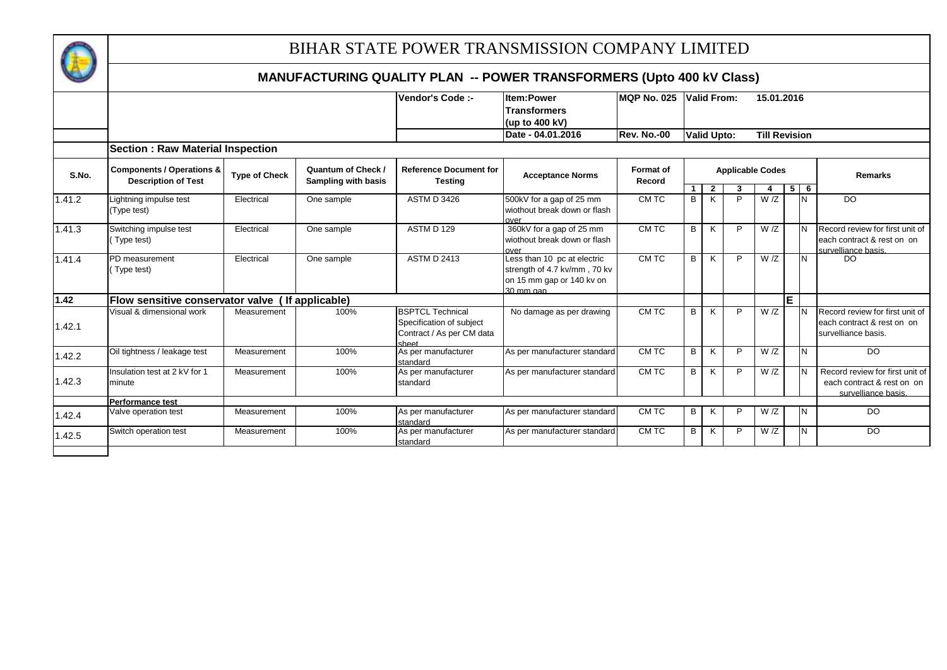

|        |                                                                    |                      |                                           | Vendor's Code :-                                                                          | <b>Item:Power</b>                                                                                     | <b>MQP No. 025</b>         |   | <b>Valid From:</b> |   | 15.01.2016              |    |            |                                                                                      |
|--------|--------------------------------------------------------------------|----------------------|-------------------------------------------|-------------------------------------------------------------------------------------------|-------------------------------------------------------------------------------------------------------|----------------------------|---|--------------------|---|-------------------------|----|------------|--------------------------------------------------------------------------------------|
|        |                                                                    |                      |                                           |                                                                                           | <b>Transformers</b>                                                                                   |                            |   |                    |   |                         |    |            |                                                                                      |
|        |                                                                    |                      |                                           |                                                                                           | (up to 400 kV)                                                                                        |                            |   |                    |   |                         |    |            |                                                                                      |
|        |                                                                    |                      |                                           |                                                                                           | Date - 04.01.2016                                                                                     | Rev. No.-00                |   | <b>Valid Upto:</b> |   | <b>Till Revision</b>    |    |            |                                                                                      |
|        | <b>Section: Raw Material Inspection</b>                            |                      |                                           |                                                                                           |                                                                                                       |                            |   |                    |   |                         |    |            |                                                                                      |
| S.No.  | <b>Components / Operations &amp;</b><br><b>Description of Test</b> | <b>Type of Check</b> | Quantum of Check /<br>Sampling with basis | <b>Reference Document for</b><br><b>Testing</b>                                           | <b>Acceptance Norms</b>                                                                               | <b>Format of</b><br>Record |   |                    |   | <b>Applicable Codes</b> |    |            | <b>Remarks</b>                                                                       |
|        |                                                                    |                      |                                           |                                                                                           |                                                                                                       |                            |   | $\overline{2}$     | 3 |                         |    | $5 \mid 6$ |                                                                                      |
| 1.41.2 | ightning impulse test<br>(Type test)                               | Electrical           | One sample                                | <b>ASTM D 3426</b>                                                                        | 500kV for a gap of 25 mm<br>wiothout break down or flash                                              | CM TC                      | B | K                  | P | W/Z                     |    | IN.        | DO                                                                                   |
| 1.41.3 | Switching impulse test<br>(Type test)                              | Electrical           | One sample                                | ASTM D 129                                                                                | over<br>360kV for a gap of 25 mm<br>wiothout break down or flash<br>over                              | CM TC                      | B | K                  | P | W/Z                     |    |            | Record review for first unit of<br>each contract & rest on on<br>survelliance basis. |
| 1.41.4 | PD measurement<br>Type test)                                       | Electrical           | One sample                                | <b>ASTM D 2413</b>                                                                        | Less than 10 pc at electric<br>strength of 4.7 kv/mm, 70 kv<br>on 15 mm gap or 140 kv on<br>30 mm gan | CM TC                      | B | K                  | P | W/Z                     |    | IN.        | DO.                                                                                  |
| 1.42   | Flow sensitive conservator valve ( If applicable)                  |                      |                                           |                                                                                           |                                                                                                       |                            |   |                    |   |                         | E. |            |                                                                                      |
| 1.42.1 | Visual & dimensional work                                          | Measurement          | 100%                                      | <b>BSPTCL Technical</b><br>Specification of subject<br>Contract / As per CM data<br>sheet | No damage as per drawing                                                                              | CM TC                      | B | K                  | P | W/Z                     |    |            | Record review for first unit of<br>each contract & rest on on<br>survelliance basis. |
| 1.42.2 | Oil tightness / leakage test                                       | Measurement          | 100%                                      | As per manufacturer<br>standard                                                           | As per manufacturer standard                                                                          | CM TC                      | B | K                  | P | W/Z                     |    | IN.        | <b>DO</b>                                                                            |
| 1.42.3 | Insulation test at 2 kV for 1<br>minute                            | Measurement          | 100%                                      | As per manufacturer<br>standard                                                           | As per manufacturer standard                                                                          | CM TC                      | B | K                  | P | W/Z                     |    |            | Record review for first unit of<br>each contract & rest on on<br>survelliance basis. |
|        | <b>Performance test</b>                                            |                      |                                           |                                                                                           |                                                                                                       |                            |   |                    |   |                         |    |            |                                                                                      |
| 1.42.4 | Valve operation test                                               | Measurement          | 100%                                      | As per manufacturer<br>standard                                                           | As per manufacturer standard                                                                          | CM TC                      | В | K                  | P | W/Z                     |    | IN.        | <b>DO</b>                                                                            |
| 1.42.5 | Switch operation test                                              | Measurement          | 100%                                      | As per manufacturer<br>standard                                                           | As per manufacturer standard                                                                          | CM TC                      | B | K                  | P | W/Z                     |    | N          | <b>DO</b>                                                                            |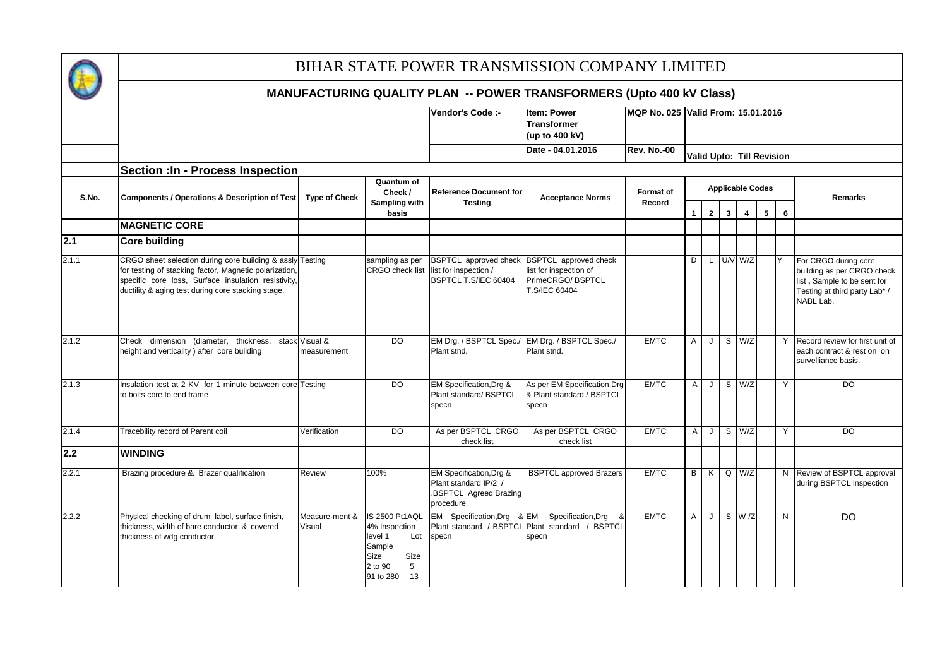

|       |                                                                                                                                                                                                                                  |                          |                                                                                                                | Vendor's Code :-                                                                        | <b>Item: Power</b><br><b>Transformer</b><br>(up to 400 kV)                                                   | MQP No. 025 Valid From: 15.01.2016 |              |                |              |                |                              |    |                                                                                                                                 |
|-------|----------------------------------------------------------------------------------------------------------------------------------------------------------------------------------------------------------------------------------|--------------------------|----------------------------------------------------------------------------------------------------------------|-----------------------------------------------------------------------------------------|--------------------------------------------------------------------------------------------------------------|------------------------------------|--------------|----------------|--------------|----------------|------------------------------|----|---------------------------------------------------------------------------------------------------------------------------------|
|       |                                                                                                                                                                                                                                  |                          |                                                                                                                |                                                                                         | Date - 04.01.2016                                                                                            | Rev. No.-00                        |              |                |              |                | Valid Upto: Till Revision    |    |                                                                                                                                 |
|       | <b>Section : In - Process Inspection</b>                                                                                                                                                                                         |                          |                                                                                                                |                                                                                         |                                                                                                              |                                    |              |                |              |                |                              |    |                                                                                                                                 |
| S.No. | <b>Components / Operations &amp; Description of Test</b>                                                                                                                                                                         | <b>Type of Check</b>     | Quantum of<br>Check /<br>Sampling with<br>basis                                                                | <b>Reference Document for</b><br><b>Testing</b>                                         | <b>Acceptance Norms</b>                                                                                      | Format of<br>Record                | $\mathbf{1}$ | 2 <sub>1</sub> | $\mathbf{3}$ | $\overline{4}$ | <b>Applicable Codes</b><br>5 | 6  | <b>Remarks</b>                                                                                                                  |
|       | <b>MAGNETIC CORE</b>                                                                                                                                                                                                             |                          |                                                                                                                |                                                                                         |                                                                                                              |                                    |              |                |              |                |                              |    |                                                                                                                                 |
| 2.1   | <b>Core building</b>                                                                                                                                                                                                             |                          |                                                                                                                |                                                                                         |                                                                                                              |                                    |              |                |              |                |                              |    |                                                                                                                                 |
| 2.1.1 | CRGO sheet selection during core building & assly Testing<br>for testing of stacking factor, Magnetic polarization,<br>specific core loss, Surface insulation resistivity,<br>ductility & aging test during core stacking stage. |                          | sampling as per<br><b>CRGO</b> check list                                                                      | list for inspection /<br>BSPTCL T.S/IEC 60404                                           | BSPTCL approved check BSPTCL approved check<br>list for inspection of<br>PrimeCRGO/BSPTCL<br>T.S/IEC 60404   |                                    | D            | L              |              | U/V W/Z        |                              | l٧ | For CRGO during core<br>building as per CRGO check<br>list, Sample to be sent for<br>Testing at third party Lab* /<br>NABL Lab. |
| 2.1.2 | Check dimension (diameter, thickness, stack Visual &<br>height and verticality) after core building                                                                                                                              | measurement              | DO                                                                                                             | Plant stnd.                                                                             | EM Drg. / BSPTCL Spec./ EM Drg. / BSPTCL Spec./<br>Plant stnd.                                               | <b>EMTC</b>                        | A            | J              |              | $S$ W/Z        |                              |    | Y Record review for first unit of<br>each contract & rest on on<br>survelliance basis.                                          |
| 2.1.3 | Insulation test at 2 KV for 1 minute between core Testing<br>to bolts core to end frame                                                                                                                                          |                          | $\overline{DO}$                                                                                                | EM Specification, Drg &<br>Plant standard/ BSPTCL<br>specn                              | As per EM Specification, Drg<br>& Plant standard / BSPTCL<br>specn                                           | <b>EMTC</b>                        | $\mathsf{A}$ | J              |              | $S$ W/Z        |                              | Y  | $\overline{D}$                                                                                                                  |
| 2.1.4 | Tracebility record of Parent coil                                                                                                                                                                                                | Verification             | <b>DO</b>                                                                                                      | As per BSPTCL CRGO<br>check list                                                        | As per BSPTCL CRGO<br>check list                                                                             | <b>EMTC</b>                        | $\mathsf{A}$ | J              |              | S W/Z          |                              | Y  | <b>DO</b>                                                                                                                       |
| 2.2   | <b>WINDING</b>                                                                                                                                                                                                                   |                          |                                                                                                                |                                                                                         |                                                                                                              |                                    |              |                |              |                |                              |    |                                                                                                                                 |
| 2.2.1 | Brazing procedure &. Brazer qualification                                                                                                                                                                                        | Review                   | 100%                                                                                                           | EM Specification, Drg &<br>Plant standard IP/2 /<br>.BSPTCL Agreed Brazing<br>procedure | <b>BSPTCL approved Brazers</b>                                                                               | <b>EMTC</b>                        | B            | K              |              | $Q$ $W/Z$      |                              |    | N Review of BSPTCL approval<br>during BSPTCL inspection                                                                         |
| 2.2.2 | Physical checking of drum label, surface finish,<br>thickness, width of bare conductor & covered<br>thickness of wdg conductor                                                                                                   | Measure-ment &<br>Visual | IS 2500 Pt1AQL<br>4% Inspection<br>level 1<br>Lot<br>Sample<br>Size<br>Size<br>2 to 90<br>5<br>91 to 280<br>13 | <b>EM</b><br>specn                                                                      | Specification, Drg & EM Specification, Drg<br>-8<br>Plant standard / BSPTCL Plant standard / BSPTCL<br>specn | <b>EMTC</b>                        | Α            | J              |              | $S$ W $/Z$     |                              | N  | <b>DO</b>                                                                                                                       |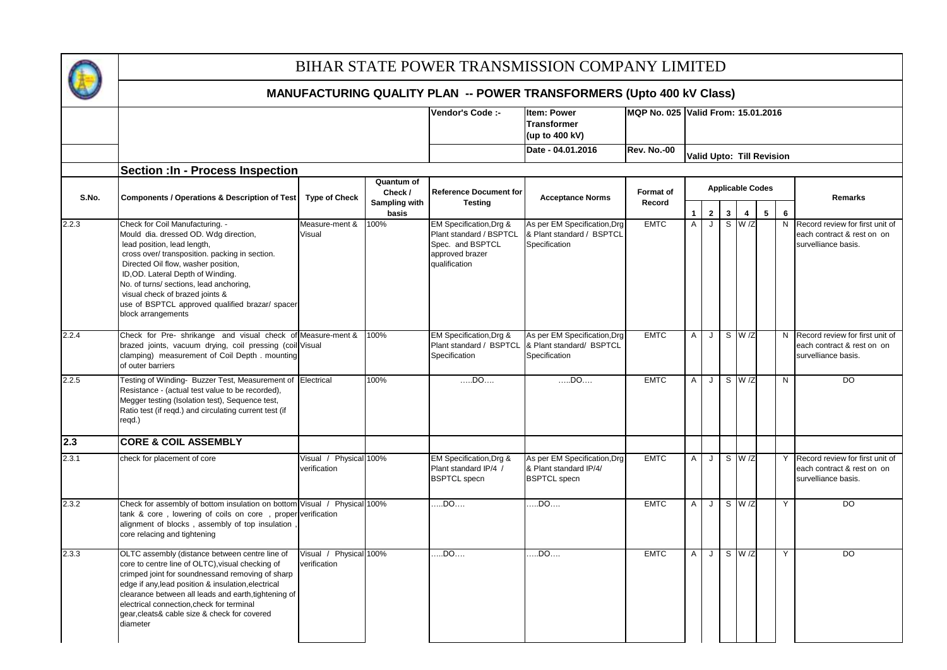

|       |                                                                                                                                                                                                                                                                                                                                                                                              |                                        |                        | Vendor's Code :-                                                                                           | Item: Power<br><b>Transformer</b><br>(up to 400 kV)                           | IMQP No. 025  Valid From: 15.01.2016 |              |             |              |                      |                           |              |                                                                                        |
|-------|----------------------------------------------------------------------------------------------------------------------------------------------------------------------------------------------------------------------------------------------------------------------------------------------------------------------------------------------------------------------------------------------|----------------------------------------|------------------------|------------------------------------------------------------------------------------------------------------|-------------------------------------------------------------------------------|--------------------------------------|--------------|-------------|--------------|----------------------|---------------------------|--------------|----------------------------------------------------------------------------------------|
|       |                                                                                                                                                                                                                                                                                                                                                                                              |                                        |                        |                                                                                                            | Date - 04.01.2016                                                             | <b>Rev. No.-00</b>                   |              |             |              |                      | Valid Upto: Till Revision |              |                                                                                        |
|       | <b>Section : In - Process Inspection</b>                                                                                                                                                                                                                                                                                                                                                     |                                        |                        |                                                                                                            |                                                                               |                                      |              |             |              |                      |                           |              |                                                                                        |
| S.No. | <b>Components / Operations &amp; Description of Test</b>                                                                                                                                                                                                                                                                                                                                     | <b>Type of Check</b>                   | Quantum of<br>Check /  | <b>Reference Document for</b><br><b>Testing</b>                                                            | <b>Acceptance Norms</b>                                                       | Format of<br>Record                  |              |             |              |                      | <b>Applicable Codes</b>   |              | <b>Remarks</b>                                                                         |
|       |                                                                                                                                                                                                                                                                                                                                                                                              |                                        | Sampling with<br>basis |                                                                                                            |                                                                               |                                      | $\mathbf{1}$ | $2^{\circ}$ | $\mathbf{3}$ | 4                    | 5                         | 6            |                                                                                        |
| 2.2.3 | Check for Coil Manufacturing. -<br>Mould dia. dressed OD. Wdg direction,<br>lead position, lead length,<br>cross over/ transposition. packing in section.<br>Directed Oil flow, washer position,<br>ID, OD. Lateral Depth of Winding.<br>No. of turns/ sections, lead anchoring,<br>visual check of brazed joints &<br>use of BSPTCL approved qualified brazar/ spacer<br>block arrangements | Measure-ment &<br>Visual               | 100%                   | EM Specification, Drg &<br>Plant standard / BSPTCL<br>Spec. and BSPTCL<br>approved brazer<br>qualification | As per EM Specification, Drg<br>& Plant standard / BSPTCL<br>Specification    | <b>EMTC</b>                          | A            | J           |              | $S$ W $\overline{Z}$ |                           | N            | Record review for first unit of<br>each contract & rest on on<br>survelliance basis.   |
| 2.2.4 | Check for Pre- shrikange and visual check of Measure-ment &<br>brazed joints, vacuum drying, coil pressing (coil Visual<br>clamping) measurement of Coil Depth. mounting<br>of outer barriers                                                                                                                                                                                                |                                        | 100%                   | EM Specification, Drg &<br>Plant standard / BSPTCL<br>Specification                                        | As per EM Specification, Drg<br>& Plant standard/ BSPTCL<br>Specification     | <b>EMTC</b>                          | A            | J           |              | $S$ W $\overline{Z}$ |                           |              | N Record review for first unit of<br>each contract & rest on on<br>survelliance basis. |
| 2.2.5 | Testing of Winding- Buzzer Test, Measurement of Electrical<br>Resistance - (actual test value to be recorded),<br>Megger testing (Isolation test), Sequence test,<br>Ratio test (if regd.) and circulating current test (if<br>regd.)                                                                                                                                                        |                                        | 100%                   | DD0                                                                                                        | DD0                                                                           | <b>EMTC</b>                          | A            | J           |              | $S$ W $\overline{Z}$ |                           | $\mathsf{N}$ | $\overline{D}$                                                                         |
| 2.3   | <b>CORE &amp; COIL ASSEMBLY</b>                                                                                                                                                                                                                                                                                                                                                              |                                        |                        |                                                                                                            |                                                                               |                                      |              |             |              |                      |                           |              |                                                                                        |
| 2.3.1 | check for placement of core                                                                                                                                                                                                                                                                                                                                                                  | Visual / Physical 100%<br>verification |                        | EM Specification, Drg &<br>Plant standard IP/4 /<br><b>BSPTCL</b> specn                                    | As per EM Specification, Drg<br>& Plant standard IP/4/<br><b>BSPTCL</b> specn | <b>EMTC</b>                          | A            | J           |              | $S$ W $\mathbb{Z}$   |                           |              | Y Record review for first unit of<br>each contract & rest on on<br>survelliance basis. |
| 2.3.2 | Check for assembly of bottom insulation on bottom Visual / Physical 100%<br>tank & core, lowering of coils on core, proper verification<br>alignment of blocks, assembly of top insulation<br>core relacing and tightening                                                                                                                                                                   |                                        |                        | $$ DO                                                                                                      | $$ DO                                                                         | <b>EMTC</b>                          | A            | J           |              | $S$ W $/Z$           |                           | Y            | DO                                                                                     |
| 2.3.3 | OLTC assembly (distance between centre line of<br>core to centre line of OLTC), visual checking of<br>crimped joint for soundnessand removing of sharp<br>edge if any, lead position & insulation, electrical<br>clearance between all leads and earth, tightening of<br>electrical connection, check for terminal<br>gear, cleats& cable size & check for covered<br>diameter               | Visual / Physical 100%<br>verification |                        | $$ DO $$                                                                                                   | .DO                                                                           | <b>EMTC</b>                          | A            | J           |              | $S$ W $\overline{Z}$ |                           | Y            | DO                                                                                     |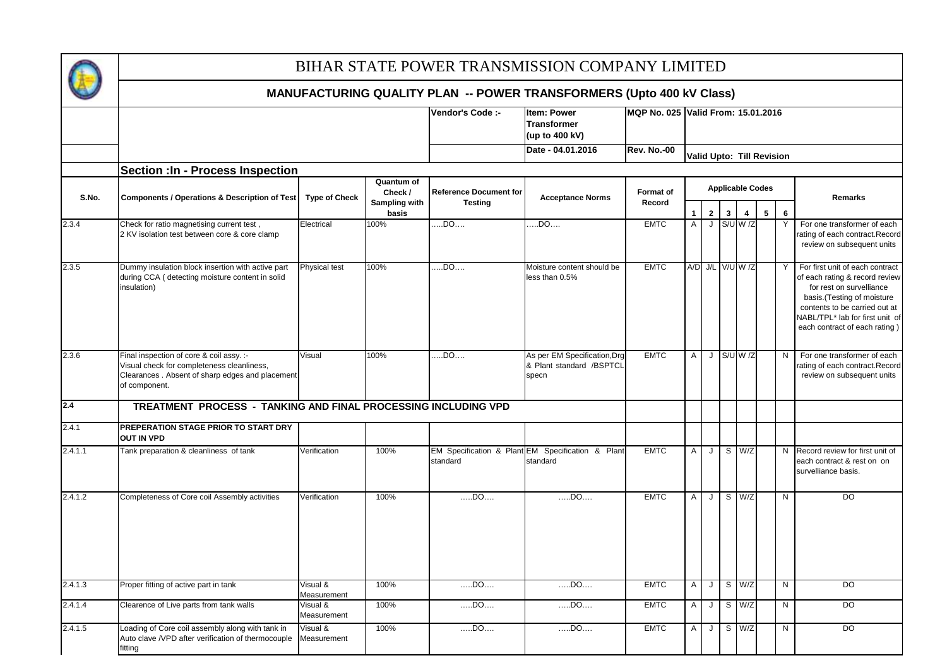

|         |                                                                                                                                                             |                         |                        | Vendor's Code :-              | <b>Item: Power</b>                                                | MQP No. 025 Valid From: 15.01.2016 |                |                  |              |          |                         |                           |                                                                                                                                                                                                                                    |
|---------|-------------------------------------------------------------------------------------------------------------------------------------------------------------|-------------------------|------------------------|-------------------------------|-------------------------------------------------------------------|------------------------------------|----------------|------------------|--------------|----------|-------------------------|---------------------------|------------------------------------------------------------------------------------------------------------------------------------------------------------------------------------------------------------------------------------|
|         |                                                                                                                                                             |                         |                        |                               | <b>Transformer</b><br>(up to 400 kV)                              |                                    |                |                  |              |          |                         |                           |                                                                                                                                                                                                                                    |
|         |                                                                                                                                                             |                         |                        |                               | Date - 04.01.2016                                                 | <b>Rev. No.-00</b>                 |                |                  |              |          |                         | Valid Upto: Till Revision |                                                                                                                                                                                                                                    |
|         | <b>Section : In - Process Inspection</b>                                                                                                                    |                         |                        |                               |                                                                   |                                    |                |                  |              |          |                         |                           |                                                                                                                                                                                                                                    |
| S.No.   | <b>Components / Operations &amp; Description of Test</b>                                                                                                    | <b>Type of Check</b>    | Quantum of<br>Check /  | <b>Reference Document for</b> | <b>Acceptance Norms</b>                                           | Format of                          |                |                  |              |          | <b>Applicable Codes</b> |                           | <b>Remarks</b>                                                                                                                                                                                                                     |
|         |                                                                                                                                                             |                         | Sampling with<br>basis | <b>Testing</b>                |                                                                   | Record                             | 1              | $\mathbf{2}$     | $\mathbf{3}$ | 4        |                         | 6<br>5                    |                                                                                                                                                                                                                                    |
| 2.3.4   | Check for ratio magnetising current test,<br>2 KV isolation test between core & core clamp                                                                  | Electrical              | 100%                   | $$ DO                         | $\overline{.}$ .DO $\overline{.}$                                 | <b>EMTC</b>                        | $\overline{A}$ |                  | $J$ S/U W /Z |          |                         | Y                         | For one transformer of each<br>rating of each contract.Record<br>review on subsequent units                                                                                                                                        |
| 2.3.5   | Dummy insulation block insertion with active part<br>during CCA (detecting moisture content in solid<br>nsulation)                                          | Physical test           | 100%                   | $$ DO $$                      | Moisture content should be<br>less than 0.5%                      | <b>EMTC</b>                        |                | A/D J/L V/U W /Z |              |          |                         |                           | Y For first unit of each contract<br>of each rating & record review<br>for rest on survelliance<br>basis.(Testing of moisture<br>contents to be carried out at<br>NABL/TPL* lab for first unit of<br>each contract of each rating) |
| 2.3.6   | Final inspection of core & coil assy. :-<br>Visual check for completeness cleanliness,<br>Clearances . Absent of sharp edges and placement<br>of component. | Visual                  | 100%                   | $$ DO                         | As per EM Specification, Drg<br>& Plant standard /BSPTCL<br>specn | <b>EMTC</b>                        | $\mathsf{A}$   | J                |              | S/U W /Z |                         | N                         | For one transformer of each<br>rating of each contract.Record<br>review on subsequent units                                                                                                                                        |
| 2.4     | TREATMENT PROCESS - TANKING AND FINAL PROCESSING INCLUDING VPD                                                                                              |                         |                        |                               |                                                                   |                                    |                |                  |              |          |                         |                           |                                                                                                                                                                                                                                    |
| 2.4.1   | PREPERATION STAGE PRIOR TO START DRY<br><b>OUT IN VPD</b>                                                                                                   |                         |                        |                               |                                                                   |                                    |                |                  |              |          |                         |                           |                                                                                                                                                                                                                                    |
| 2.4.1.1 | Tank preparation & cleanliness of tank                                                                                                                      | Verification            | 100%                   | standard                      | EM Specification & Plant EM Specification & Plant<br>standard     | <b>EMTC</b>                        | A              | J                |              | $S$ W/Z  |                         |                           | N Record review for first unit of<br>each contract & rest on on<br>survelliance basis.                                                                                                                                             |
| 2.4.1.2 | Completeness of Core coil Assembly activities                                                                                                               | Verification            | 100%                   | $$ DO $$                      | DD0                                                               | <b>EMTC</b>                        | $\mathsf{A}$   | J                |              | $S$ W/Z  |                         | N                         | $\overline{D}$                                                                                                                                                                                                                     |
| 2.4.1.3 | Proper fitting of active part in tank                                                                                                                       | Visual &<br>Measurement | 100%                   | $DD$                          | DD0                                                               | <b>EMTC</b>                        | A              | J                |              | S W/Z    |                         | N                         | <b>DO</b>                                                                                                                                                                                                                          |
| 2.4.1.4 | Clearence of Live parts from tank walls                                                                                                                     | Visual &<br>Measurement | 100%                   | $$ DO $$                      | $DD$                                                              | <b>EMTC</b>                        | $\mathsf{A}$   | J                |              | $S$ W/Z  |                         | $\mathsf{N}$              | DO                                                                                                                                                                                                                                 |
| 2.4.1.5 | Loading of Core coil assembly along with tank in<br>Auto clave /VPD after verification of thermocouple<br>fitting                                           | Visual &<br>Measurement | 100%                   | $DD$                          | $DD$                                                              | <b>EMTC</b>                        | $\mathsf{A}$   | J                |              | S W/Z    |                         | $\mathsf{N}$              | <b>DO</b>                                                                                                                                                                                                                          |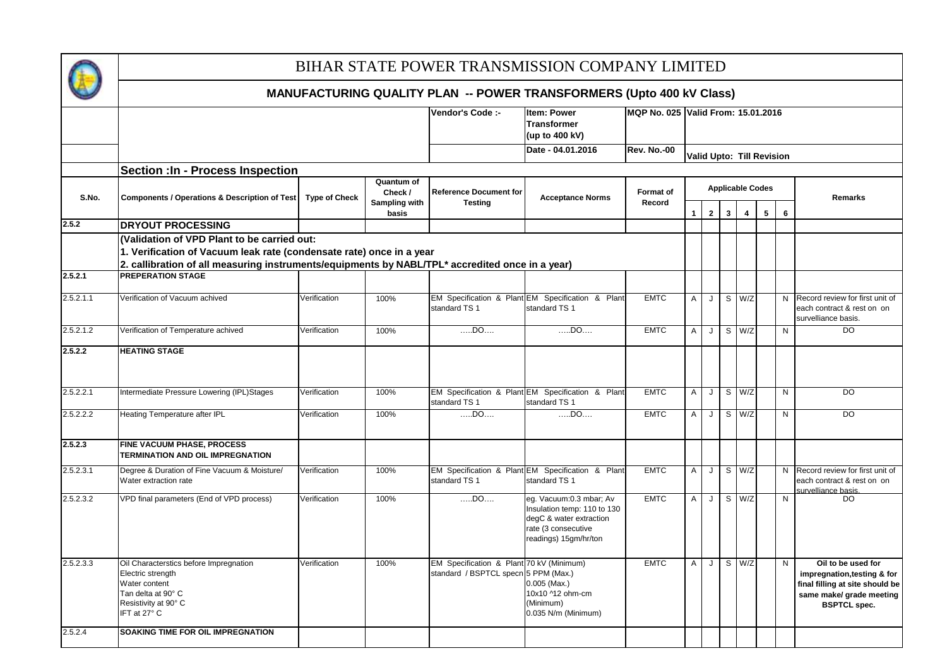

|           | ויותוזיטו תטויטולוויוס שטחבורו רבתוז -- רטוזיבול וולתוזיטו טולווובולט (טטנט איט מז טופא)                                                                                |                      |                                        |                                                                                  |                                                                                                                                   |                                    |              |                |                |                         |                                  |                 |                                                                                                                                         |
|-----------|-------------------------------------------------------------------------------------------------------------------------------------------------------------------------|----------------------|----------------------------------------|----------------------------------------------------------------------------------|-----------------------------------------------------------------------------------------------------------------------------------|------------------------------------|--------------|----------------|----------------|-------------------------|----------------------------------|-----------------|-----------------------------------------------------------------------------------------------------------------------------------------|
|           |                                                                                                                                                                         |                      |                                        | Vendor's Code :-                                                                 | <b>Item: Power</b><br><b>Transformer</b><br>(up to 400 kV)                                                                        | MQP No. 025 Valid From: 15.01.2016 |              |                |                |                         |                                  |                 |                                                                                                                                         |
|           |                                                                                                                                                                         |                      |                                        |                                                                                  | Date - 04.01.2016                                                                                                                 | <b>Rev. No.-00</b>                 |              |                |                |                         | <b>Valid Upto: Till Revision</b> |                 |                                                                                                                                         |
|           | <b>Section : In - Process Inspection</b>                                                                                                                                |                      |                                        |                                                                                  |                                                                                                                                   |                                    |              |                |                |                         |                                  |                 |                                                                                                                                         |
| S.No.     | <b>Components / Operations &amp; Description of Test</b>                                                                                                                | <b>Type of Check</b> | Quantum of<br>Check /<br>Sampling with | <b>Reference Document for</b><br><b>Testing</b>                                  | <b>Acceptance Norms</b>                                                                                                           | Format of<br>Record                |              |                |                |                         | <b>Applicable Codes</b>          |                 | <b>Remarks</b>                                                                                                                          |
| 2.5.2     | <b>DRYOUT PROCESSING</b>                                                                                                                                                |                      | basis                                  |                                                                                  |                                                                                                                                   |                                    |              | 2 <sup>1</sup> | 3 <sup>1</sup> | $\overline{\mathbf{4}}$ | $\sqrt{5}$                       | $6\phantom{.}6$ |                                                                                                                                         |
|           | (Validation of VPD Plant to be carried out:                                                                                                                             |                      |                                        |                                                                                  |                                                                                                                                   |                                    |              |                |                |                         |                                  |                 |                                                                                                                                         |
|           | 1. Verification of Vacuum leak rate (condensate rate) once in a year<br>2. callibration of all measuring instruments/equipments by NABL/TPL* accredited once in a year) |                      |                                        |                                                                                  |                                                                                                                                   |                                    |              |                |                |                         |                                  |                 |                                                                                                                                         |
| 2.5.2.1   | <b>PREPERATION STAGE</b>                                                                                                                                                |                      |                                        |                                                                                  |                                                                                                                                   |                                    |              |                |                |                         |                                  |                 |                                                                                                                                         |
| 2.5.2.1.1 | Verification of Vacuum achived                                                                                                                                          | Verification         | 100%                                   | standard TS 1                                                                    | EM Specification & Plant EM Specification & Plant<br>standard TS 1                                                                | <b>EMTC</b>                        | A            |                |                | $J$ S $W/Z$             |                                  |                 | N Record review for first unit of<br>each contract & rest on on<br>survelliance basis.                                                  |
| 2.5.2.1.2 | Verification of Temperature achived                                                                                                                                     | Verification         | 100%                                   | $DD$                                                                             | $DD$                                                                                                                              | <b>EMTC</b>                        | Α            | J              |                | S W/Z                   |                                  | N               | DO.                                                                                                                                     |
| 2.5.2.2   | <b>HEATING STAGE</b>                                                                                                                                                    |                      |                                        |                                                                                  |                                                                                                                                   |                                    |              |                |                |                         |                                  |                 |                                                                                                                                         |
| 2.5.2.2.1 | Intermediate Pressure Lowering (IPL)Stages                                                                                                                              | Verification         | 100%                                   | standard TS 1                                                                    | EM Specification & Plant EM Specification & Plant<br>standard TS 1                                                                | <b>EMTC</b>                        | A            | J              |                | $S$ W/Z                 |                                  | N               | $\overline{D}$                                                                                                                          |
| 2.5.2.2.2 | Heating Temperature after IPL                                                                                                                                           | Verification         | 100%                                   | $\dots$ DO $\dots$                                                               | $$ DO $$                                                                                                                          | <b>EMTC</b>                        | A            | J              |                | S W/Z                   |                                  | N               | $\overline{D}$                                                                                                                          |
| 2.5.2.3   | FINE VACUUM PHASE, PROCESS<br>TERMINATION AND OIL IMPREGNATION                                                                                                          |                      |                                        |                                                                                  |                                                                                                                                   |                                    |              |                |                |                         |                                  |                 |                                                                                                                                         |
| 2.5.2.3.1 | Degree & Duration of Fine Vacuum & Moisture/<br>Water extraction rate                                                                                                   | Verification         | 100%                                   | standard TS 1                                                                    | EM Specification & Plant EM Specification & Plant<br>standard TS 1                                                                | <b>EMTC</b>                        | $\mathsf{A}$ | J              |                | S W/Z                   |                                  |                 | N Record review for first unit of<br>each contract & rest on on<br>survelliance basis                                                   |
| 2.5.2.3.2 | VPD final parameters (End of VPD process)                                                                                                                               | Verification         | 100%                                   | DO                                                                               | eg. Vacuum:0.3 mbar; Av<br>Insulation temp: 110 to 130<br>degC & water extraction<br>rate (3 consecutive<br>readings) 15gm/hr/ton | <b>EMTC</b>                        | A            | J              |                | S W/Z                   |                                  | N               | DO                                                                                                                                      |
| 2.5.2.3.3 | Oil Characterstics before Impregnation<br>Electric strength<br>Water content<br>Tan delta at 90° C<br>Resistivity at 90° C<br>IFT at 27° C                              | Verification         | 100%                                   | EM Specification & Plant 70 kV (Minimum)<br>standard / BSPTCL specn 5 PPM (Max.) | $0.005$ (Max.)<br>10x10 ^12 ohm-cm<br>(Minimum)<br>0.035 N/m (Minimum)                                                            | <b>EMTC</b>                        | A            | J              |                | $S$ $W/Z$               |                                  | N               | Oil to be used for<br>impregnation, testing & for<br>final filling at site should be<br>same make/ grade meeting<br><b>BSPTCL</b> spec. |
| 2.5.2.4   | SOAKING TIME FOR OIL IMPREGNATION                                                                                                                                       |                      |                                        |                                                                                  |                                                                                                                                   |                                    |              |                |                |                         |                                  |                 |                                                                                                                                         |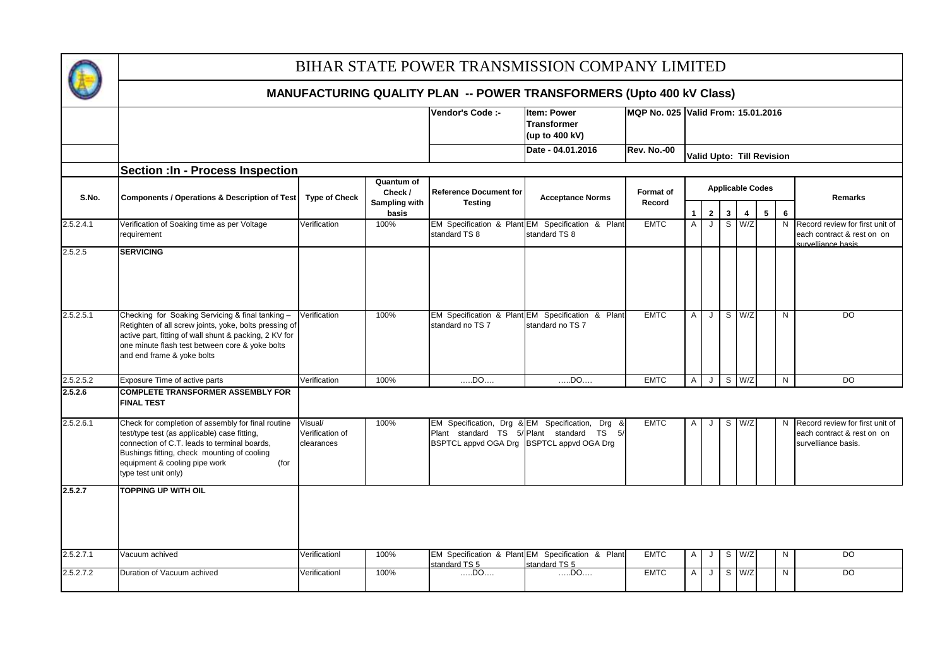

|           |                                                                                                                                                                                                                                                                    |                                          |                                        | Vendor's Code :-                                | <b>Item: Power</b><br><b>Transformer</b><br>(up to 400 kV)                                   | MQP No. 025 Valid From: 15.01.2016 |   |                   |              |              |                           |        |                                                                                      |
|-----------|--------------------------------------------------------------------------------------------------------------------------------------------------------------------------------------------------------------------------------------------------------------------|------------------------------------------|----------------------------------------|-------------------------------------------------|----------------------------------------------------------------------------------------------|------------------------------------|---|-------------------|--------------|--------------|---------------------------|--------|--------------------------------------------------------------------------------------|
|           |                                                                                                                                                                                                                                                                    |                                          |                                        |                                                 | Date - 04.01.2016                                                                            | Rev. No.-00                        |   |                   |              |              | Valid Upto: Till Revision |        |                                                                                      |
|           | <b>Section : In - Process Inspection</b>                                                                                                                                                                                                                           |                                          |                                        |                                                 |                                                                                              |                                    |   |                   |              |              |                           |        |                                                                                      |
| S.No.     | <b>Components / Operations &amp; Description of Test</b>                                                                                                                                                                                                           | <b>Type of Check</b>                     | Quantum of<br>Check /<br>Sampling with | <b>Reference Document for</b><br><b>Testing</b> | <b>Acceptance Norms</b>                                                                      | Format of<br>Record                |   |                   |              |              | <b>Applicable Codes</b>   |        | Remarks                                                                              |
| 2.5.2.4.1 | Verification of Soaking time as per Voltage<br>requirement                                                                                                                                                                                                         | Verification                             | basis<br>100%                          | standard TS 8                                   | EM Specification & Plant EM Specification & Plant<br>standard TS 8                           | <b>EMTC</b>                        | A | $\mathbf{2}$<br>J | $\mathbf{3}$ | 4<br>$S$ W/Z | $5\phantom{.0}$           | 6<br>N | Record review for first unit of<br>each contract & rest on on<br>survelliance basis  |
| 2.5.2.5   | <b>SERVICING</b>                                                                                                                                                                                                                                                   |                                          |                                        |                                                 |                                                                                              |                                    |   |                   |              |              |                           |        |                                                                                      |
| 2.5.2.5.1 | Checking for Soaking Servicing & final tanking -<br>Retighten of all screw joints, yoke, bolts pressing of<br>active part, fitting of wall shunt & packing, 2 KV for<br>one minute flash test between core & yoke bolts<br>and end frame & yoke bolts              | Verification                             | 100%                                   | standard no TS 7                                | EM Specification & Plant EM Specification & Plant<br>standard no TS 7                        | <b>EMTC</b>                        | Α | J                 |              | $S$ W/Z      |                           | N      | $\overline{D}$                                                                       |
| 2.5.2.5.2 | Exposure Time of active parts                                                                                                                                                                                                                                      | Verification                             | 100%                                   | $$ DO $$                                        | DD0                                                                                          | <b>EMTC</b>                        | A |                   |              | $J$ S $W/Z$  |                           | N      | $\overline{D}$                                                                       |
| 2.5.2.6   | <b>COMPLETE TRANSFORMER ASSEMBLY FOR</b><br><b>FINAL TEST</b>                                                                                                                                                                                                      |                                          |                                        |                                                 |                                                                                              |                                    |   |                   |              |              |                           |        |                                                                                      |
| 2.5.2.6.1 | Check for completion of assembly for final routine<br>test/type test (as applicable) case fitting,<br>connection of C.T. leads to terminal boards,<br>Bushings fitting, check mounting of cooling<br>equipment & cooling pipe work<br>(for<br>type test unit only) | Visual/<br>Verification of<br>clearances | 100%                                   | BSPTCL appvd OGA Drg BSPTCL appvd OGA Drg       | EM Specification, Drg & EM Specification, Drg &<br>Plant standard TS 5/ Plant standard TS 5/ | <b>EMTC</b>                        | A | J                 |              | $S$ W/Z      |                           | N      | Record review for first unit of<br>each contract & rest on on<br>survelliance basis. |
| 2.5.2.7   | <b>TOPPING UP WITH OIL</b>                                                                                                                                                                                                                                         |                                          |                                        |                                                 |                                                                                              |                                    |   |                   |              |              |                           |        |                                                                                      |
| 2.5.2.7.1 | Vacuum achived                                                                                                                                                                                                                                                     | Verificationl                            | 100%                                   | standard TS 5                                   | EM Specification & Plant EM Specification & Plant<br>standard TS 5                           | <b>EMTC</b>                        | Α | J                 |              | S W/Z        |                           | N      | DO                                                                                   |
| 2.5.2.7.2 | Duration of Vacuum achived                                                                                                                                                                                                                                         | Verificationl                            | 100%                                   | $DD$                                            | $$ DO                                                                                        | <b>EMTC</b>                        | A | J                 |              | $S$ W/Z      |                           | N      | DO                                                                                   |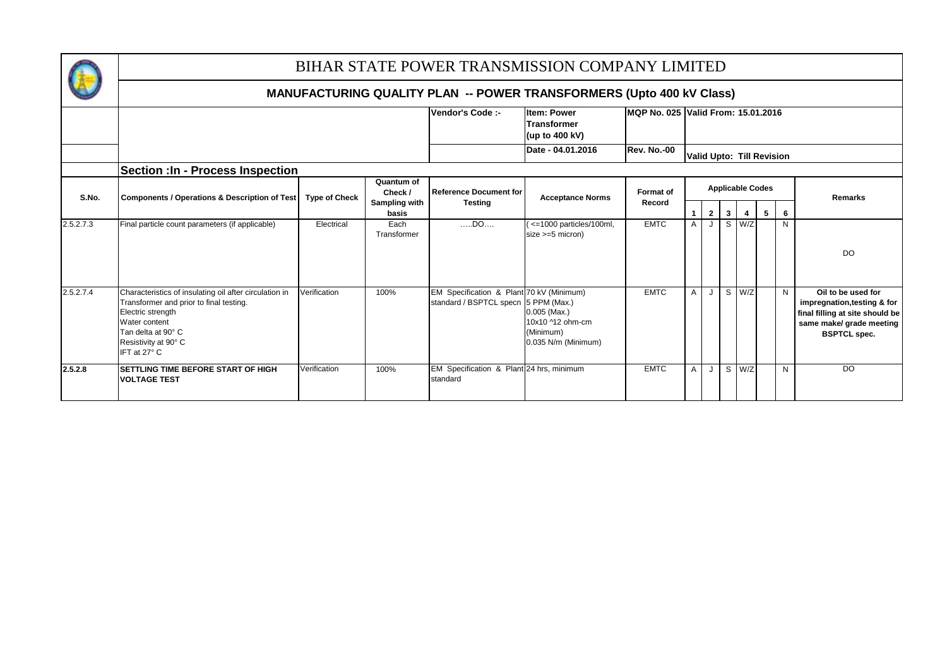

|           |                                                                                                                                                                                                       |                      |                        | Vendor's Code :-                                                                 | <b>Item: Power</b><br><b>Transformer</b><br>(up to 400 kV)             |                    | IMQP No. 025 Valid From: 15.01.2016 |              |                |                |                         |              |                                                                                                                                         |  |  |
|-----------|-------------------------------------------------------------------------------------------------------------------------------------------------------------------------------------------------------|----------------------|------------------------|----------------------------------------------------------------------------------|------------------------------------------------------------------------|--------------------|-------------------------------------|--------------|----------------|----------------|-------------------------|--------------|-----------------------------------------------------------------------------------------------------------------------------------------|--|--|
|           |                                                                                                                                                                                                       |                      |                        |                                                                                  | Date - 04.01.2016                                                      | <b>Rev. No.-00</b> | <b>Valid Upto: Till Revision</b>    |              |                |                |                         |              |                                                                                                                                         |  |  |
|           | <b>Section : In - Process Inspection</b>                                                                                                                                                              |                      |                        |                                                                                  |                                                                        |                    |                                     |              |                |                |                         |              |                                                                                                                                         |  |  |
| S.No.     | Components / Operations & Description of Test                                                                                                                                                         | <b>Type of Check</b> | Quantum of<br>Check /  | <b>Reference Document for</b>                                                    | <b>Acceptance Norms</b>                                                | <b>Format of</b>   |                                     |              |                |                | <b>Applicable Codes</b> | Remarks      |                                                                                                                                         |  |  |
|           |                                                                                                                                                                                                       |                      | Sampling with<br>basis | <b>Testing</b>                                                                   |                                                                        | Record             |                                     | $\mathbf{2}$ | 3 <sup>1</sup> | $\overline{4}$ | 5 <sub>1</sub>          | 6            |                                                                                                                                         |  |  |
| 2.5.2.7.3 | Final particle count parameters (if applicable)                                                                                                                                                       | Electrical           | Each<br>Transformer    | DD0                                                                              | <= 1000 particles/100ml,<br>$size >=5$ micron)                         | <b>EMTC</b>        | $\mathsf{A}$                        | $\cdot$      |                | $S$ W/Z        |                         | $\mathsf{N}$ | <b>DO</b>                                                                                                                               |  |  |
| 2.5.2.7.4 | Characteristics of insulating oil after circulation in<br>Transformer and prior to final testing.<br>Electric strength<br>Water content<br>Tan delta at 90° C<br>Resistivity at 90° C<br>IFT at 27° C | Verification         | 100%                   | EM Specification & Plant 70 kV (Minimum)<br>standard / BSPTCL specn 5 PPM (Max.) | $0.005$ (Max.)<br>10x10 ^12 ohm-cm<br>(Minimum)<br>0.035 N/m (Minimum) | <b>EMTC</b>        | $\mathsf{A}$                        |              |                | S W/Z          |                         | N            | Oil to be used for<br>impregnation, testing & for<br>final filling at site should be<br>same make/ grade meeting<br><b>BSPTCL spec.</b> |  |  |
| 2.5.2.8   | SETTLING TIME BEFORE START OF HIGH<br><b>VOLTAGE TEST</b>                                                                                                                                             | Verification         | 100%                   | EM Specification & Plant 24 hrs, minimum<br>standard                             |                                                                        | <b>EMTC</b>        | $\mathsf{A}$                        |              |                | S W/Z          |                         | N            | <b>DO</b>                                                                                                                               |  |  |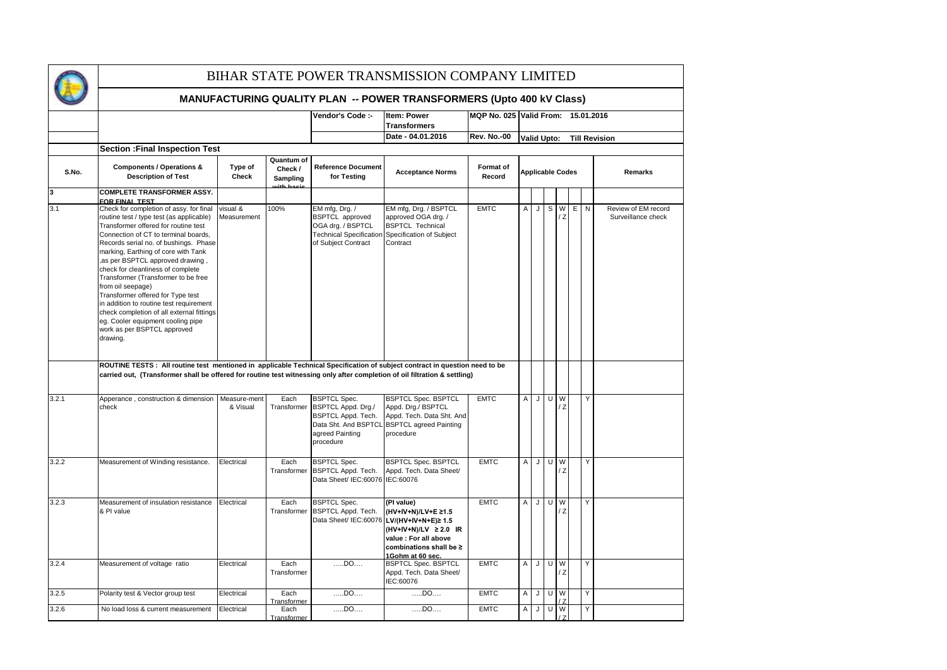

|       |                                                                                                                                                                                                                                                                                                                                                                                                                                                                                                                                                                                                                        |                         |                                                    | Vendor's Code :-                                                                                                       | <b>Item: Power</b><br><b>Transformers</b>                                                                                                                      |                     |                                            | MQP No. 025 Valid From: 15.01.2016 |                |                |  |        |                                           |  |  |  |  |  |  |  |  |  |  |  |  |  |  |  |  |  |  |                         |  |  |  |  |  |  |         |
|-------|------------------------------------------------------------------------------------------------------------------------------------------------------------------------------------------------------------------------------------------------------------------------------------------------------------------------------------------------------------------------------------------------------------------------------------------------------------------------------------------------------------------------------------------------------------------------------------------------------------------------|-------------------------|----------------------------------------------------|------------------------------------------------------------------------------------------------------------------------|----------------------------------------------------------------------------------------------------------------------------------------------------------------|---------------------|--------------------------------------------|------------------------------------|----------------|----------------|--|--------|-------------------------------------------|--|--|--|--|--|--|--|--|--|--|--|--|--|--|--|--|--|--|-------------------------|--|--|--|--|--|--|---------|
|       |                                                                                                                                                                                                                                                                                                                                                                                                                                                                                                                                                                                                                        |                         |                                                    |                                                                                                                        | Date - 04.01.2016                                                                                                                                              | <b>Rev. No.-00</b>  | <b>Valid Upto:</b><br><b>Till Revision</b> |                                    |                |                |  |        |                                           |  |  |  |  |  |  |  |  |  |  |  |  |  |  |  |  |  |  |                         |  |  |  |  |  |  |         |
|       | <b>Section : Final Inspection Test</b>                                                                                                                                                                                                                                                                                                                                                                                                                                                                                                                                                                                 |                         |                                                    |                                                                                                                        |                                                                                                                                                                |                     |                                            |                                    |                |                |  |        |                                           |  |  |  |  |  |  |  |  |  |  |  |  |  |  |  |  |  |  |                         |  |  |  |  |  |  |         |
| S.No. | <b>Components / Operations &amp;</b><br><b>Description of Test</b>                                                                                                                                                                                                                                                                                                                                                                                                                                                                                                                                                     | Type of<br>Check        | Quantum of<br>Check /<br>Sampling<br>بأحجما والمأء | <b>Reference Document</b><br>for Testing                                                                               | <b>Acceptance Norms</b>                                                                                                                                        | Format of<br>Record |                                            |                                    |                |                |  |        |                                           |  |  |  |  |  |  |  |  |  |  |  |  |  |  |  |  |  |  | <b>Applicable Codes</b> |  |  |  |  |  |  | Remarks |
| 3     | <b>COMPLETE TRANSFORMER ASSY.</b>                                                                                                                                                                                                                                                                                                                                                                                                                                                                                                                                                                                      |                         |                                                    |                                                                                                                        |                                                                                                                                                                |                     |                                            |                                    |                |                |  |        |                                           |  |  |  |  |  |  |  |  |  |  |  |  |  |  |  |  |  |  |                         |  |  |  |  |  |  |         |
| 3.1   | FOR FINAL TEST<br>Check for completion of assy. for final<br>routine test / type test (as applicable)<br>Transformer offered for routine test<br>Connection of CT to terminal boards,<br>Records serial no. of bushings. Phase<br>marking, Earthing of core with Tank<br>as per BSPTCL approved drawing,<br>check for cleanliness of complete<br>Transformer (Transformer to be free<br>from oil seepage)<br>Transformer offered for Type test<br>in addition to routine test requirement<br>check completion of all external fittings<br>eg. Cooler equipment cooling pipe<br>work as per BSPTCL approved<br>drawing. | visual &<br>Measurement | 100%                                               | EM mfg, Drg. /<br><b>BSPTCL</b> approved<br>OGA drg. / BSPTCL<br><b>Technical Specification</b><br>of Subject Contract | EM mfg, Drg. / BSPTCL<br>approved OGA drg. /<br><b>BSPTCL Technical</b><br>Specification of Subject<br>Contract                                                | <b>EMTC</b>         | $\mathsf{A}$                               | J                                  | S              | W<br>/ Z       |  | E<br>N | Review of EM record<br>Surveillance check |  |  |  |  |  |  |  |  |  |  |  |  |  |  |  |  |  |  |                         |  |  |  |  |  |  |         |
| 3.2.1 | ROUTINE TESTS : All routine test mentioned in applicable Technical Specification of subject contract in question need to be<br>carried out, (Transformer shall be offered for routine test witnessing only after completion of oil filtration & settling)<br>Apperance, construction & dimension                                                                                                                                                                                                                                                                                                                       | Measure-ment            | Each                                               | <b>BSPTCL Spec.</b>                                                                                                    | <b>BSPTCL Spec. BSPTCL</b>                                                                                                                                     | <b>EMTC</b>         | A                                          | J                                  | $\overline{U}$ | W              |  |        | Y                                         |  |  |  |  |  |  |  |  |  |  |  |  |  |  |  |  |  |  |                         |  |  |  |  |  |  |         |
|       | check                                                                                                                                                                                                                                                                                                                                                                                                                                                                                                                                                                                                                  | & Visual                | Transformer                                        | BSPTCL Appd. Drg./<br><b>BSPTCL Appd. Tech.</b><br>Data Sht. And BSPTCL<br>agreed Painting<br>procedure                | Appd. Drg./ BSPTCL<br>Appd. Tech. Data Sht. And<br><b>BSPTCL agreed Painting</b><br>procedure                                                                  |                     |                                            |                                    |                | $\overline{z}$ |  |        |                                           |  |  |  |  |  |  |  |  |  |  |  |  |  |  |  |  |  |  |                         |  |  |  |  |  |  |         |
| 3.2.2 | Measurement of Winding resistance.                                                                                                                                                                                                                                                                                                                                                                                                                                                                                                                                                                                     | Electrical              | Each<br>Transformer                                | <b>BSPTCL Spec.</b><br><b>BSPTCL Appd. Tech.</b><br>Data Sheet/ IEC:60076 IEC:60076                                    | <b>BSPTCL Spec. BSPTCL</b><br>Appd. Tech. Data Sheet/                                                                                                          | <b>EMTC</b>         | A                                          |                                    | $J$ U          | W<br>/Z        |  |        | Y                                         |  |  |  |  |  |  |  |  |  |  |  |  |  |  |  |  |  |  |                         |  |  |  |  |  |  |         |
| 3.2.3 | Measurement of insulation resistance<br>& PI value                                                                                                                                                                                                                                                                                                                                                                                                                                                                                                                                                                     | Electrical              | Each<br>Transformer                                | <b>BSPTCL Spec.</b><br><b>BSPTCL Appd. Tech.</b><br>Data Sheet/ IEC:60076                                              | (PI value)<br>(HV+IV+N)/LV+E ≥1.5<br>LV/(HV+IV+N+E)≥ 1.5<br>$(HV+IV+N)/LV \geq 2.0$ IR<br>value : For all above<br>combinations shall be ≥<br>1Gohm at 60 sec. | <b>EMTC</b>         | A                                          | J                                  | U              | W<br>/Z        |  |        | Y                                         |  |  |  |  |  |  |  |  |  |  |  |  |  |  |  |  |  |  |                         |  |  |  |  |  |  |         |
| 3.2.4 | Measurement of voltage ratio                                                                                                                                                                                                                                                                                                                                                                                                                                                                                                                                                                                           | Electrical              | Each<br>Transformer                                | $$ DO $$                                                                                                               | <b>BSPTCL Spec. BSPTCL</b><br>Appd. Tech. Data Sheet/<br>IEC:60076                                                                                             | <b>EMTC</b>         | Α                                          | J                                  | U              | W<br>/Z        |  |        | Y                                         |  |  |  |  |  |  |  |  |  |  |  |  |  |  |  |  |  |  |                         |  |  |  |  |  |  |         |
| 3.2.5 | Polarity test & Vector group test                                                                                                                                                                                                                                                                                                                                                                                                                                                                                                                                                                                      | Electrical              | Each<br>Transformer                                | $$ DO $$                                                                                                               | DD0                                                                                                                                                            | <b>EMTC</b>         | A                                          |                                    | J U            | W              |  |        | Υ                                         |  |  |  |  |  |  |  |  |  |  |  |  |  |  |  |  |  |  |                         |  |  |  |  |  |  |         |
| 3.2.6 | No load loss & current measurement                                                                                                                                                                                                                                                                                                                                                                                                                                                                                                                                                                                     | Electrical              | Each<br>Transformer                                | $$ DO $$                                                                                                               | $DD$                                                                                                                                                           | <b>EMTC</b>         | $\mathsf{A}$                               | J                                  | U              | W              |  |        | Y                                         |  |  |  |  |  |  |  |  |  |  |  |  |  |  |  |  |  |  |                         |  |  |  |  |  |  |         |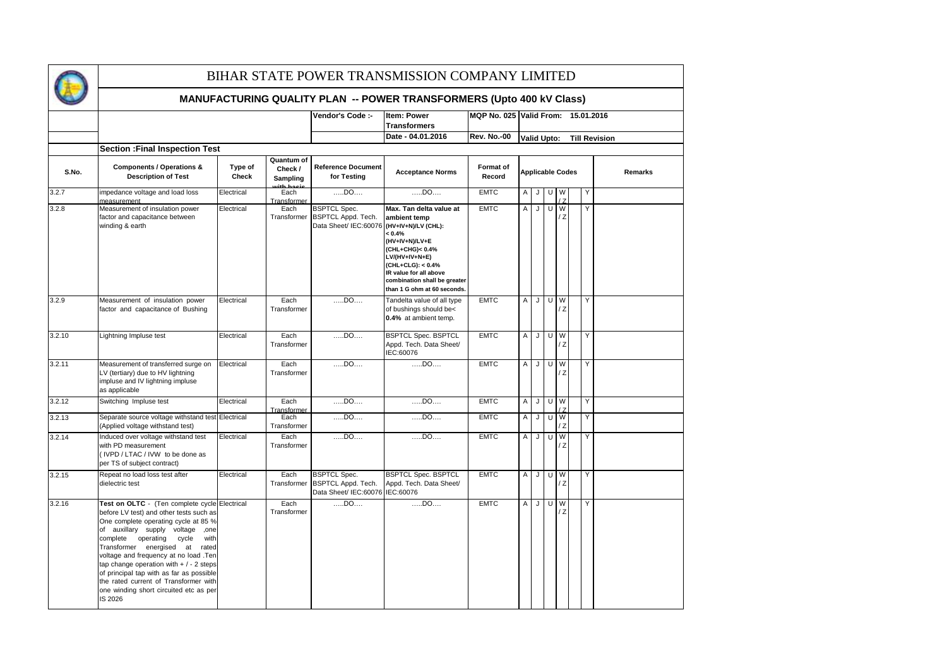

|        |                                                                                                                                                                                                                                                                                                                                                                                                                                                                                  |                  |                                                | Vendor's Code :-                                                             | <b>Item: Power</b>                                                                                                                                                                                                                               |                            |                | MQP No. 025 Valid From: 15.01.2016 |   |                       |    |  |                      |         |
|--------|----------------------------------------------------------------------------------------------------------------------------------------------------------------------------------------------------------------------------------------------------------------------------------------------------------------------------------------------------------------------------------------------------------------------------------------------------------------------------------|------------------|------------------------------------------------|------------------------------------------------------------------------------|--------------------------------------------------------------------------------------------------------------------------------------------------------------------------------------------------------------------------------------------------|----------------------------|----------------|------------------------------------|---|-----------------------|----|--|----------------------|---------|
|        |                                                                                                                                                                                                                                                                                                                                                                                                                                                                                  |                  |                                                |                                                                              | <b>Transformers</b>                                                                                                                                                                                                                              |                            |                |                                    |   |                       |    |  |                      |         |
|        |                                                                                                                                                                                                                                                                                                                                                                                                                                                                                  |                  |                                                |                                                                              | Date - 04.01.2016                                                                                                                                                                                                                                | <b>Rev. No.-00</b>         |                | <b>Valid Upto:</b>                 |   |                       |    |  | <b>Till Revision</b> |         |
| S.No.  | <b>Section : Final Inspection Test</b><br><b>Components / Operations &amp;</b><br><b>Description of Test</b>                                                                                                                                                                                                                                                                                                                                                                     | Type of<br>Check | Quantum of<br>Check /<br>Sampling<br>ith hasis | <b>Reference Document</b><br>for Testing                                     | <b>Acceptance Norms</b>                                                                                                                                                                                                                          | <b>Format of</b><br>Record |                | <b>Applicable Codes</b>            |   |                       |    |  |                      | Remarks |
| 3.2.7  | impedance voltage and load loss<br>measurement                                                                                                                                                                                                                                                                                                                                                                                                                                   | Electrical       | Each<br>Transformer                            | $DD$                                                                         | $DD$                                                                                                                                                                                                                                             | <b>EMTC</b>                | A              | J                                  |   | U W<br>$\overline{7}$ |    |  | Υ                    |         |
| 3.2.8  | Measurement of insulation power<br>factor and capacitance between<br>winding & earth                                                                                                                                                                                                                                                                                                                                                                                             | Electrical       | Each<br>Transformer                            | <b>BSPTCL Spec.</b><br>BSPTCL Appd. Tech.<br>Data Sheet/ IEC:60076           | Max. Tan delta value at<br>ambient temp<br>(HV+IV+N)/LV (CHL):<br>$< 0.4\%$<br>(HV+IV+N)/LV+E<br>(CHL+CHG)< 0.4%<br>LV/(HV+IV+N+E)<br>(CHL+CLG): < 0.4%<br>IR value for all above<br>combination shall be greater<br>than 1 G ohm at 60 seconds. | <b>EMTC</b>                | $\overline{A}$ | J                                  | U | W                     | /Z |  | Y                    |         |
| 3.2.9  | Measurement of insulation power<br>factor and capacitance of Bushing                                                                                                                                                                                                                                                                                                                                                                                                             | Electrical       | Each<br>Transformer                            | DD0                                                                          | Tandelta value of all type<br>of bushings should be<<br>0.4% at ambient temp.                                                                                                                                                                    | <b>EMTC</b>                | $\overline{A}$ | J                                  |   | U W<br>/ Z            |    |  | Y                    |         |
| 3.2.10 | Lightning Impluse test                                                                                                                                                                                                                                                                                                                                                                                                                                                           | Electrical       | Each<br>Transformer                            | $DD$                                                                         | <b>BSPTCL Spec. BSPTCL</b><br>Appd. Tech. Data Sheet/<br>IEC:60076                                                                                                                                                                               | <b>EMTC</b>                | $\mathsf{A}$   | J                                  | U | W<br>/Z               |    |  | Y                    |         |
| 3.2.11 | Measurement of transferred surge on<br>V (tertiary) due to HV lightning<br>impluse and IV lightning impluse<br>as applicable                                                                                                                                                                                                                                                                                                                                                     | Electrical       | Each<br>Transformer                            | DD0                                                                          | $DD$                                                                                                                                                                                                                                             | <b>EMTC</b>                | A              | J                                  | U | W<br>/ Z              |    |  | Y                    |         |
| 3.2.12 | Switching Impluse test                                                                                                                                                                                                                                                                                                                                                                                                                                                           | Electrical       | Each<br>Transformer                            | $DD$                                                                         | $$ DO $$                                                                                                                                                                                                                                         | <b>EMTC</b>                | A              | J                                  |   | $U$ W                 | Z  |  | Y                    |         |
| 3.2.13 | Separate source voltage withstand test Electrical<br>(Applied voltage withstand test)                                                                                                                                                                                                                                                                                                                                                                                            |                  | Each<br>Transformer                            | DD0                                                                          | $DD$                                                                                                                                                                                                                                             | <b>EMTC</b>                | Α              | IJ                                 |   | $U$ $W$<br>/Z         |    |  | Υ                    |         |
| 3.2.14 | Induced over voltage withstand test<br>with PD measurement<br>(IVPD / LTAC / IVW to be done as<br>per TS of subject contract)                                                                                                                                                                                                                                                                                                                                                    | Electrical       | Each<br>Transformer                            | DD0                                                                          | DD0                                                                                                                                                                                                                                              | <b>EMTC</b>                | $\mathsf{A}$   | J                                  | U | W                     | ΙZ |  | Y                    |         |
| 3.2.15 | Repeat no load loss test after<br>dielectric test                                                                                                                                                                                                                                                                                                                                                                                                                                | Electrical       | Each<br>Transformer                            | <b>BSPTCL Spec.</b><br>BSPTCL Appd. Tech.<br>Data Sheet/ IEC:60076 IEC:60076 | <b>BSPTCL Spec. BSPTCL</b><br>Appd. Tech. Data Sheet/                                                                                                                                                                                            | <b>EMTC</b>                | $\overline{A}$ | J                                  | U | W<br>/ Z              |    |  | Y                    |         |
| 3.2.16 | Test on OLTC - (Ten complete cycle Electrical<br>before LV test) and other tests such as<br>One complete operating cycle at 85 %<br>of auxillary supply voltage<br>,one<br>complete operating<br>cycle<br>with<br>Transformer energised at<br>rated<br>voltage and frequency at no load .Ten<br>tap change operation with $+/-2$ steps<br>of principal tap with as far as possible<br>the rated current of Transformer with<br>one winding short circuited etc as per<br>IS 2026 |                  | Each<br>Transformer                            | DD0                                                                          | $DD$                                                                                                                                                                                                                                             | <b>EMTC</b>                | $\overline{A}$ | J                                  | U | W<br>$\overline{z}$   |    |  | Y                    |         |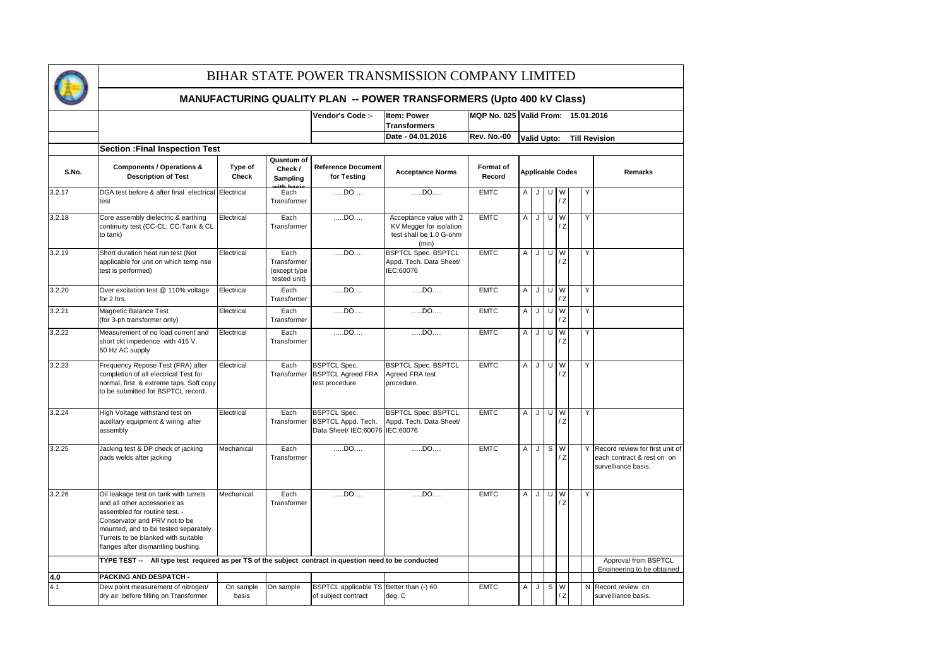

|        |                                                                                                                                                                                                                                                               |                    |                                                                                                                                              | Vendor's Code :-                                                             | Item: Power                                                                            |                    | MQP No. 025 Valid From: 15.01.2016 |                    |              |         |                |   |                                                                                      |  |  |
|--------|---------------------------------------------------------------------------------------------------------------------------------------------------------------------------------------------------------------------------------------------------------------|--------------------|----------------------------------------------------------------------------------------------------------------------------------------------|------------------------------------------------------------------------------|----------------------------------------------------------------------------------------|--------------------|------------------------------------|--------------------|--------------|---------|----------------|---|--------------------------------------------------------------------------------------|--|--|
|        |                                                                                                                                                                                                                                                               |                    |                                                                                                                                              |                                                                              | <b>Transformers</b>                                                                    |                    |                                    |                    |              |         |                |   |                                                                                      |  |  |
|        |                                                                                                                                                                                                                                                               |                    |                                                                                                                                              |                                                                              | Date - 04.01.2016                                                                      | <b>Rev. No.-00</b> |                                    | <b>Valid Upto:</b> |              |         |                |   | <b>Till Revision</b>                                                                 |  |  |
|        | <b>Section : Final Inspection Test</b>                                                                                                                                                                                                                        |                    |                                                                                                                                              |                                                                              |                                                                                        |                    |                                    |                    |              |         |                |   |                                                                                      |  |  |
| S.No.  | <b>Components / Operations &amp;</b><br><b>Description of Test</b>                                                                                                                                                                                            | Type of<br>Check   | Quantum of<br><b>Reference Document</b><br>Format of<br>Check /<br><b>Acceptance Norms</b><br>Record<br>for Testing<br>Sampling<br>ith haeie |                                                                              | <b>Applicable Codes</b>                                                                |                    |                                    |                    |              |         | <b>Remarks</b> |   |                                                                                      |  |  |
| 3.2.17 | DGA test before & after final electrical<br>test                                                                                                                                                                                                              | Electrical         | Each<br>Transformer                                                                                                                          | DD0                                                                          | DD0                                                                                    | <b>EMTC</b>        | Α                                  | J                  | U            |         | W<br>/Z        | Y |                                                                                      |  |  |
| 3.2.18 | Core assembly dielectric & earthing<br>continuity test (CC-CL; CC-Tank & CL<br>to tank)                                                                                                                                                                       | Electrical         | Each<br>Transformer                                                                                                                          | $$ DO $$                                                                     | Acceptance value with 2<br>KV Megger for isolation<br>test shall be 1.0 G-ohm<br>(min) | <b>EMTC</b>        | Α                                  | J                  |              | U W     | ΙZ             | Y |                                                                                      |  |  |
| 3.2.19 | Short duration heat run test (Not<br>applicable for unit on which temp rise<br>test is performed)                                                                                                                                                             | Electrical         | Each<br>Transformer<br>(except type<br>tested unit)                                                                                          | $$ DO $$                                                                     | BSPTCL Spec. BSPTCL<br>Appd. Tech. Data Sheet/<br>IEC:60076                            | <b>EMTC</b>        | A                                  | J                  |              | U W     | Z              |   | Y                                                                                    |  |  |
| 3.2.20 | Over excitation test @ 110% voltage<br>for 2 hrs.                                                                                                                                                                                                             | Electrical         | Each<br>Transformer                                                                                                                          | $$ DO $$                                                                     | DD0                                                                                    | <b>EMTC</b>        | A                                  | J                  |              | U W     | Z              |   | Y                                                                                    |  |  |
| 3.2.21 | Magnetic Balance Test<br>(for 3-ph transformer only)                                                                                                                                                                                                          | Electrical         | Each<br>Transformer                                                                                                                          | DD0                                                                          | DD0                                                                                    | <b>EMTC</b>        | A                                  | J                  |              | U W     | Z              |   | Υ                                                                                    |  |  |
| 3.2.22 | Measurement of no load current and<br>short ckt impedence with 415 V,<br>50 Hz AC supply                                                                                                                                                                      | Electrical         | Each<br>Transformer                                                                                                                          | $$ DO $$                                                                     | $$ DO $$                                                                               | <b>EMTC</b>        | A                                  | J                  |              | $U$ $W$ | Z              | Y |                                                                                      |  |  |
| 3.2.23 | Frequency Repose Test (FRA) after<br>completion of all electrical Test for<br>normal, first & extreme taps. Soft copy<br>to be submitted for BSPTCL record.                                                                                                   | Electrical         | Each<br>Transformer                                                                                                                          | <b>BSPTCL Spec.</b><br><b>BSPTCL Agreed FRA</b><br>test procedure.           | <b>BSPTCL Spec. BSPTCL</b><br>Agreed FRA test<br>procedure.                            | <b>EMTC</b>        | $\mathsf{A}$                       | J                  |              | U W     | Z              |   | Y                                                                                    |  |  |
| 3.2.24 | High Voltage withstand test on<br>auxillary equipment & wiring after<br>assembly                                                                                                                                                                              | Electrical         | Each<br>Transformer                                                                                                                          | <b>BSPTCL Spec.</b><br>BSPTCL Appd. Tech.<br>Data Sheet/ IEC:60076 IEC:60076 | <b>BSPTCL Spec. BSPTCL</b><br>Appd. Tech. Data Sheet/                                  | <b>EMTC</b>        | A                                  | J                  |              | U W     | Z              | Y |                                                                                      |  |  |
| 3.2.25 | Jacking test & DP check of jacking<br>pads welds after jacking                                                                                                                                                                                                | Mechanical         | Each<br>Transformer                                                                                                                          | $$ DO $$                                                                     | DO                                                                                     | <b>EMTC</b>        | A                                  | J                  | S            |         | W<br>Z         | Y | Record review for first unit of<br>each contract & rest on on<br>survelliance basis. |  |  |
| 3.2.26 | Oil leakage test on tank with turrets<br>and all other accessories as<br>assembled for routine test. -<br>Conservator and PRV not to be<br>mounted, and to be tested separately.<br>Turrets to be blanked with suitable<br>flanges after dismantling bushing. | Mechanical         | Each<br>Transformer                                                                                                                          | DD0                                                                          | DD0                                                                                    | <b>EMTC</b>        | A                                  | J                  |              | U W     | Z              | Y |                                                                                      |  |  |
|        | TYPE TEST -- All type test required as per TS of the subject contract in question need to be conducted                                                                                                                                                        |                    |                                                                                                                                              |                                                                              |                                                                                        |                    |                                    |                    |              |         |                |   | Approval from BSPTCL                                                                 |  |  |
| 4.0    | <b>PACKING AND DESPATCH -</b>                                                                                                                                                                                                                                 |                    |                                                                                                                                              |                                                                              |                                                                                        |                    |                                    |                    |              |         |                |   | Engineering to be obtained                                                           |  |  |
| 4.1    | Dew point measurement of nitrogen/<br>dry air before filling on Transformer                                                                                                                                                                                   | On sample<br>basis | On sample                                                                                                                                    | BSPTCL applicable TS Better than (-) 60<br>of subject contract               | deg. C                                                                                 | <b>EMTC</b>        | A                                  | J                  | $\mathbf{s}$ |         | W<br>ΙZ        |   | N Record review on<br>survelliance basis.                                            |  |  |